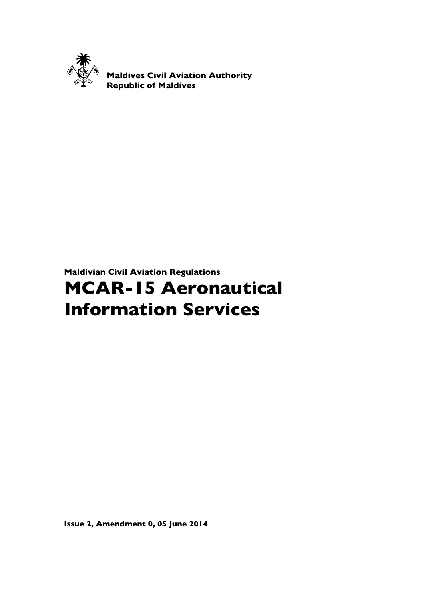

Maldives Civil Aviation Authority Republic of Maldives

# Maldivian Civil Aviation Regulations

# MCAR-15 Aeronautical Information Services

Issue 2, Amendment 0, 05 June 2014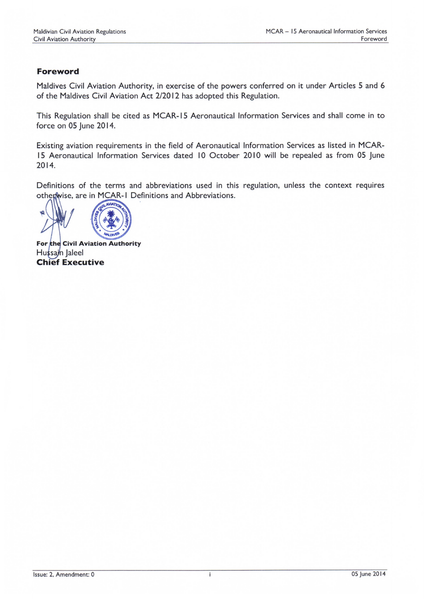### Foreword

Maldives Civil Aviation Authority, in exercise of the powers conferred on it under Articles 5 and 6 of the Maldives Civil Aviation Act 212012 has adopted this Regulation.

This Regulation shall be cited as MCAR- l5 Aeronautical Information Services and shall come in to force on 05 June 2014.

Existing aviation requirements in the field of Aeronautical lnformation Services as listed in MCAR-15 Aeronautical Information Services dated 10 October 2010 will be repealed as from 05 June 2014.

Definitions of the terms and abbreviations used in this regulation, unless the context requires othenwise, are in MCAR-I Definitions and Abbreviations.



For the Civil Aviation Authority Hussain Jaleel **Chief Executive**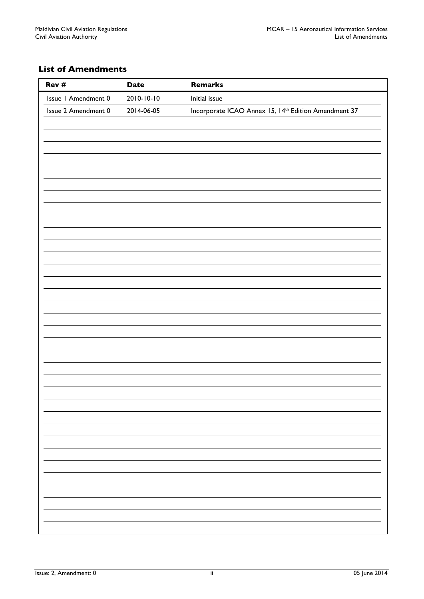# List of Amendments

| Rev #               | <b>Date</b> | <b>Remarks</b>                                                   |
|---------------------|-------------|------------------------------------------------------------------|
| Issue I Amendment 0 | 2010-10-10  | Initial issue                                                    |
| Issue 2 Amendment 0 | 2014-06-05  | Incorporate ICAO Annex 15, 14 <sup>th</sup> Edition Amendment 37 |
|                     |             |                                                                  |
|                     |             |                                                                  |
|                     |             |                                                                  |
|                     |             |                                                                  |
|                     |             |                                                                  |
|                     |             |                                                                  |
|                     |             |                                                                  |
|                     |             |                                                                  |
|                     |             |                                                                  |
|                     |             |                                                                  |
|                     |             |                                                                  |
|                     |             |                                                                  |
|                     |             |                                                                  |
|                     |             |                                                                  |
|                     |             |                                                                  |
|                     |             |                                                                  |
|                     |             |                                                                  |
|                     |             |                                                                  |
|                     |             |                                                                  |
|                     |             |                                                                  |
|                     |             |                                                                  |
|                     |             |                                                                  |
|                     |             |                                                                  |
|                     |             |                                                                  |
|                     |             |                                                                  |
|                     |             |                                                                  |
|                     |             |                                                                  |
|                     |             |                                                                  |
|                     |             |                                                                  |
|                     |             |                                                                  |
|                     |             |                                                                  |
|                     |             |                                                                  |
|                     |             |                                                                  |
|                     |             |                                                                  |
|                     |             |                                                                  |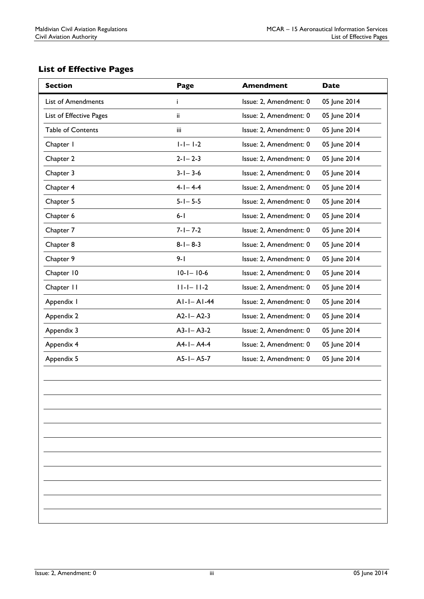# List of Effective Pages

| <b>List of Amendments</b><br>Issue: 2, Amendment: 0<br>05 June 2014<br>i.  |  |
|----------------------------------------------------------------------------|--|
| Issue: 2, Amendment: 0<br>05 June 2014<br>List of Effective Pages<br>ii.   |  |
| 05 June 2014<br><b>Table of Contents</b><br>Issue: 2, Amendment: 0<br>iii. |  |
| $ - - $ -2<br>Issue: 2, Amendment: 0<br>Chapter I<br>05 June 2014          |  |
| $2 - 1 - 2 - 3$<br>Issue: 2, Amendment: 0<br>05 June 2014<br>Chapter 2     |  |
| Chapter 3<br>$3 - 1 - 3 - 6$<br>05 June 2014<br>Issue: 2, Amendment: 0     |  |
| $4 - 1 - 4 - 4$<br>Chapter 4<br>Issue: 2, Amendment: 0<br>05 June 2014     |  |
| $5 - 1 - 5 - 5$<br>Chapter 5<br>05 June 2014<br>Issue: 2, Amendment: 0     |  |
| $6 - 1$<br>05 June 2014<br>Chapter 6<br>Issue: 2, Amendment: 0             |  |
| $7 - 1 - 7 - 2$<br>Chapter 7<br>Issue: 2, Amendment: 0<br>05 June 2014     |  |
| Chapter 8<br>$8 - 1 - 8 - 3$<br>Issue: 2, Amendment: 0<br>05 June 2014     |  |
| Chapter 9<br>$9 - 1$<br>05 June 2014<br>Issue: 2, Amendment: 0             |  |
| Chapter 10<br>$10 - 1 - 10 - 6$<br>Issue: 2, Amendment: 0<br>05 June 2014  |  |
| Chapter 11<br>$11 - 1 - 11 - 2$<br>05 June 2014<br>Issue: 2, Amendment: 0  |  |
| $AI-I-AI-44$<br>Issue: 2, Amendment: 0<br>05 June 2014<br>Appendix I       |  |
| $A2-I - A2-3$<br>Issue: 2, Amendment: 0<br>05 June 2014<br>Appendix 2      |  |
| $A3-I - A3-2$<br>05 June 2014<br>Appendix 3<br>Issue: 2, Amendment: 0      |  |
| $A4 - I - A4 - 4$<br>05 June 2014<br>Appendix 4<br>Issue: 2, Amendment: 0  |  |
| $A5-I - A5-7$<br>Issue: 2, Amendment: 0<br>05 June 2014<br>Appendix 5      |  |
|                                                                            |  |
|                                                                            |  |
|                                                                            |  |
|                                                                            |  |
|                                                                            |  |
|                                                                            |  |
|                                                                            |  |
|                                                                            |  |
|                                                                            |  |
|                                                                            |  |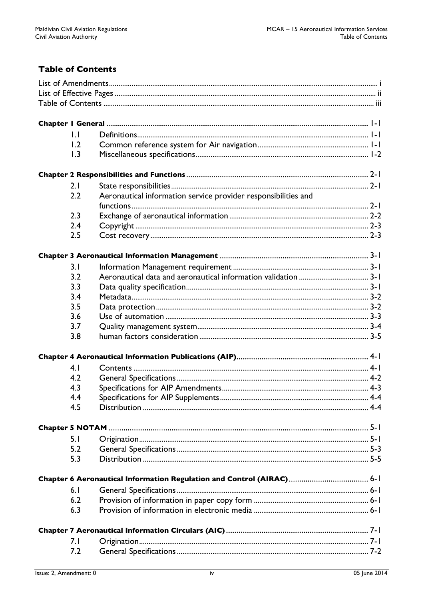# **Table of Contents**

| $\mathsf{L} \mathsf{L}$ |                                                                |  |
|-------------------------|----------------------------------------------------------------|--|
| 1.2                     |                                                                |  |
| 1.3                     |                                                                |  |
|                         |                                                                |  |
|                         |                                                                |  |
| 2.1                     |                                                                |  |
| 2.2                     | Aeronautical information service provider responsibilities and |  |
| 2.3                     |                                                                |  |
|                         |                                                                |  |
| 2.4                     |                                                                |  |
| 2.5                     |                                                                |  |
|                         |                                                                |  |
| 3.1                     |                                                                |  |
| 3.2                     |                                                                |  |
| 3.3                     |                                                                |  |
| 3.4                     |                                                                |  |
| 3.5                     |                                                                |  |
| 3.6                     |                                                                |  |
| 3.7                     |                                                                |  |
| 3.8                     |                                                                |  |
|                         |                                                                |  |
|                         |                                                                |  |
| 4.1                     |                                                                |  |
| 4.2                     |                                                                |  |
| 4.3                     |                                                                |  |
| 4.4                     |                                                                |  |
| 4.5                     |                                                                |  |
|                         |                                                                |  |
| 5.1                     |                                                                |  |
| 5.2                     |                                                                |  |
| 5.3                     |                                                                |  |
|                         |                                                                |  |
|                         |                                                                |  |
| 6.1                     |                                                                |  |
| 6.2                     |                                                                |  |
| 6.3                     |                                                                |  |
|                         |                                                                |  |
|                         |                                                                |  |
| 7.1                     |                                                                |  |
| 7.2                     |                                                                |  |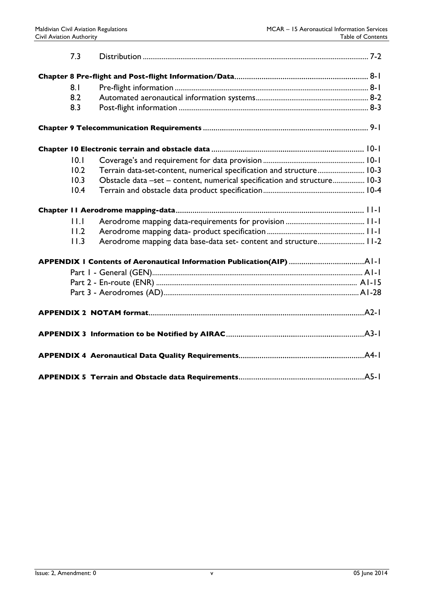|  | 7.3  |                                                                          |  |  |
|--|------|--------------------------------------------------------------------------|--|--|
|  |      |                                                                          |  |  |
|  | 8.1  |                                                                          |  |  |
|  | 8.2  |                                                                          |  |  |
|  | 8.3  |                                                                          |  |  |
|  |      |                                                                          |  |  |
|  |      |                                                                          |  |  |
|  | 0.1  |                                                                          |  |  |
|  | 10.2 | Terrain data-set-content, numerical specification and structure 10-3     |  |  |
|  | 10.3 | Obstacle data -set - content, numerical specification and structure 10-3 |  |  |
|  | 10.4 |                                                                          |  |  |
|  |      |                                                                          |  |  |
|  | 11.1 |                                                                          |  |  |
|  | 11.2 |                                                                          |  |  |
|  | 11.3 | Aerodrome mapping data base-data set- content and structure 11-2         |  |  |
|  |      |                                                                          |  |  |
|  |      |                                                                          |  |  |
|  |      |                                                                          |  |  |
|  |      |                                                                          |  |  |
|  |      |                                                                          |  |  |
|  |      |                                                                          |  |  |
|  |      |                                                                          |  |  |
|  |      |                                                                          |  |  |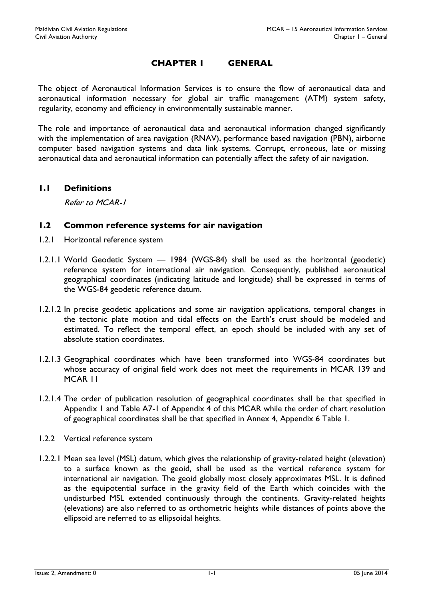### CHAPTER 1 GENERAL

The object of Aeronautical Information Services is to ensure the flow of aeronautical data and aeronautical information necessary for global air traffic management (ATM) system safety, regularity, economy and efficiency in environmentally sustainable manner.

The role and importance of aeronautical data and aeronautical information changed significantly with the implementation of area navigation (RNAV), performance based navigation (PBN), airborne computer based navigation systems and data link systems. Corrupt, erroneous, late or missing aeronautical data and aeronautical information can potentially affect the safety of air navigation.

#### 1.1 Definitions

Refer to MCAR-1

#### 1.2 Common reference systems for air navigation

- 1.2.1 Horizontal reference system
- 1.2.1.1 World Geodetic System 1984 (WGS-84) shall be used as the horizontal (geodetic) reference system for international air navigation. Consequently, published aeronautical geographical coordinates (indicating latitude and longitude) shall be expressed in terms of the WGS-84 geodetic reference datum.
- 1.2.1.2 In precise geodetic applications and some air navigation applications, temporal changes in the tectonic plate motion and tidal effects on the Earth's crust should be modeled and estimated. To reflect the temporal effect, an epoch should be included with any set of absolute station coordinates.
- 1.2.1.3 Geographical coordinates which have been transformed into WGS-84 coordinates but whose accuracy of original field work does not meet the requirements in MCAR 139 and MCAR 11
- 1.2.1.4 The order of publication resolution of geographical coordinates shall be that specified in Appendix 1 and Table A7-1 of Appendix 4 of this MCAR while the order of chart resolution of geographical coordinates shall be that specified in Annex 4, Appendix 6 Table 1.
- 1.2.2 Vertical reference system
- 1.2.2.1 Mean sea level (MSL) datum, which gives the relationship of gravity-related height (elevation) to a surface known as the geoid, shall be used as the vertical reference system for international air navigation. The geoid globally most closely approximates MSL. It is defined as the equipotential surface in the gravity field of the Earth which coincides with the undisturbed MSL extended continuously through the continents. Gravity-related heights (elevations) are also referred to as orthometric heights while distances of points above the ellipsoid are referred to as ellipsoidal heights.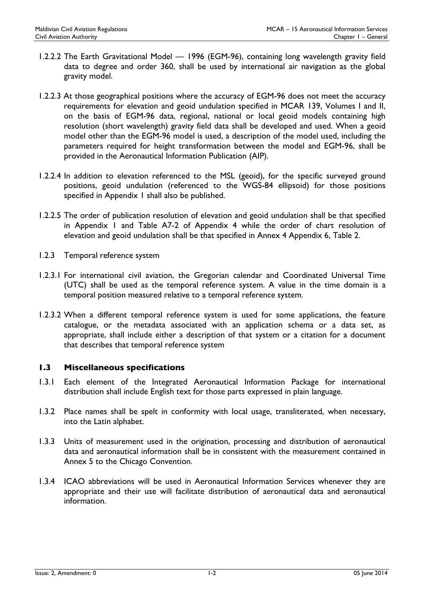- 1.2.2.2 The Earth Gravitational Model 1996 (EGM-96), containing long wavelength gravity field data to degree and order 360, shall be used by international air navigation as the global gravity model.
- 1.2.2.3 At those geographical positions where the accuracy of EGM-96 does not meet the accuracy requirements for elevation and geoid undulation specified in MCAR 139, Volumes I and II, on the basis of EGM-96 data, regional, national or local geoid models containing high resolution (short wavelength) gravity field data shall be developed and used. When a geoid model other than the EGM-96 model is used, a description of the model used, including the parameters required for height transformation between the model and EGM-96, shall be provided in the Aeronautical Information Publication (AIP).
- 1.2.2.4 In addition to elevation referenced to the MSL (geoid), for the specific surveyed ground positions, geoid undulation (referenced to the WGS-84 ellipsoid) for those positions specified in Appendix 1 shall also be published.
- 1.2.2.5 The order of publication resolution of elevation and geoid undulation shall be that specified in Appendix 1 and Table A7-2 of Appendix 4 while the order of chart resolution of elevation and geoid undulation shall be that specified in Annex 4 Appendix 6, Table 2.
- 1.2.3 Temporal reference system
- 1.2.3.1 For international civil aviation, the Gregorian calendar and Coordinated Universal Time (UTC) shall be used as the temporal reference system. A value in the time domain is a temporal position measured relative to a temporal reference system.
- 1.2.3.2 When a different temporal reference system is used for some applications, the feature catalogue, or the metadata associated with an application schema or a data set, as appropriate, shall include either a description of that system or a citation for a document that describes that temporal reference system

#### 1.3 Miscellaneous specifications

- 1.3.1 Each element of the Integrated Aeronautical Information Package for international distribution shall include English text for those parts expressed in plain language.
- 1.3.2 Place names shall be spelt in conformity with local usage, transliterated, when necessary, into the Latin alphabet.
- 1.3.3 Units of measurement used in the origination, processing and distribution of aeronautical data and aeronautical information shall be in consistent with the measurement contained in Annex 5 to the Chicago Convention.
- 1.3.4 ICAO abbreviations will be used in Aeronautical Information Services whenever they are appropriate and their use will facilitate distribution of aeronautical data and aeronautical information.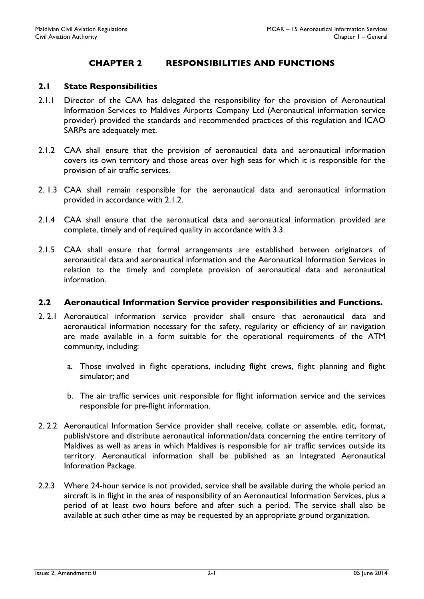# CHAPTER 2 RESPONSIBILITIES AND FUNCTIONS

#### 2.1 State Responsibilities

- 2.1.1 Director of the CAA has delegated the responsibility for the provision of Aeronautical Information Services to Maldives Airports Company Ltd (Aeronautical information service provider) provided the standards and recommended practices of this regulation and ICAO SARPs are adequately met.
- 2.1.2 CAA shall ensure that the provision of aeronautical data and aeronautical information covers its own territory and those areas over high seas for which it is responsible for the provision of air traffic services.
- 2. 1.3 CAA shall remain responsible for the aeronautical data and aeronautical information provided in accordance with 2.1.2.
- 2.1.4 CAA shall ensure that the aeronautical data and aeronautical information provided are complete, timely and of required quality in accordance with 3.3.
- 2.1.5 CAA shall ensure that formal arrangements are established between originators of aeronautical data and aeronautical information and the Aeronautical Information Services in relation to the timely and complete provision of aeronautical data and aeronautical information.

#### 2.2 Aeronautical Information Service provider responsibilities and Functions.

- 2. 2.1 Aeronautical information service provider shall ensure that aeronautical data and aeronautical information necessary for the safety, regularity or efficiency of air navigation are made available in a form suitable for the operational requirements of the ATM community, including:
	- a. Those involved in flight operations, including flight crews, flight planning and flight simulator; and
	- b. The air traffic services unit responsible for flight information service and the services responsible for pre-flight information.
- 2. 2.2 Aeronautical Information Service provider shall receive, collate or assemble, edit, format, publish/store and distribute aeronautical information/data concerning the entire territory of Maldives as well as areas in which Maldives is responsible for air traffic services outside its territory. Aeronautical information shall be published as an Integrated Aeronautical Information Package.
- 2.2.3 Where 24-hour service is not provided, service shall be available during the whole period an aircraft is in flight in the area of responsibility of an Aeronautical Information Services, plus a period of at least two hours before and after such a period. The service shall also be available at such other time as may be requested by an appropriate ground organization.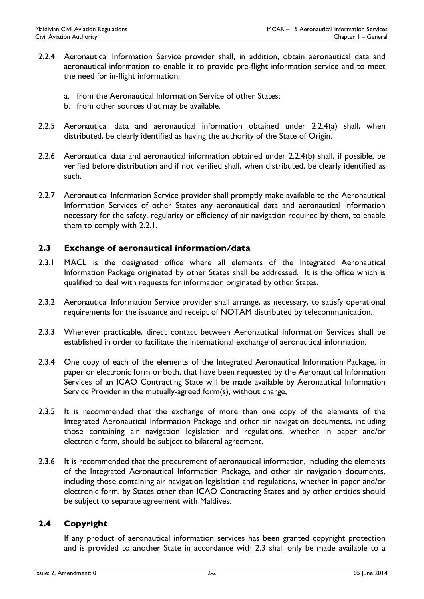- 2.2.4 Aeronautical Information Service provider shall, in addition, obtain aeronautical data and aeronautical information to enable it to provide pre-flight information service and to meet the need for in-flight information:
	- a. from the Aeronautical Information Service of other States;
	- b. from other sources that may be available.
- 2.2.5 Aeronautical data and aeronautical information obtained under 2.2.4(a) shall, when distributed, be clearly identified as having the authority of the State of Origin.
- 2.2.6 Aeronautical data and aeronautical information obtained under 2.2.4(b) shall, if possible, be verified before distribution and if not verified shall, when distributed, be clearly identified as such.
- 2.2.7 Aeronautical Information Service provider shall promptly make available to the Aeronautical Information Services of other States any aeronautical data and aeronautical information necessary for the safety, regularity or efficiency of air navigation required by them, to enable them to comply with 2.2.1.

#### 2.3 Exchange of aeronautical information/data

- 2.3.1 MACL is the designated office where all elements of the Integrated Aeronautical Information Package originated by other States shall be addressed. It is the office which is qualified to deal with requests for information originated by other States.
- 2.3.2 Aeronautical Information Service provider shall arrange, as necessary, to satisfy operational requirements for the issuance and receipt of NOTAM distributed by telecommunication.
- 2.3.3 Wherever practicable, direct contact between Aeronautical Information Services shall be established in order to facilitate the international exchange of aeronautical information.
- 2.3.4 One copy of each of the elements of the Integrated Aeronautical Information Package, in paper or electronic form or both, that have been requested by the Aeronautical Information Services of an ICAO Contracting State will be made available by Aeronautical Information Service Provider in the mutually-agreed form(s), without charge,
- 2.3.5 It is recommended that the exchange of more than one copy of the elements of the Integrated Aeronautical Information Package and other air navigation documents, including those containing air navigation legislation and regulations, whether in paper and/or electronic form, should be subject to bilateral agreement.
- 2.3.6 It is recommended that the procurement of aeronautical information, including the elements of the Integrated Aeronautical Information Package, and other air navigation documents, including those containing air navigation legislation and regulations, whether in paper and/or electronic form, by States other than ICAO Contracting States and by other entities should be subject to separate agreement with Maldives.

#### 2.4 Copyright

If any product of aeronautical information services has been granted copyright protection and is provided to another State in accordance with 2.3 shall only be made available to a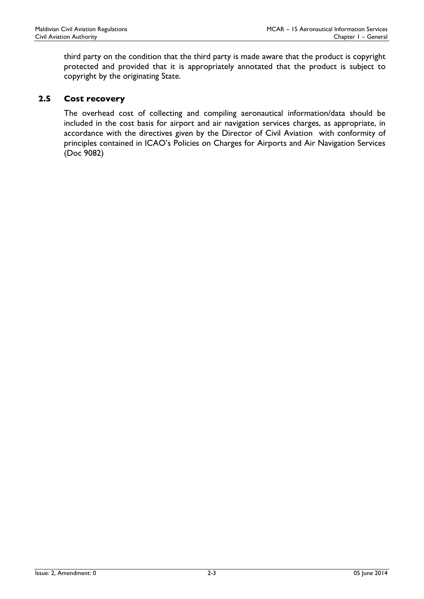third party on the condition that the third party is made aware that the product is copyright protected and provided that it is appropriately annotated that the product is subject to copyright by the originating State.

### 2.5 Cost recovery

The overhead cost of collecting and compiling aeronautical information/data should be included in the cost basis for airport and air navigation services charges, as appropriate, in accordance with the directives given by the Director of Civil Aviation with conformity of principles contained in ICAO's Policies on Charges for Airports and Air Navigation Services (Doc 9082)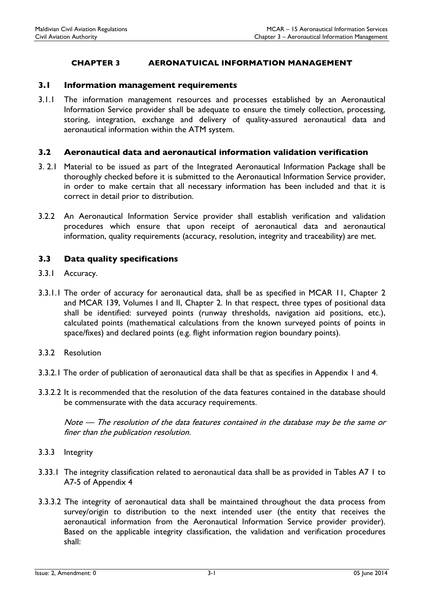#### CHAPTER 3 AERONATUICAL INFORMATION MANAGEMENT

#### 3.1 Information management requirements

3.1.1 The information management resources and processes established by an Aeronautical Information Service provider shall be adequate to ensure the timely collection, processing, storing, integration, exchange and delivery of quality-assured aeronautical data and aeronautical information within the ATM system.

#### 3.2 Aeronautical data and aeronautical information validation verification

- 3. 2.1 Material to be issued as part of the Integrated Aeronautical Information Package shall be thoroughly checked before it is submitted to the Aeronautical Information Service provider, in order to make certain that all necessary information has been included and that it is correct in detail prior to distribution.
- 3.2.2 An Aeronautical Information Service provider shall establish verification and validation procedures which ensure that upon receipt of aeronautical data and aeronautical information, quality requirements (accuracy, resolution, integrity and traceability) are met.

#### 3.3 Data quality specifications

- 3.3.1 Accuracy.
- 3.3.1.1 The order of accuracy for aeronautical data, shall be as specified in MCAR 11, Chapter 2 and MCAR 139, Volumes I and II, Chapter 2. In that respect, three types of positional data shall be identified: surveyed points (runway thresholds, navigation aid positions, etc.), calculated points (mathematical calculations from the known surveyed points of points in space/fixes) and declared points (e.g. flight information region boundary points).
- 3.3.2 Resolution
- 3.3.2.1 The order of publication of aeronautical data shall be that as specifies in Appendix 1 and 4.
- 3.3.2.2 It is recommended that the resolution of the data features contained in the database should be commensurate with the data accuracy requirements.

Note — The resolution of the data features contained in the database may be the same or finer than the publication resolution.

- 3.3.3 Integrity
- 3.33.1 The integrity classification related to aeronautical data shall be as provided in Tables A7 1 to A7-5 of Appendix 4
- 3.3.3.2 The integrity of aeronautical data shall be maintained throughout the data process from survey/origin to distribution to the next intended user (the entity that receives the aeronautical information from the Aeronautical Information Service provider provider). Based on the applicable integrity classification, the validation and verification procedures shall: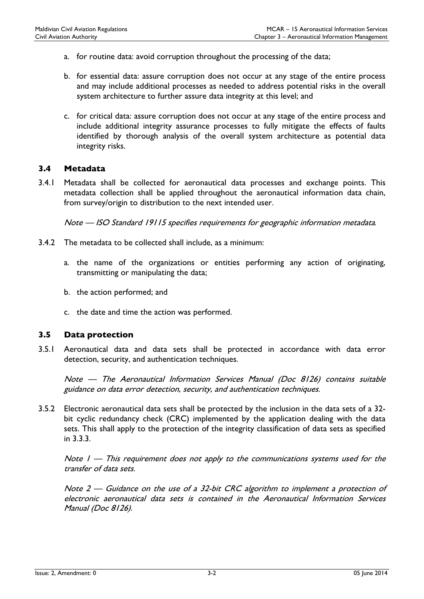- a. for routine data: avoid corruption throughout the processing of the data;
- b. for essential data: assure corruption does not occur at any stage of the entire process and may include additional processes as needed to address potential risks in the overall system architecture to further assure data integrity at this level; and
- c. for critical data: assure corruption does not occur at any stage of the entire process and include additional integrity assurance processes to fully mitigate the effects of faults identified by thorough analysis of the overall system architecture as potential data integrity risks.

#### 3.4 Metadata

3.4.1 Metadata shall be collected for aeronautical data processes and exchange points. This metadata collection shall be applied throughout the aeronautical information data chain, from survey/origin to distribution to the next intended user.

Note — ISO Standard 19115 specifies requirements for geographic information metadata.

- 3.4.2 The metadata to be collected shall include, as a minimum:
	- a. the name of the organizations or entities performing any action of originating, transmitting or manipulating the data;
	- b. the action performed; and
	- c. the date and time the action was performed.

#### 3.5 Data protection

3.5.1 Aeronautical data and data sets shall be protected in accordance with data error detection, security, and authentication techniques.

Note — The Aeronautical Information Services Manual (Doc 8126) contains suitable guidance on data error detection, security, and authentication techniques.

3.5.2 Electronic aeronautical data sets shall be protected by the inclusion in the data sets of a 32 bit cyclic redundancy check (CRC) implemented by the application dealing with the data sets. This shall apply to the protection of the integrity classification of data sets as specified in 3.3.3.

Note  $1 -$  This requirement does not apply to the communications systems used for the transfer of data sets.

Note 2 — Guidance on the use of a 32-bit CRC algorithm to implement a protection of electronic aeronautical data sets is contained in the Aeronautical Information Services Manual (Doc 8126).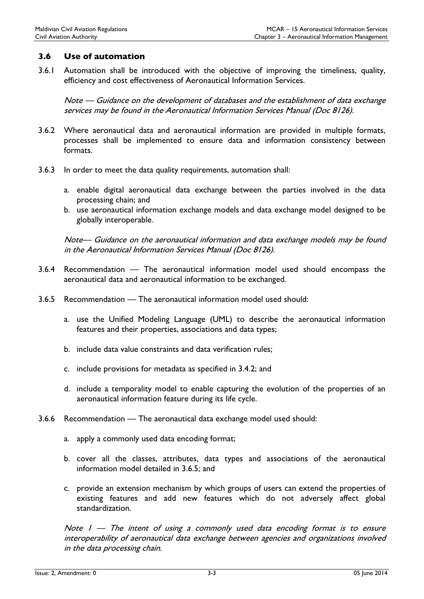#### 3.6 Use of automation

3.6.1 Automation shall be introduced with the objective of improving the timeliness, quality, efficiency and cost effectiveness of Aeronautical Information Services.

Note — Guidance on the development of databases and the establishment of data exchange services may be found in the Aeronautical Information Services Manual (Doc 8126).

- 3.6.2 Where aeronautical data and aeronautical information are provided in multiple formats, processes shall be implemented to ensure data and information consistency between formats.
- 3.6.3 In order to meet the data quality requirements, automation shall:
	- a. enable digital aeronautical data exchange between the parties involved in the data processing chain; and
	- b. use aeronautical information exchange models and data exchange model designed to be globally interoperable.

Note— Guidance on the aeronautical information and data exchange models may be found in the Aeronautical Information Services Manual (Doc 8126).

- 3.6.4 Recommendation The aeronautical information model used should encompass the aeronautical data and aeronautical information to be exchanged.
- 3.6.5 Recommendation The aeronautical information model used should:
	- a. use the Unified Modeling Language (UML) to describe the aeronautical information features and their properties, associations and data types;
	- b. include data value constraints and data verification rules;
	- c. include provisions for metadata as specified in 3.4.2; and
	- d. include a temporality model to enable capturing the evolution of the properties of an aeronautical information feature during its life cycle.
- 3.6.6 Recommendation The aeronautical data exchange model used should:
	- a. apply a commonly used data encoding format;
	- b. cover all the classes, attributes, data types and associations of the aeronautical information model detailed in 3.6.5; and
	- c. provide an extension mechanism by which groups of users can extend the properties of existing features and add new features which do not adversely affect global standardization.

Note  $I -$  The intent of using a commonly used data encoding format is to ensure interoperability of aeronautical data exchange between agencies and organizations involved in the data processing chain.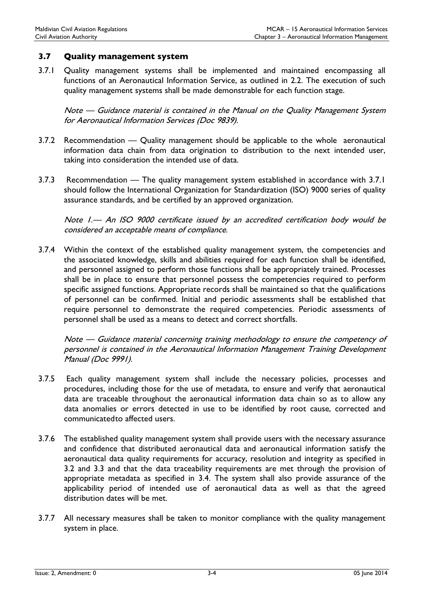#### 3.7 Quality management system

3.7.1 Quality management systems shall be implemented and maintained encompassing all functions of an Aeronautical Information Service, as outlined in 2.2. The execution of such quality management systems shall be made demonstrable for each function stage.

Note — Guidance material is contained in the Manual on the Quality Management System for Aeronautical Information Services (Doc 9839).

- 3.7.2 Recommendation Quality management should be applicable to the whole aeronautical information data chain from data origination to distribution to the next intended user, taking into consideration the intended use of data.
- 3.7.3 Recommendation The quality management system established in accordance with 3.7.1 should follow the International Organization for Standardization (ISO) 9000 series of quality assurance standards, and be certified by an approved organization.

Note 1.— An ISO 9000 certificate issued by an accredited certification body would be considered an acceptable means of compliance.

3.7.4 Within the context of the established quality management system, the competencies and the associated knowledge, skills and abilities required for each function shall be identified, and personnel assigned to perform those functions shall be appropriately trained. Processes shall be in place to ensure that personnel possess the competencies required to perform specific assigned functions. Appropriate records shall be maintained so that the qualifications of personnel can be confirmed. Initial and periodic assessments shall be established that require personnel to demonstrate the required competencies. Periodic assessments of personnel shall be used as a means to detect and correct shortfalls.

Note — Guidance material concerning training methodology to ensure the competency of personnel is contained in the Aeronautical Information Management Training Development Manual (Doc 9991).

- 3.7.5 Each quality management system shall include the necessary policies, processes and procedures, including those for the use of metadata, to ensure and verify that aeronautical data are traceable throughout the aeronautical information data chain so as to allow any data anomalies or errors detected in use to be identified by root cause, corrected and communicated to affected users.
- 3.7.6 The established quality management system shall provide users with the necessary assurance and confidence that distributed aeronautical data and aeronautical information satisfy the aeronautical data quality requirements for accuracy, resolution and integrity as specified in 3.2 and 3.3 and that the data traceability requirements are met through the provision of appropriate metadata as specified in 3.4. The system shall also provide assurance of the applicability period of intended use of aeronautical data as well as that the agreed distribution dates will be met.
- 3.7.7 All necessary measures shall be taken to monitor compliance with the quality management system in place.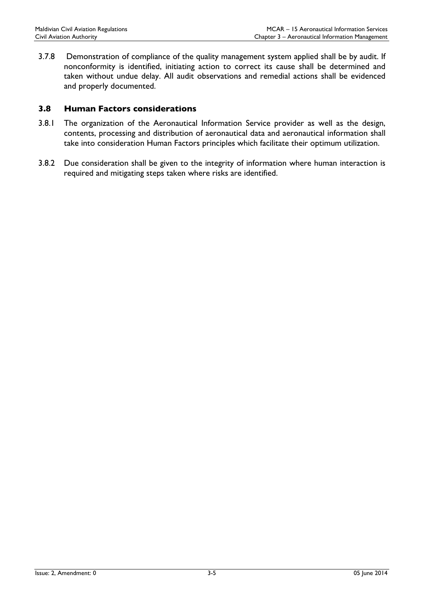3.7.8 Demonstration of compliance of the quality management system applied shall be by audit. If nonconformity is identified, initiating action to correct its cause shall be determined and taken without undue delay. All audit observations and remedial actions shall be evidenced and properly documented.

#### 3.8 Human Factors considerations

- 3.8.1 The organization of the Aeronautical Information Service provider as well as the design, contents, processing and distribution of aeronautical data and aeronautical information shall take into consideration Human Factors principles which facilitate their optimum utilization.
- 3.8.2 Due consideration shall be given to the integrity of information where human interaction is required and mitigating steps taken where risks are identified.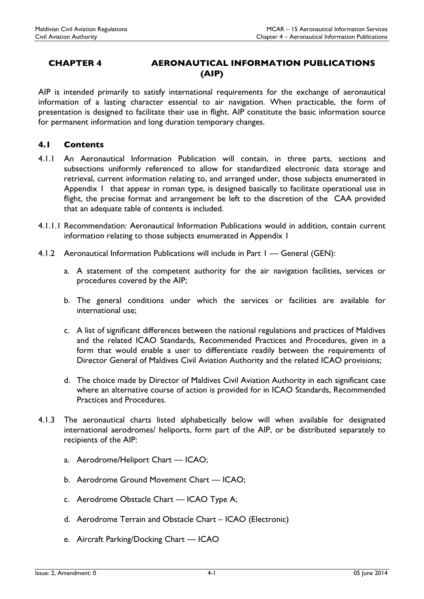### CHAPTER 4 AERONAUTICAL INFORMATION PUBLICATIONS (AIP)

AIP is intended primarily to satisfy international requirements for the exchange of aeronautical information of a lasting character essential to air navigation. When practicable, the form of presentation is designed to facilitate their use in flight. AIP constitute the basic information source for permanent information and long duration temporary changes.

#### 4.1 Contents

- 4.1.1 An Aeronautical Information Publication will contain, in three parts, sections and subsections uniformly referenced to allow for standardized electronic data storage and retrieval, current information relating to, and arranged under, those subjects enumerated in Appendix 1 that appear in roman type, is designed basically to facilitate operational use in flight, the precise format and arrangement be left to the discretion of the CAA provided that an adequate table of contents is included.
- 4.1.1.1 Recommendation: Aeronautical Information Publications would in addition, contain current information relating to those subjects enumerated in Appendix 1
- 4.1.2 Aeronautical Information Publications will include in Part 1 General (GEN):
	- a. A statement of the competent authority for the air navigation facilities, services or procedures covered by the AIP;
	- b. The general conditions under which the services or facilities are available for international use;
	- c. A list of significant differences between the national regulations and practices of Maldives and the related ICAO Standards, Recommended Practices and Procedures, given in a form that would enable a user to differentiate readily between the requirements of Director General of Maldives Civil Aviation Authority and the related ICAO provisions;
	- d. The choice made by Director of Maldives Civil Aviation Authority in each significant case where an alternative course of action is provided for in ICAO Standards, Recommended Practices and Procedures.
- 4.1.3 The aeronautical charts listed alphabetically below will when available for designated international aerodromes/ heliports, form part of the AIP, or be distributed separately to recipients of the AIP:
	- a. Aerodrome/Heliport Chart ICAO;
	- b. Aerodrome Ground Movement Chart ICAO;
	- c. Aerodrome Obstacle Chart ICAO Type A;
	- d. Aerodrome Terrain and Obstacle Chart ICAO (Electronic)
	- e. Aircraft Parking/Docking Chart ICAO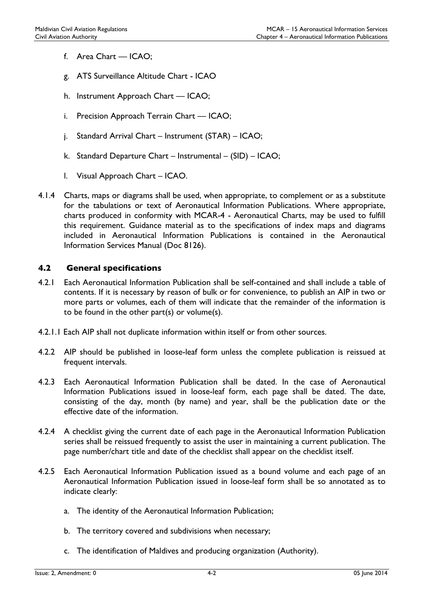- f. Area Chart ICAO;
- g. ATS Surveillance Altitude Chart ICAO
- h. Instrument Approach Chart ICAO;
- i. Precision Approach Terrain Chart ICAO;
- j. Standard Arrival Chart Instrument (STAR) ICAO;
- k. Standard Departure Chart Instrumental (SID) ICAO;
- l. Visual Approach Chart ICAO.
- 4.1.4 Charts, maps or diagrams shall be used, when appropriate, to complement or as a substitute for the tabulations or text of Aeronautical Information Publications. Where appropriate, charts produced in conformity with MCAR-4 - Aeronautical Charts, may be used to fulfill this requirement. Guidance material as to the specifications of index maps and diagrams included in Aeronautical Information Publications is contained in the Aeronautical Information Services Manual (Doc 8126).

#### 4.2 General specifications

- 4.2.1 Each Aeronautical Information Publication shall be self-contained and shall include a table of contents. If it is necessary by reason of bulk or for convenience, to publish an AIP in two or more parts or volumes, each of them will indicate that the remainder of the information is to be found in the other part(s) or volume(s).
- 4.2.1.1 Each AIP shall not duplicate information within itself or from other sources.
- 4.2.2 AIP should be published in loose-leaf form unless the complete publication is reissued at frequent intervals.
- 4.2.3 Each Aeronautical Information Publication shall be dated. In the case of Aeronautical Information Publications issued in loose-leaf form, each page shall be dated. The date, consisting of the day, month (by name) and year, shall be the publication date or the effective date of the information.
- 4.2.4 A checklist giving the current date of each page in the Aeronautical Information Publication series shall be reissued frequently to assist the user in maintaining a current publication. The page number/chart title and date of the checklist shall appear on the checklist itself.
- 4.2.5 Each Aeronautical Information Publication issued as a bound volume and each page of an Aeronautical Information Publication issued in loose-leaf form shall be so annotated as to indicate clearly:
	- a. The identity of the Aeronautical Information Publication;
	- b. The territory covered and subdivisions when necessary;
	- c. The identification of Maldives and producing organization (Authority).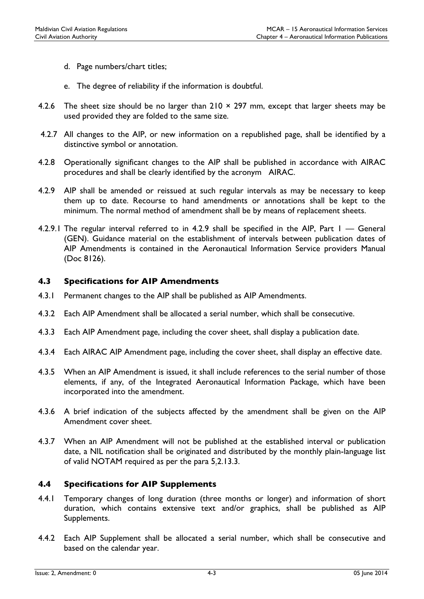- d. Page numbers/chart titles;
- e. The degree of reliability if the information is doubtful.
- 4.2.6 The sheet size should be no larger than  $210 \times 297$  mm, except that larger sheets may be used provided they are folded to the same size.
- 4.2.7 All changes to the AIP, or new information on a republished page, shall be identified by a distinctive symbol or annotation.
- 4.2.8 Operationally significant changes to the AIP shall be published in accordance with AIRAC procedures and shall be clearly identified by the acronym AIRAC.
- 4.2.9 AIP shall be amended or reissued at such regular intervals as may be necessary to keep them up to date. Recourse to hand amendments or annotations shall be kept to the minimum. The normal method of amendment shall be by means of replacement sheets.
- 4.2.9.1 The regular interval referred to in 4.2.9 shall be specified in the AIP, Part 1 General (GEN). Guidance material on the establishment of intervals between publication dates of AIP Amendments is contained in the Aeronautical Information Service providers Manual (Doc 8126).

#### 4.3 Specifications for AIP Amendments

- 4.3.1 Permanent changes to the AIP shall be published as AIP Amendments.
- 4.3.2 Each AIP Amendment shall be allocated a serial number, which shall be consecutive.
- 4.3.3 Each AIP Amendment page, including the cover sheet, shall display a publication date.
- 4.3.4 Each AIRAC AIP Amendment page, including the cover sheet, shall display an effective date.
- 4.3.5 When an AIP Amendment is issued, it shall include references to the serial number of those elements, if any, of the Integrated Aeronautical Information Package, which have been incorporated into the amendment.
- 4.3.6 A brief indication of the subjects affected by the amendment shall be given on the AIP Amendment cover sheet.
- 4.3.7 When an AIP Amendment will not be published at the established interval or publication date, a NIL notification shall be originated and distributed by the monthly plain-language list of valid NOTAM required as per the para 5.2.13.3.

#### 4.4 Specifications for AIP Supplements

- 4.4.1 Temporary changes of long duration (three months or longer) and information of short duration, which contains extensive text and/or graphics, shall be published as AIP Supplements.
- 4.4.2 Each AIP Supplement shall be allocated a serial number, which shall be consecutive and based on the calendar year.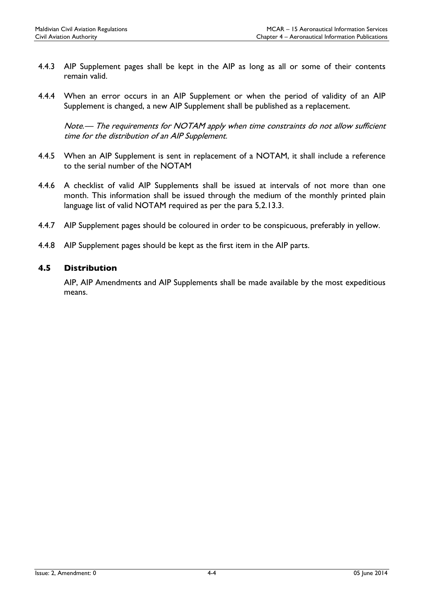- 4.4.3 AIP Supplement pages shall be kept in the AIP as long as all or some of their contents remain valid.
- 4.4.4 When an error occurs in an AIP Supplement or when the period of validity of an AIP Supplement is changed, a new AIP Supplement shall be published as a replacement.

Note.— The requirements for NOTAM apply when time constraints do not allow sufficient time for the distribution of an AIP Supplement.

- 4.4.5 When an AIP Supplement is sent in replacement of a NOTAM, it shall include a reference to the serial number of the NOTAM
- 4.4.6 A checklist of valid AIP Supplements shall be issued at intervals of not more than one month. This information shall be issued through the medium of the monthly printed plain language list of valid NOTAM required as per the para 5.2.13.3.
- 4.4.7 AIP Supplement pages should be coloured in order to be conspicuous, preferably in yellow.
- 4.4.8 AIP Supplement pages should be kept as the first item in the AIP parts.

#### 4.5 Distribution

AIP, AIP Amendments and AIP Supplements shall be made available by the most expeditious means.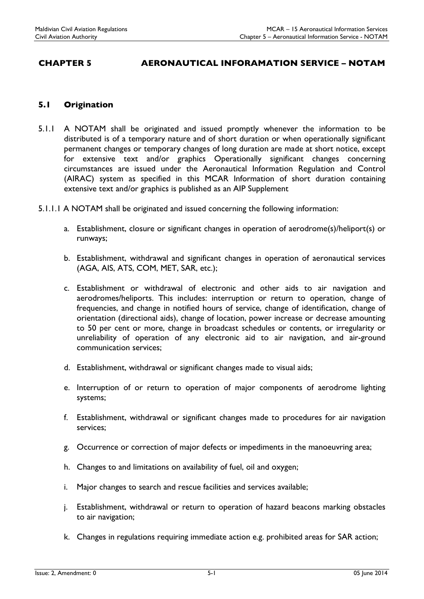# CHAPTER 5 AERONAUTICAL INFORAMATION SERVICE – NOTAM

#### 5.1 Origination

- 5.1.1 A NOTAM shall be originated and issued promptly whenever the information to be distributed is of a temporary nature and of short duration or when operationally significant permanent changes or temporary changes of long duration are made at short notice, except for extensive text and/or graphics Operationally significant changes concerning circumstances are issued under the Aeronautical Information Regulation and Control (AIRAC) system as specified in this MCAR Information of short duration containing extensive text and/or graphics is published as an AIP Supplement
- 5.1.1.1 A NOTAM shall be originated and issued concerning the following information:
	- a. Establishment, closure or significant changes in operation of aerodrome(s)/heliport(s) or runways;
	- b. Establishment, withdrawal and significant changes in operation of aeronautical services (AGA, AIS, ATS, COM, MET, SAR, etc.);
	- c. Establishment or withdrawal of electronic and other aids to air navigation and aerodromes/heliports. This includes: interruption or return to operation, change of frequencies, and change in notified hours of service, change of identification, change of orientation (directional aids), change of location, power increase or decrease amounting to 50 per cent or more, change in broadcast schedules or contents, or irregularity or unreliability of operation of any electronic aid to air navigation, and air-ground communication services;
	- d. Establishment, withdrawal or significant changes made to visual aids;
	- e. Interruption of or return to operation of major components of aerodrome lighting systems;
	- f. Establishment, withdrawal or significant changes made to procedures for air navigation services;
	- g. Occurrence or correction of major defects or impediments in the manoeuvring area;
	- h. Changes to and limitations on availability of fuel, oil and oxygen;
	- i. Major changes to search and rescue facilities and services available;
	- j. Establishment, withdrawal or return to operation of hazard beacons marking obstacles to air navigation;
	- k. Changes in regulations requiring immediate action e.g. prohibited areas for SAR action;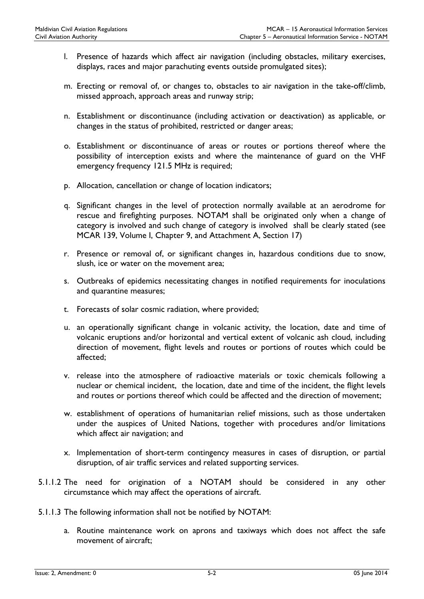- l. Presence of hazards which affect air navigation (including obstacles, military exercises, displays, races and major parachuting events outside promulgated sites);
- m. Erecting or removal of, or changes to, obstacles to air navigation in the take-off/climb, missed approach, approach areas and runway strip;
- n. Establishment or discontinuance (including activation or deactivation) as applicable, or changes in the status of prohibited, restricted or danger areas;
- o. Establishment or discontinuance of areas or routes or portions thereof where the possibility of interception exists and where the maintenance of guard on the VHF emergency frequency 121.5 MHz is required;
- p. Allocation, cancellation or change of location indicators;
- q. Significant changes in the level of protection normally available at an aerodrome for rescue and firefighting purposes. NOTAM shall be originated only when a change of category is involved and such change of category is involved shall be clearly stated (see MCAR 139, Volume I, Chapter 9, and Attachment A, Section 17)
- r. Presence or removal of, or significant changes in, hazardous conditions due to snow, slush, ice or water on the movement area;
- s. Outbreaks of epidemics necessitating changes in notified requirements for inoculations and quarantine measures;
- t. Forecasts of solar cosmic radiation, where provided;
- u. an operationally significant change in volcanic activity, the location, date and time of volcanic eruptions and/or horizontal and vertical extent of volcanic ash cloud, including direction of movement, flight levels and routes or portions of routes which could be affected;
- v. release into the atmosphere of radioactive materials or toxic chemicals following a nuclear or chemical incident, the location, date and time of the incident, the flight levels and routes or portions thereof which could be affected and the direction of movement;
- w. establishment of operations of humanitarian relief missions, such as those undertaken under the auspices of United Nations, together with procedures and/or limitations which affect air navigation; and
- x. Implementation of short-term contingency measures in cases of disruption, or partial disruption, of air traffic services and related supporting services.
- 5.1.1.2 The need for origination of a NOTAM should be considered in any other circumstance which may affect the operations of aircraft.
- 5.1.1.3 The following information shall not be notified by NOTAM:
	- a. Routine maintenance work on aprons and taxiways which does not affect the safe movement of aircraft;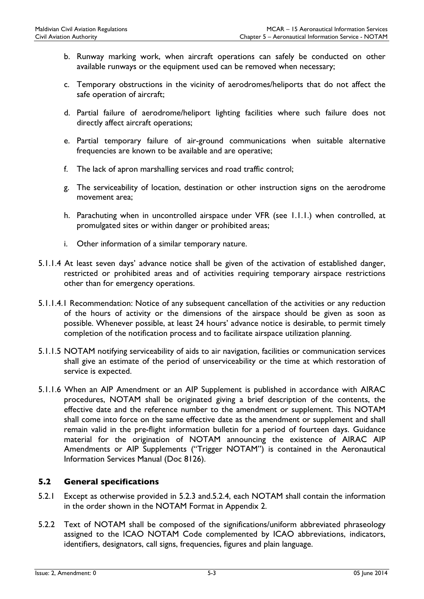- b. Runway marking work, when aircraft operations can safely be conducted on other available runways or the equipment used can be removed when necessary;
- c. Temporary obstructions in the vicinity of aerodromes/heliports that do not affect the safe operation of aircraft;
- d. Partial failure of aerodrome/heliport lighting facilities where such failure does not directly affect aircraft operations;
- e. Partial temporary failure of air-ground communications when suitable alternative frequencies are known to be available and are operative;
- f. The lack of apron marshalling services and road traffic control;
- g. The serviceability of location, destination or other instruction signs on the aerodrome movement area;
- h. Parachuting when in uncontrolled airspace under VFR (see 1.1.1.) when controlled, at promulgated sites or within danger or prohibited areas;
- i. Other information of a similar temporary nature.
- 5.1.1.4 At least seven days' advance notice shall be given of the activation of established danger, restricted or prohibited areas and of activities requiring temporary airspace restrictions other than for emergency operations.
- 5.1.1.4.1 Recommendation: Notice of any subsequent cancellation of the activities or any reduction of the hours of activity or the dimensions of the airspace should be given as soon as possible. Whenever possible, at least 24 hours' advance notice is desirable, to permit timely completion of the notification process and to facilitate airspace utilization planning.
- 5.1.1.5 NOTAM notifying serviceability of aids to air navigation, facilities or communication services shall give an estimate of the period of unserviceability or the time at which restoration of service is expected.
- 5.1.1.6 When an AIP Amendment or an AIP Supplement is published in accordance with AIRAC procedures, NOTAM shall be originated giving a brief description of the contents, the effective date and the reference number to the amendment or supplement. This NOTAM shall come into force on the same effective date as the amendment or supplement and shall remain valid in the pre-flight information bulletin for a period of fourteen days. Guidance material for the origination of NOTAM announcing the existence of AIRAC AIP Amendments or AIP Supplements ("Trigger NOTAM") is contained in the Aeronautical Information Services Manual (Doc 8126).

#### 5.2 General specifications

- 5.2.1 Except as otherwise provided in 5.2.3 and.5.2.4, each NOTAM shall contain the information in the order shown in the NOTAM Format in Appendix 2.
- 5.2.2 Text of NOTAM shall be composed of the significations/uniform abbreviated phraseology assigned to the ICAO NOTAM Code complemented by ICAO abbreviations, indicators, identifiers, designators, call signs, frequencies, figures and plain language.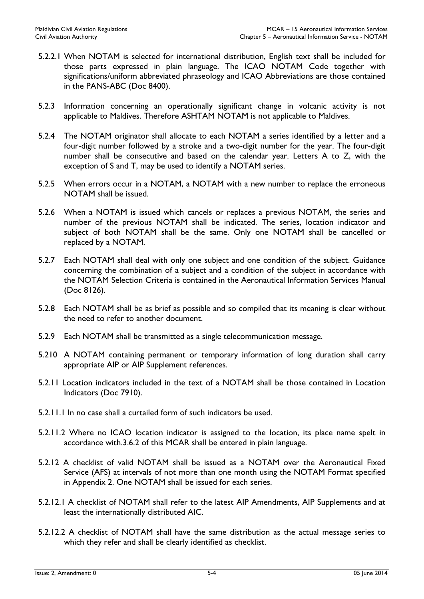- 5.2.2.1 When NOTAM is selected for international distribution, English text shall be included for those parts expressed in plain language. The ICAO NOTAM Code together with significations/uniform abbreviated phraseology and ICAO Abbreviations are those contained in the PANS-ABC (Doc 8400).
- 5.2.3 Information concerning an operationally significant change in volcanic activity is not applicable to Maldives. Therefore ASHTAM NOTAM is not applicable to Maldives.
- 5.2.4 The NOTAM originator shall allocate to each NOTAM a series identified by a letter and a four-digit number followed by a stroke and a two-digit number for the year. The four-digit number shall be consecutive and based on the calendar year. Letters A to Z, with the exception of S and T, may be used to identify a NOTAM series.
- 5.2.5 When errors occur in a NOTAM, a NOTAM with a new number to replace the erroneous NOTAM shall be issued.
- 5.2.6 When a NOTAM is issued which cancels or replaces a previous NOTAM, the series and number of the previous NOTAM shall be indicated. The series, location indicator and subject of both NOTAM shall be the same. Only one NOTAM shall be cancelled or replaced by a NOTAM.
- 5.2.7 Each NOTAM shall deal with only one subject and one condition of the subject. Guidance concerning the combination of a subject and a condition of the subject in accordance with the NOTAM Selection Criteria is contained in the Aeronautical Information Services Manual (Doc 8126).
- 5.2.8 Each NOTAM shall be as brief as possible and so compiled that its meaning is clear without the need to refer to another document.
- 5.2.9 Each NOTAM shall be transmitted as a single telecommunication message.
- 5.210 A NOTAM containing permanent or temporary information of long duration shall carry appropriate AIP or AIP Supplement references.
- 5.2.11 Location indicators included in the text of a NOTAM shall be those contained in Location Indicators (Doc 7910).
- 5.2.11.1 In no case shall a curtailed form of such indicators be used.
- 5.2.11.2 Where no ICAO location indicator is assigned to the location, its place name spelt in accordance with.3.6.2 of this MCAR shall be entered in plain language.
- 5.2.12 A checklist of valid NOTAM shall be issued as a NOTAM over the Aeronautical Fixed Service (AFS) at intervals of not more than one month using the NOTAM Format specified in Appendix 2. One NOTAM shall be issued for each series.
- 5.2.12.1 A checklist of NOTAM shall refer to the latest AIP Amendments, AIP Supplements and at least the internationally distributed AIC.
- 5.2.12.2 A checklist of NOTAM shall have the same distribution as the actual message series to which they refer and shall be clearly identified as checklist.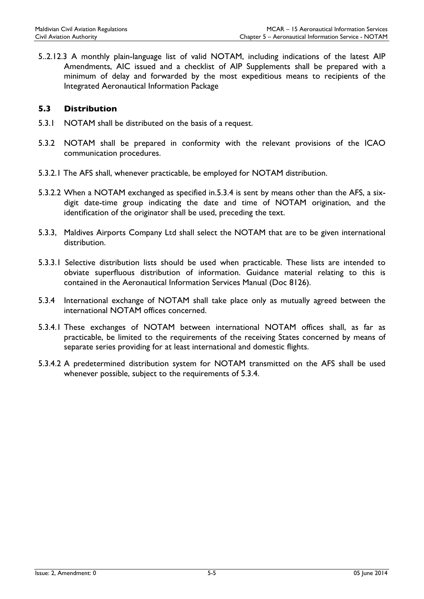5..2.12.3 A monthly plain-language list of valid NOTAM, including indications of the latest AIP Amendments, AIC issued and a checklist of AIP Supplements shall be prepared with a minimum of delay and forwarded by the most expeditious means to recipients of the Integrated Aeronautical Information Package

#### 5.3 Distribution

- 5.3.1 NOTAM shall be distributed on the basis of a request.
- 5.3.2 NOTAM shall be prepared in conformity with the relevant provisions of the ICAO communication procedures.
- 5.3.2.1 The AFS shall, whenever practicable, be employed for NOTAM distribution.
- 5.3.2.2 When a NOTAM exchanged as specified in.5.3.4 is sent by means other than the AFS, a sixdigit date-time group indicating the date and time of NOTAM origination, and the identification of the originator shall be used, preceding the text.
- 5.3.3, Maldives Airports Company Ltd shall select the NOTAM that are to be given international distribution.
- 5.3.3.1 Selective distribution lists should be used when practicable. These lists are intended to obviate superfluous distribution of information. Guidance material relating to this is contained in the Aeronautical Information Services Manual (Doc 8126).
- 5.3.4 International exchange of NOTAM shall take place only as mutually agreed between the international NOTAM offices concerned.
- 5.3.4.1 These exchanges of NOTAM between international NOTAM offices shall, as far as practicable, be limited to the requirements of the receiving States concerned by means of separate series providing for at least international and domestic flights.
- 5.3.4.2 A predetermined distribution system for NOTAM transmitted on the AFS shall be used whenever possible, subject to the requirements of 5.3.4.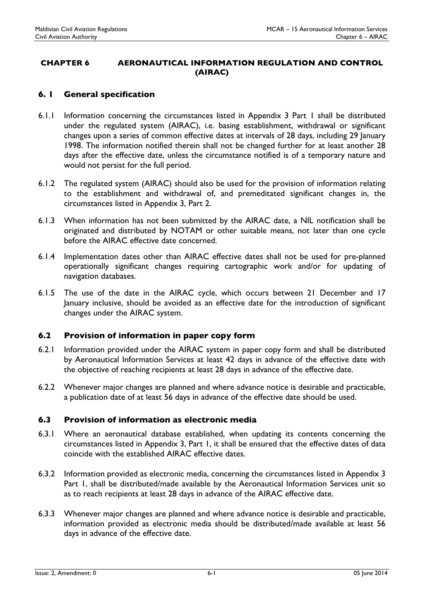#### CHAPTER 6 AERONAUTICAL INFORMATION REGULATION AND CONTROL (AIRAC)

#### 6. 1 General specification

- 6.1.1 Information concerning the circumstances listed in Appendix 3 Part 1 shall be distributed under the regulated system (AIRAC), i.e. basing establishment, withdrawal or significant changes upon a series of common effective dates at intervals of 28 days, including 29 January 1998. The information notified therein shall not be changed further for at least another 28 days after the effective date, unless the circumstance notified is of a temporary nature and would not persist for the full period.
- 6.1.2 The regulated system (AIRAC) should also be used for the provision of information relating to the establishment and withdrawal of, and premeditated significant changes in, the circumstances listed in Appendix 3, Part 2.
- 6.1.3 When information has not been submitted by the AIRAC date, a NIL notification shall be originated and distributed by NOTAM or other suitable means, not later than one cycle before the AIRAC effective date concerned.
- 6.1.4 Implementation dates other than AIRAC effective dates shall not be used for pre-planned operationally significant changes requiring cartographic work and/or for updating of navigation databases.
- 6.1.5 The use of the date in the AIRAC cycle, which occurs between 21 December and 17 January inclusive, should be avoided as an effective date for the introduction of significant changes under the AIRAC system.

#### 6.2 Provision of information in paper copy form

- 6.2.1 Information provided under the AIRAC system in paper copy form and shall be distributed by Aeronautical Information Services at least 42 days in advance of the effective date with the objective of reaching recipients at least 28 days in advance of the effective date.
- 6.2.2 Whenever major changes are planned and where advance notice is desirable and practicable, a publication date of at least 56 days in advance of the effective date should be used.

#### 6.3 Provision of information as electronic media

- 6.3.1 Where an aeronautical database established, when updating its contents concerning the circumstances listed in Appendix 3, Part 1, it shall be ensured that the effective dates of data coincide with the established AIRAC effective dates.
- 6.3.2 Information provided as electronic media, concerning the circumstances listed in Appendix 3 Part 1, shall be distributed/made available by the Aeronautical Information Services unit so as to reach recipients at least 28 days in advance of the AIRAC effective date.
- 6.3.3 Whenever major changes are planned and where advance notice is desirable and practicable, information provided as electronic media should be distributed/made available at least 56 days in advance of the effective date.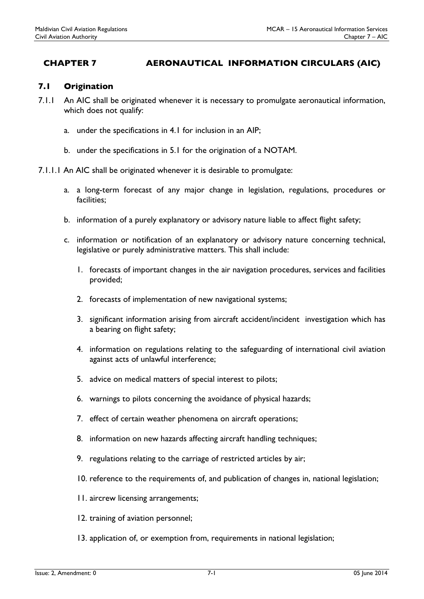# CHAPTER 7 AERONAUTICAL INFORMATION CIRCULARS (AIC)

#### 7.1 Origination

- 7.1.1 An AIC shall be originated whenever it is necessary to promulgate aeronautical information, which does not qualify:
	- a. under the specifications in 4.1 for inclusion in an AIP;
	- b. under the specifications in 5.1 for the origination of a NOTAM.
- 7.1.1.1 An AIC shall be originated whenever it is desirable to promulgate:
	- a. a long-term forecast of any major change in legislation, regulations, procedures or facilities;
	- b. information of a purely explanatory or advisory nature liable to affect flight safety;
	- c. information or notification of an explanatory or advisory nature concerning technical, legislative or purely administrative matters. This shall include:
		- 1. forecasts of important changes in the air navigation procedures, services and facilities provided;
		- 2. forecasts of implementation of new navigational systems;
		- 3. significant information arising from aircraft accident/incident investigation which has a bearing on flight safety;
		- 4. information on regulations relating to the safeguarding of international civil aviation against acts of unlawful interference;
		- 5. advice on medical matters of special interest to pilots;
		- 6. warnings to pilots concerning the avoidance of physical hazards;
		- 7. effect of certain weather phenomena on aircraft operations;
		- 8. information on new hazards affecting aircraft handling techniques;
		- 9. regulations relating to the carriage of restricted articles by air;
		- 10. reference to the requirements of, and publication of changes in, national legislation;
		- 11. aircrew licensing arrangements;
		- 12. training of aviation personnel;
		- 13. application of, or exemption from, requirements in national legislation;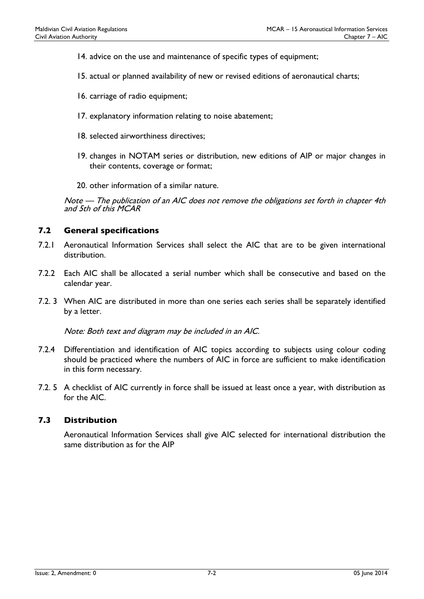- 14. advice on the use and maintenance of specific types of equipment;
- 15. actual or planned availability of new or revised editions of aeronautical charts;
- 16. carriage of radio equipment;
- 17. explanatory information relating to noise abatement;
- 18. selected airworthiness directives;
- 19. changes in NOTAM series or distribution, new editions of AIP or major changes in their contents, coverage or format;
- 20. other information of a similar nature.

Note — The publication of an AIC does not remove the obligations set forth in chapter 4th and 5th of this MCAR

#### 7.2 General specifications

- 7.2.1 Aeronautical Information Services shall select the AIC that are to be given international distribution.
- 7.2.2 Each AIC shall be allocated a serial number which shall be consecutive and based on the calendar year.
- 7.2. 3 When AIC are distributed in more than one series each series shall be separately identified by a letter.

Note: Both text and diagram may be included in an AIC.

- 7.2.4 Differentiation and identification of AIC topics according to subjects using colour coding should be practiced where the numbers of AIC in force are sufficient to make identification in this form necessary.
- 7.2. 5 A checklist of AIC currently in force shall be issued at least once a year, with distribution as for the AIC.

#### 7.3 Distribution

Aeronautical Information Services shall give AIC selected for international distribution the same distribution as for the AIP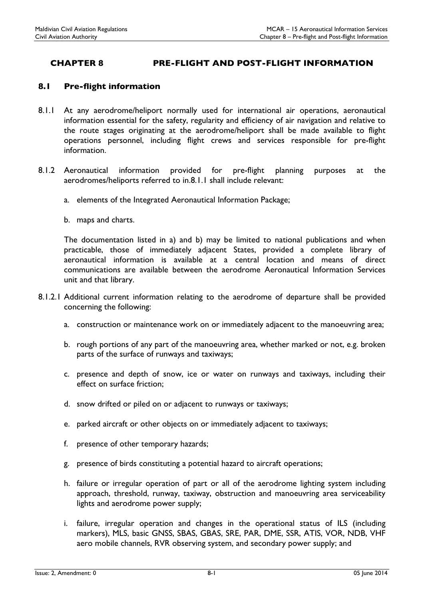# CHAPTER 8 PRE-FLIGHT AND POST-FLIGHT INFORMATION

#### 8.1 Pre-flight information

- 8.1.1 At any aerodrome/heliport normally used for international air operations, aeronautical information essential for the safety, regularity and efficiency of air navigation and relative to the route stages originating at the aerodrome/heliport shall be made available to flight operations personnel, including flight crews and services responsible for pre-flight information.
- 8.1.2 Aeronautical information provided for pre-flight planning purposes at the aerodromes/heliports referred to in.8.1.1 shall include relevant:
	- a. elements of the Integrated Aeronautical Information Package;
	- b. maps and charts.

The documentation listed in a) and b) may be limited to national publications and when practicable, those of immediately adjacent States, provided a complete library of aeronautical information is available at a central location and means of direct communications are available between the aerodrome Aeronautical Information Services unit and that library.

- 8.1.2.1 Additional current information relating to the aerodrome of departure shall be provided concerning the following:
	- a. construction or maintenance work on or immediately adjacent to the manoeuvring area;
	- b. rough portions of any part of the manoeuvring area, whether marked or not, e.g. broken parts of the surface of runways and taxiways;
	- c. presence and depth of snow, ice or water on runways and taxiways, including their effect on surface friction;
	- d. snow drifted or piled on or adjacent to runways or taxiways;
	- e. parked aircraft or other objects on or immediately adjacent to taxiways;
	- f. presence of other temporary hazards;
	- g. presence of birds constituting a potential hazard to aircraft operations;
	- h. failure or irregular operation of part or all of the aerodrome lighting system including approach, threshold, runway, taxiway, obstruction and manoeuvring area serviceability lights and aerodrome power supply;
	- i. failure, irregular operation and changes in the operational status of ILS (including markers), MLS, basic GNSS, SBAS, GBAS, SRE, PAR, DME, SSR, ATIS, VOR, NDB, VHF aero mobile channels, RVR observing system, and secondary power supply; and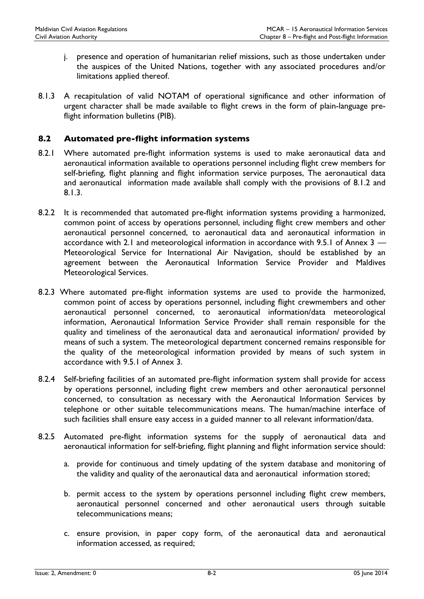- j. presence and operation of humanitarian relief missions, such as those undertaken under the auspices of the United Nations, together with any associated procedures and/or limitations applied thereof.
- 8.1.3 A recapitulation of valid NOTAM of operational significance and other information of urgent character shall be made available to flight crews in the form of plain-language preflight information bulletins (PIB).

#### 8.2 Automated pre-flight information systems

- 8.2.1 Where automated pre-flight information systems is used to make aeronautical data and aeronautical information available to operations personnel including flight crew members for self-briefing, flight planning and flight information service purposes, The aeronautical data and aeronautical information made available shall comply with the provisions of 8.1.2 and 8.1.3.
- 8.2.2 It is recommended that automated pre-flight information systems providing a harmonized, common point of access by operations personnel, including flight crew members and other aeronautical personnel concerned, to aeronautical data and aeronautical information in accordance with 2.1 and meteorological information in accordance with 9.5.1 of Annex 3 — Meteorological Service for International Air Navigation, should be established by an agreement between the Aeronautical Information Service Provider and Maldives Meteorological Services.
- 8.2.3 Where automated pre-flight information systems are used to provide the harmonized, common point of access by operations personnel, including flight crewmembers and other aeronautical personnel concerned, to aeronautical information/data meteorological information, Aeronautical Information Service Provider shall remain responsible for the quality and timeliness of the aeronautical data and aeronautical information/ provided by means of such a system. The meteorological department concerned remains responsible for the quality of the meteorological information provided by means of such system in accordance with 9.5.1 of Annex 3.
- 8.2.4 Self-briefing facilities of an automated pre-flight information system shall provide for access by operations personnel, including flight crew members and other aeronautical personnel concerned, to consultation as necessary with the Aeronautical Information Services by telephone or other suitable telecommunications means. The human/machine interface of such facilities shall ensure easy access in a guided manner to all relevant information/data.
- 8.2.5 Automated pre-flight information systems for the supply of aeronautical data and aeronautical information for self-briefing, flight planning and flight information service should:
	- a. provide for continuous and timely updating of the system database and monitoring of the validity and quality of the aeronautical data and aeronautical information stored;
	- b. permit access to the system by operations personnel including flight crew members, aeronautical personnel concerned and other aeronautical users through suitable telecommunications means;
	- c. ensure provision, in paper copy form, of the aeronautical data and aeronautical information accessed, as required;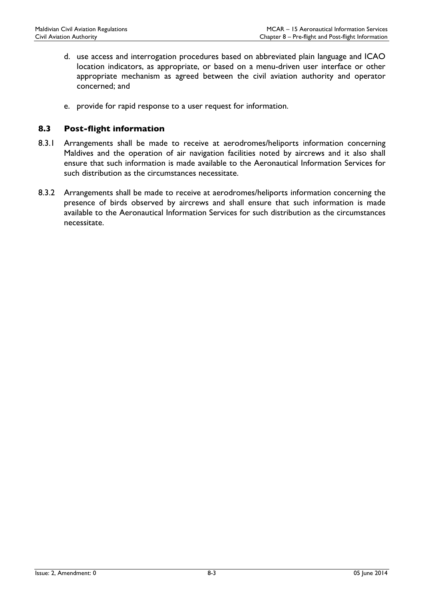- d. use access and interrogation procedures based on abbreviated plain language and ICAO location indicators, as appropriate, or based on a menu-driven user interface or other appropriate mechanism as agreed between the civil aviation authority and operator concerned; and
- e. provide for rapid response to a user request for information.

#### 8.3 Post-flight information

- 8.3.1 Arrangements shall be made to receive at aerodromes/heliports information concerning Maldives and the operation of air navigation facilities noted by aircrews and it also shall ensure that such information is made available to the Aeronautical Information Services for such distribution as the circumstances necessitate.
- 8.3.2 Arrangements shall be made to receive at aerodromes/heliports information concerning the presence of birds observed by aircrews and shall ensure that such information is made available to the Aeronautical Information Services for such distribution as the circumstances necessitate.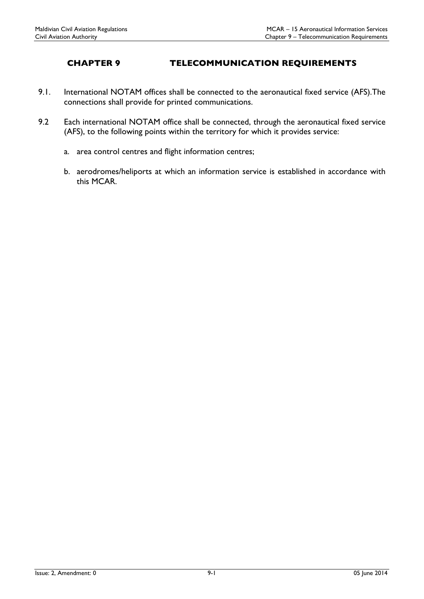# CHAPTER 9 TELECOMMUNICATION REQUIREMENTS

- 9.1. International NOTAM offices shall be connected to the aeronautical fixed service (AFS).The connections shall provide for printed communications.
- 9.2 Each international NOTAM office shall be connected, through the aeronautical fixed service (AFS), to the following points within the territory for which it provides service:
	- a. area control centres and flight information centres;
	- b. aerodromes/heliports at which an information service is established in accordance with this MCAR.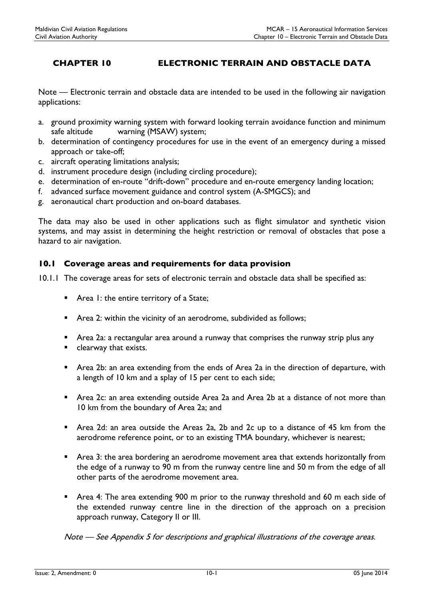# CHAPTER 10 ELECTRONIC TERRAIN AND OBSTACLE DATA

Note — Electronic terrain and obstacle data are intended to be used in the following air navigation applications:

- a. ground proximity warning system with forward looking terrain avoidance function and minimum safe altitude warning (MSAW) system;
- b. determination of contingency procedures for use in the event of an emergency during a missed approach or take-off;
- c. aircraft operating limitations analysis;
- d. instrument procedure design (including circling procedure);
- e. determination of en-route "drift-down" procedure and en-route emergency landing location;
- f. advanced surface movement guidance and control system (A-SMGCS); and
- g. aeronautical chart production and on-board databases.

The data may also be used in other applications such as flight simulator and synthetic vision systems, and may assist in determining the height restriction or removal of obstacles that pose a hazard to air navigation.

#### 10.1 Coverage areas and requirements for data provision

10.1.1 The coverage areas for sets of electronic terrain and obstacle data shall be specified as:

- Area 1: the entire territory of a State;
- Area 2: within the vicinity of an aerodrome, subdivided as follows;
- Area 2a: a rectangular area around a runway that comprises the runway strip plus any
- clearway that exists.
- Area 2b: an area extending from the ends of Area 2a in the direction of departure, with a length of 10 km and a splay of 15 per cent to each side;
- Area 2c: an area extending outside Area 2a and Area 2b at a distance of not more than 10 km from the boundary of Area 2a; and
- Area 2d: an area outside the Areas 2a, 2b and 2c up to a distance of 45 km from the aerodrome reference point, or to an existing TMA boundary, whichever is nearest;
- Area 3: the area bordering an aerodrome movement area that extends horizontally from the edge of a runway to 90 m from the runway centre line and 50 m from the edge of all other parts of the aerodrome movement area.
- Area 4: The area extending 900 m prior to the runway threshold and 60 m each side of the extended runway centre line in the direction of the approach on a precision approach runway, Category II or III.

Note — See Appendix 5 for descriptions and graphical illustrations of the coverage areas.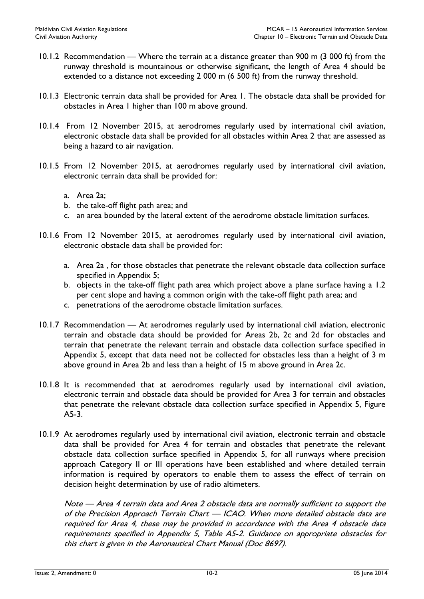- 10.1.2 Recommendation Where the terrain at a distance greater than 900 m (3 000 ft) from the runway threshold is mountainous or otherwise significant, the length of Area 4 should be extended to a distance not exceeding 2 000 m (6 500 ft) from the runway threshold.
- 10.1.3 Electronic terrain data shall be provided for Area 1. The obstacle data shall be provided for obstacles in Area 1 higher than 100 m above ground.
- 10.1.4 From 12 November 2015, at aerodromes regularly used by international civil aviation, electronic obstacle data shall be provided for all obstacles within Area 2 that are assessed as being a hazard to air navigation.
- 10.1.5 From 12 November 2015, at aerodromes regularly used by international civil aviation, electronic terrain data shall be provided for:
	- a. Area 2a;
	- b. the take-off flight path area; and
	- c. an area bounded by the lateral extent of the aerodrome obstacle limitation surfaces.
- 10.1.6 From 12 November 2015, at aerodromes regularly used by international civil aviation, electronic obstacle data shall be provided for:
	- a. Area 2a , for those obstacles that penetrate the relevant obstacle data collection surface specified in Appendix 5;
	- b. objects in the take-off flight path area which project above a plane surface having a 1.2 per cent slope and having a common origin with the take-off flight path area; and
	- c. penetrations of the aerodrome obstacle limitation surfaces.
- 10.1.7 Recommendation At aerodromes regularly used by international civil aviation, electronic terrain and obstacle data should be provided for Areas 2b, 2c and 2d for obstacles and terrain that penetrate the relevant terrain and obstacle data collection surface specified in Appendix 5, except that data need not be collected for obstacles less than a height of 3 m above ground in Area 2b and less than a height of 15 m above ground in Area 2c.
- 10.1.8 It is recommended that at aerodromes regularly used by international civil aviation, electronic terrain and obstacle data should be provided for Area 3 for terrain and obstacles that penetrate the relevant obstacle data collection surface specified in Appendix 5, Figure A5-3.
- 10.1.9 At aerodromes regularly used by international civil aviation, electronic terrain and obstacle data shall be provided for Area 4 for terrain and obstacles that penetrate the relevant obstacle data collection surface specified in Appendix 5, for all runways where precision approach Category II or III operations have been established and where detailed terrain information is required by operators to enable them to assess the effect of terrain on decision height determination by use of radio altimeters.

Note — Area 4 terrain data and Area 2 obstacle data are normally sufficient to support the of the Precision Approach Terrain Chart — ICAO. When more detailed obstacle data are required for Area 4, these may be provided in accordance with the Area 4 obstacle data requirements specified in Appendix 5, Table A5-2. Guidance on appropriate obstacles for this chart is given in the Aeronautical Chart Manual (Doc 8697).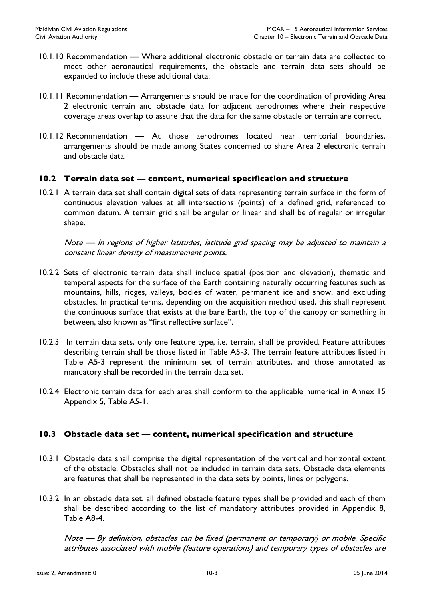- 10.1.10 Recommendation Where additional electronic obstacle or terrain data are collected to meet other aeronautical requirements, the obstacle and terrain data sets should be expanded to include these additional data.
- 10.1.11 Recommendation Arrangements should be made for the coordination of providing Area 2 electronic terrain and obstacle data for adjacent aerodromes where their respective coverage areas overlap to assure that the data for the same obstacle or terrain are correct.
- 10.1.12 Recommendation At those aerodromes located near territorial boundaries, arrangements should be made among States concerned to share Area 2 electronic terrain and obstacle data.

#### 10.2 Terrain data set — content, numerical specification and structure

10.2.1 A terrain data set shall contain digital sets of data representing terrain surface in the form of continuous elevation values at all intersections (points) of a defined grid, referenced to common datum. A terrain grid shall be angular or linear and shall be of regular or irregular shape.

Note — In regions of higher latitudes, latitude grid spacing may be adjusted to maintain a constant linear density of measurement points.

- 10.2.2 Sets of electronic terrain data shall include spatial (position and elevation), thematic and temporal aspects for the surface of the Earth containing naturally occurring features such as mountains, hills, ridges, valleys, bodies of water, permanent ice and snow, and excluding obstacles. In practical terms, depending on the acquisition method used, this shall represent the continuous surface that exists at the bare Earth, the top of the canopy or something in between, also known as "first reflective surface".
- 10.2.3 In terrain data sets, only one feature type, i.e. terrain, shall be provided. Feature attributes describing terrain shall be those listed in Table A5-3. The terrain feature attributes listed in Table A5-3 represent the minimum set of terrain attributes, and those annotated as mandatory shall be recorded in the terrain data set.
- 10.2.4 Electronic terrain data for each area shall conform to the applicable numerical in Annex 15 Appendix 5, Table A5-1.

#### 10.3 Obstacle data set — content, numerical specification and structure

- 10.3.1 Obstacle data shall comprise the digital representation of the vertical and horizontal extent of the obstacle. Obstacles shall not be included in terrain data sets. Obstacle data elements are features that shall be represented in the data sets by points, lines or polygons.
- 10.3.2 In an obstacle data set, all defined obstacle feature types shall be provided and each of them shall be described according to the list of mandatory attributes provided in Appendix 8, Table A8-4.

Note — By definition, obstacles can be fixed (permanent or temporary) or mobile. Specific attributes associated with mobile (feature operations) and temporary types of obstacles are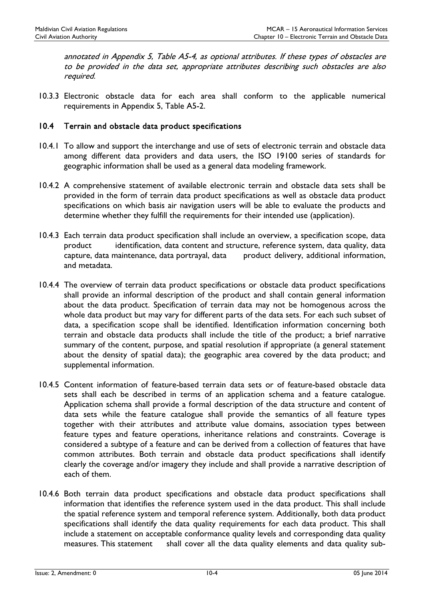annotated in Appendix 5, Table A5-4, as optional attributes. If these types of obstacles are to be provided in the data set, appropriate attributes describing such obstacles are also required.

10.3.3 Electronic obstacle data for each area shall conform to the applicable numerical requirements in Appendix 5, Table A5-2.

#### 10.4 Terrain and obstacle data product specifications

- 10.4.1 To allow and support the interchange and use of sets of electronic terrain and obstacle data among different data providers and data users, the ISO 19100 series of standards for geographic information shall be used as a general data modeling framework.
- 10.4.2 A comprehensive statement of available electronic terrain and obstacle data sets shall be provided in the form of terrain data product specifications as well as obstacle data product specifications on which basis air navigation users will be able to evaluate the products and determine whether they fulfill the requirements for their intended use (application).
- 10.4.3 Each terrain data product specification shall include an overview, a specification scope, data product identification, data content and structure, reference system, data quality, data capture, data maintenance, data portrayal, data product delivery, additional information, and metadata.
- 10.4.4 The overview of terrain data product specifications or obstacle data product specifications shall provide an informal description of the product and shall contain general information about the data product. Specification of terrain data may not be homogenous across the whole data product but may vary for different parts of the data sets. For each such subset of data, a specification scope shall be identified. Identification information concerning both terrain and obstacle data products shall include the title of the product; a brief narrative summary of the content, purpose, and spatial resolution if appropriate (a general statement about the density of spatial data); the geographic area covered by the data product; and supplemental information.
- 10.4.5 Content information of feature-based terrain data sets or of feature-based obstacle data sets shall each be described in terms of an application schema and a feature catalogue. Application schema shall provide a formal description of the data structure and content of data sets while the feature catalogue shall provide the semantics of all feature types together with their attributes and attribute value domains, association types between feature types and feature operations, inheritance relations and constraints. Coverage is considered a subtype of a feature and can be derived from a collection of features that have common attributes. Both terrain and obstacle data product specifications shall identify clearly the coverage and/or imagery they include and shall provide a narrative description of each of them.
- 10.4.6 Both terrain data product specifications and obstacle data product specifications shall information that identifies the reference system used in the data product. This shall include the spatial reference system and temporal reference system. Additionally, both data product specifications shall identify the data quality requirements for each data product. This shall include a statement on acceptable conformance quality levels and corresponding data quality measures. This statement shall cover all the data quality elements and data quality sub-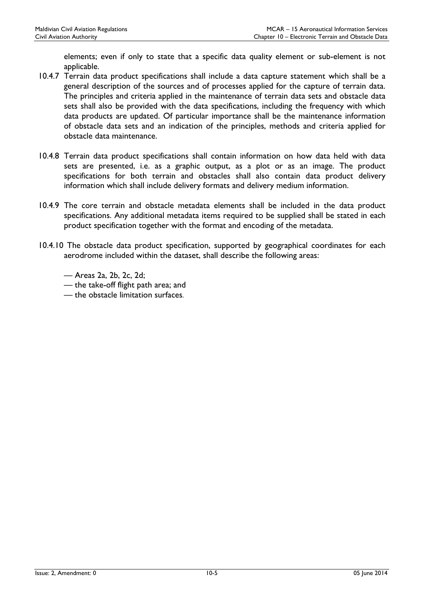elements; even if only to state that a specific data quality element or sub-element is not applicable.

- 10.4.7 Terrain data product specifications shall include a data capture statement which shall be a general description of the sources and of processes applied for the capture of terrain data. The principles and criteria applied in the maintenance of terrain data sets and obstacle data sets shall also be provided with the data specifications, including the frequency with which data products are updated. Of particular importance shall be the maintenance information of obstacle data sets and an indication of the principles, methods and criteria applied for obstacle data maintenance.
- 10.4.8 Terrain data product specifications shall contain information on how data held with data sets are presented, i.e. as a graphic output, as a plot or as an image. The product specifications for both terrain and obstacles shall also contain data product delivery information which shall include delivery formats and delivery medium information.
- 10.4.9 The core terrain and obstacle metadata elements shall be included in the data product specifications. Any additional metadata items required to be supplied shall be stated in each product specification together with the format and encoding of the metadata.
- 10.4.10 The obstacle data product specification, supported by geographical coordinates for each aerodrome included within the dataset, shall describe the following areas:
	- Areas 2a, 2b, 2c, 2d;
	- the take-off flight path area; and
	- the obstacle limitation surfaces.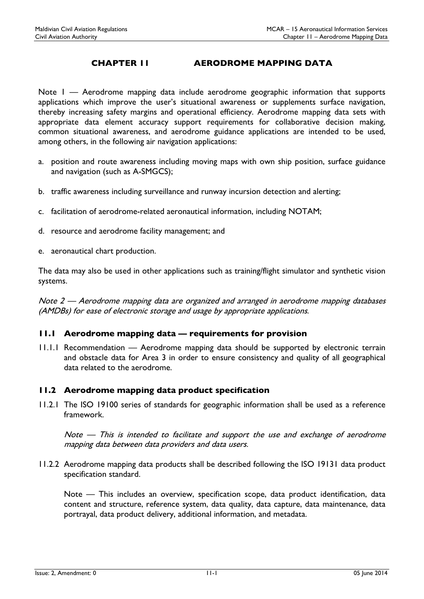# CHAPTER 11 AERODROME MAPPING DATA

Note I — Aerodrome mapping data include aerodrome geographic information that supports applications which improve the user's situational awareness or supplements surface navigation, thereby increasing safety margins and operational efficiency. Aerodrome mapping data sets with appropriate data element accuracy support requirements for collaborative decision making, common situational awareness, and aerodrome guidance applications are intended to be used, among others, in the following air navigation applications:

- a. position and route awareness including moving maps with own ship position, surface guidance and navigation (such as A-SMGCS);
- b. traffic awareness including surveillance and runway incursion detection and alerting;
- c. facilitation of aerodrome-related aeronautical information, including NOTAM;
- d. resource and aerodrome facility management; and
- e. aeronautical chart production.

The data may also be used in other applications such as training/flight simulator and synthetic vision systems.

Note 2 — Aerodrome mapping data are organized and arranged in aerodrome mapping databases (AMDBs) for ease of electronic storage and usage by appropriate applications.

### 11.1 Aerodrome mapping data — requirements for provision

11.1.1 Recommendation — Aerodrome mapping data should be supported by electronic terrain and obstacle data for Area 3 in order to ensure consistency and quality of all geographical data related to the aerodrome.

## 11.2 Aerodrome mapping data product specification

11.2.1 The ISO 19100 series of standards for geographic information shall be used as a reference framework.

Note — This is intended to facilitate and support the use and exchange of aerodrome mapping data between data providers and data users.

11.2.2 Aerodrome mapping data products shall be described following the ISO 19131 data product specification standard.

Note — This includes an overview, specification scope, data product identification, data content and structure, reference system, data quality, data capture, data maintenance, data portrayal, data product delivery, additional information, and metadata.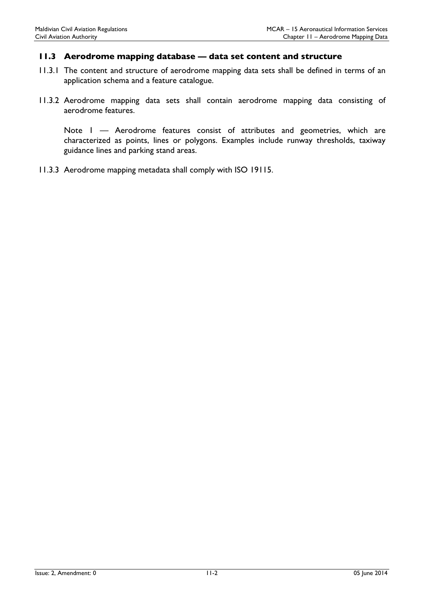### 11.3 Aerodrome mapping database — data set content and structure

- 11.3.1 The content and structure of aerodrome mapping data sets shall be defined in terms of an application schema and a feature catalogue.
- 11.3.2 Aerodrome mapping data sets shall contain aerodrome mapping data consisting of aerodrome features.

Note I — Aerodrome features consist of attributes and geometries, which are characterized as points, lines or polygons. Examples include runway thresholds, taxiway guidance lines and parking stand areas.

11.3.3 Aerodrome mapping metadata shall comply with ISO 19115.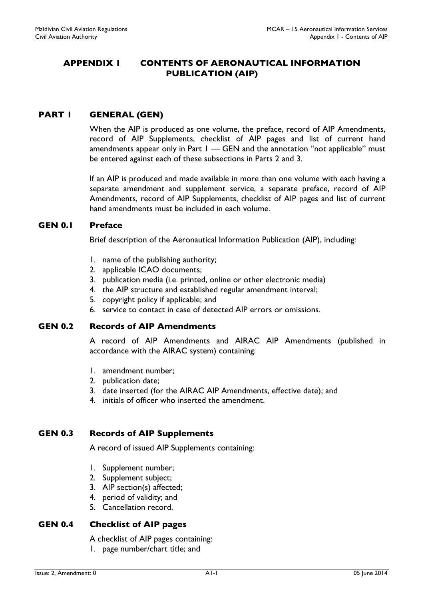# APPENDIX 1 CONTENTS OF AERONAUTICAL INFORMATION PUBLICATION (AIP)

# PART I GENERAL (GEN)

When the AIP is produced as one volume, the preface, record of AIP Amendments, record of AIP Supplements, checklist of AIP pages and list of current hand amendments appear only in Part 1 — GEN and the annotation "not applicable" must be entered against each of these subsections in Parts 2 and 3.

If an AIP is produced and made available in more than one volume with each having a separate amendment and supplement service, a separate preface, record of AIP Amendments, record of AIP Supplements, checklist of AIP pages and list of current hand amendments must be included in each volume.

## GEN 0.1 Preface

Brief description of the Aeronautical Information Publication (AIP), including:

- 1. name of the publishing authority;
- 2. applicable ICAO documents;
- 3. publication media (i.e. printed, online or other electronic media)
- 4. the AIP structure and established regular amendment interval;
- 5. copyright policy if applicable; and
- 6. service to contact in case of detected AIP errors or omissions.

### GEN 0.2 Records of AIP Amendments

A record of AIP Amendments and AIRAC AIP Amendments (published in accordance with the AIRAC system) containing:

- 1. amendment number;
- 2. publication date;
- 3. date inserted (for the AIRAC AIP Amendments, effective date); and
- 4. initials of officer who inserted the amendment.

## GEN 0.3 Records of AIP Supplements

A record of issued AIP Supplements containing:

- 1. Supplement number;
- 2. Supplement subject;
- 3. AIP section(s) affected;
- 4. period of validity; and
- 5. Cancellation record.

### GEN 0.4 Checklist of AIP pages

A checklist of AIP pages containing:

1. page number/chart title; and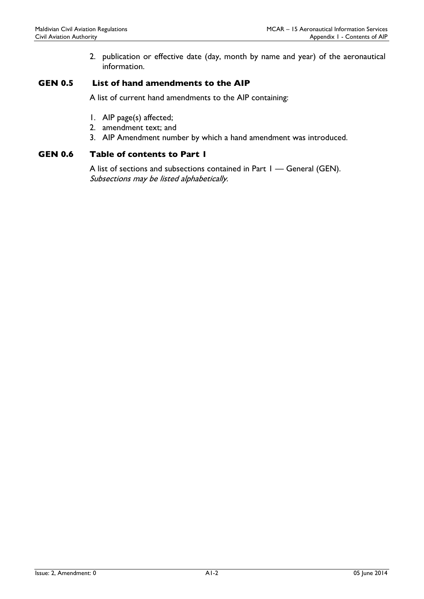2. publication or effective date (day, month by name and year) of the aeronautical information.

## GEN 0.5 List of hand amendments to the AIP

A list of current hand amendments to the AIP containing:

- 1. AIP page(s) affected;
- 2. amendment text; and
- 3. AIP Amendment number by which a hand amendment was introduced.

## GEN 0.6 Table of contents to Part 1

A list of sections and subsections contained in Part I — General (GEN). Subsections may be listed alphabetically.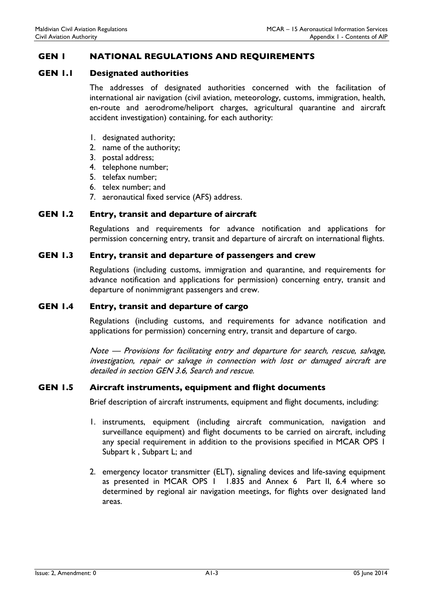## GEN 1 NATIONAL REGULATIONS AND REQUIREMENTS

#### GEN 1.1 Designated authorities

The addresses of designated authorities concerned with the facilitation of international air navigation (civil aviation, meteorology, customs, immigration, health, en-route and aerodrome/heliport charges, agricultural quarantine and aircraft accident investigation) containing, for each authority:

- 1. designated authority;
- 2. name of the authority;
- 3. postal address;
- 4. telephone number;
- 5. telefax number;
- 6. telex number; and
- 7. aeronautical fixed service (AFS) address.

#### GEN 1.2 Entry, transit and departure of aircraft

Regulations and requirements for advance notification and applications for permission concerning entry, transit and departure of aircraft on international flights.

#### GEN 1.3 Entry, transit and departure of passengers and crew

Regulations (including customs, immigration and quarantine, and requirements for advance notification and applications for permission) concerning entry, transit and departure of nonimmigrant passengers and crew.

#### GEN 1.4 Entry, transit and departure of cargo

Regulations (including customs, and requirements for advance notification and applications for permission) concerning entry, transit and departure of cargo.

Note — Provisions for facilitating entry and departure for search, rescue, salvage, investigation, repair or salvage in connection with lost or damaged aircraft are detailed in section GEN 3.6, Search and rescue.

#### GEN 1.5 Aircraft instruments, equipment and flight documents

Brief description of aircraft instruments, equipment and flight documents, including:

- 1. instruments, equipment (including aircraft communication, navigation and surveillance equipment) and flight documents to be carried on aircraft, including any special requirement in addition to the provisions specified in MCAR OPS 1 Subpart k , Subpart L; and
- 2. emergency locator transmitter (ELT), signaling devices and life-saving equipment as presented in MCAR OPS 1 1.835 and Annex 6 Part II, 6.4 where so determined by regional air navigation meetings, for flights over designated land areas.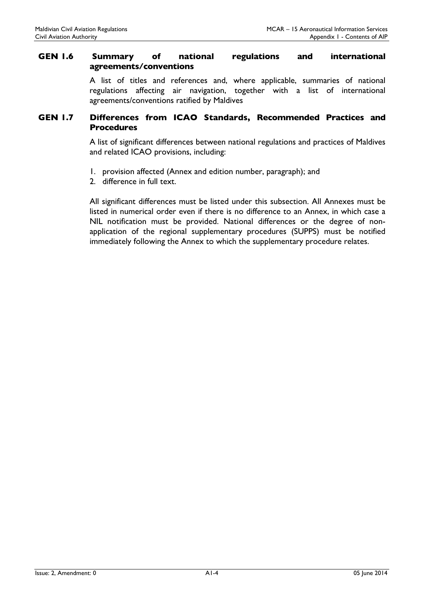## GEN 1.6 Summary of national regulations and international agreements/conventions

A list of titles and references and, where applicable, summaries of national regulations affecting air navigation, together with a list of international agreements/conventions ratified by Maldives

## GEN 1.7 Differences from ICAO Standards, Recommended Practices and **Procedures**

A list of significant differences between national regulations and practices of Maldives and related ICAO provisions, including:

- 1. provision affected (Annex and edition number, paragraph); and
- 2. difference in full text.

All significant differences must be listed under this subsection. All Annexes must be listed in numerical order even if there is no difference to an Annex, in which case a NIL notification must be provided. National differences or the degree of nonapplication of the regional supplementary procedures (SUPPS) must be notified immediately following the Annex to which the supplementary procedure relates.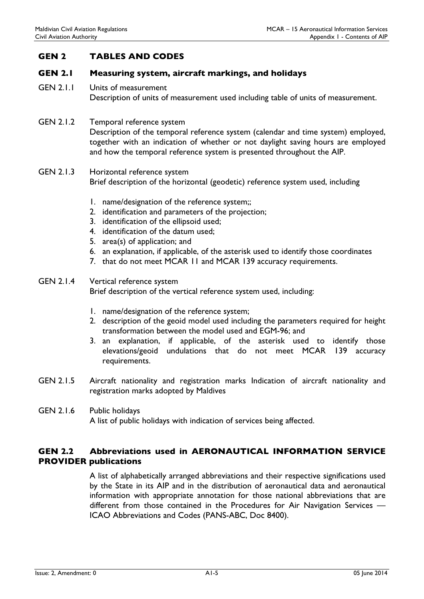# GEN 2 TABLES AND CODES

## GEN 2.1 Measuring system, aircraft markings, and holidays

GEN 2.1.1 Units of measurement Description of units of measurement used including table of units of measurement.

## GEN 2.1.2 Temporal reference system Description of the temporal reference system (calendar and time system) employed, together with an indication of whether or not daylight saving hours are employed and how the temporal reference system is presented throughout the AIP.

## GEN 2.1.3 Horizontal reference system Brief description of the horizontal (geodetic) reference system used, including

- 1. name/designation of the reference system;;
- 2. identification and parameters of the projection;
- 3. identification of the ellipsoid used;
- 4. identification of the datum used;
- 5. area(s) of application; and
- 6. an explanation, if applicable, of the asterisk used to identify those coordinates
- 7. that do not meet MCAR 11 and MCAR 139 accuracy requirements.

#### GEN 2.1.4 Vertical reference system Brief description of the vertical reference system used, including:

- 1. name/designation of the reference system;
- 2. description of the geoid model used including the parameters required for height transformation between the model used and EGM-96; and
- 3. an explanation, if applicable, of the asterisk used to identify those elevations/geoid undulations that do not meet MCAR 139 accuracy requirements.
- GEN 2.1.5 Aircraft nationality and registration marks Indication of aircraft nationality and registration marks adopted by Maldives

## GEN 2.1.6 Public holidays A list of public holidays with indication of services being affected.

# GEN 2.2 Abbreviations used in AERONAUTICAL INFORMATION SERVICE PROVIDER publications

A list of alphabetically arranged abbreviations and their respective significations used by the State in its AIP and in the distribution of aeronautical data and aeronautical information with appropriate annotation for those national abbreviations that are different from those contained in the Procedures for Air Navigation Services — ICAO Abbreviations and Codes (PANS-ABC, Doc 8400).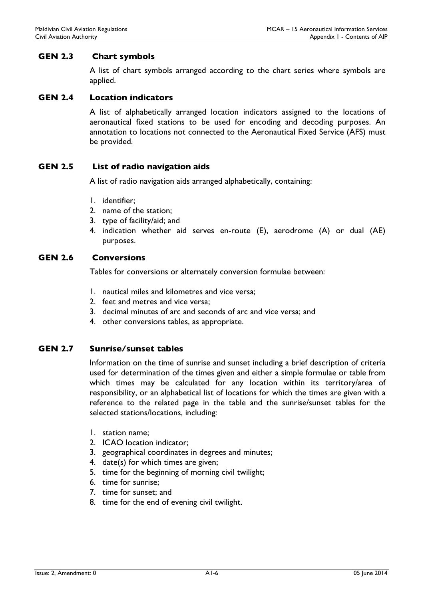## GEN 2.3 Chart symbols

A list of chart symbols arranged according to the chart series where symbols are applied.

## GEN 2.4 Location indicators

A list of alphabetically arranged location indicators assigned to the locations of aeronautical fixed stations to be used for encoding and decoding purposes. An annotation to locations not connected to the Aeronautical Fixed Service (AFS) must be provided.

### GEN 2.5 List of radio navigation aids

A list of radio navigation aids arranged alphabetically, containing:

- 1. identifier;
- 2. name of the station;
- 3. type of facility/aid; and
- 4. indication whether aid serves en-route (E), aerodrome (A) or dual (AE) purposes.

## GEN 2.6 Conversions

Tables for conversions or alternately conversion formulae between:

- 1. nautical miles and kilometres and vice versa;
- 2. feet and metres and vice versa;
- 3. decimal minutes of arc and seconds of arc and vice versa; and
- 4. other conversions tables, as appropriate.

## GEN 2.7 Sunrise/sunset tables

Information on the time of sunrise and sunset including a brief description of criteria used for determination of the times given and either a simple formulae or table from which times may be calculated for any location within its territory/area of responsibility, or an alphabetical list of locations for which the times are given with a reference to the related page in the table and the sunrise/sunset tables for the selected stations/locations, including:

- 1. station name;
- 2. ICAO location indicator;
- 3. geographical coordinates in degrees and minutes;
- 4. date(s) for which times are given;
- 5. time for the beginning of morning civil twilight;
- 6. time for sunrise;
- 7. time for sunset; and
- 8. time for the end of evening civil twilight.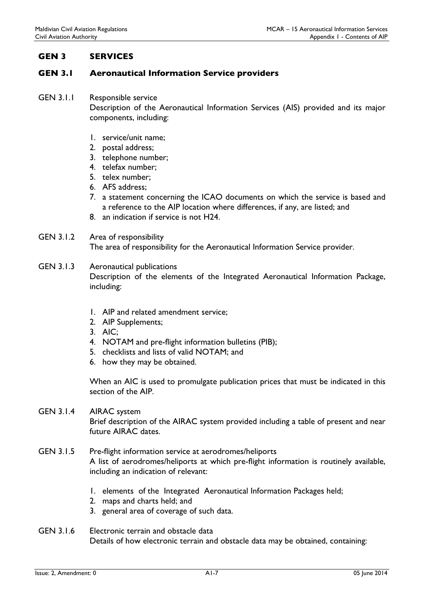# GEN 3 SERVICES

## GEN 3.1 Aeronautical Information Service providers

GEN 3.1.1 Responsible service

Description of the Aeronautical Information Services (AIS) provided and its major components, including:

- 1. service/unit name;
- 2. postal address;
- 3. telephone number;
- 4. telefax number;
- 5. telex number;
- 6. AFS address;
- 7. a statement concerning the ICAO documents on which the service is based and a reference to the AIP location where differences, if any, are listed; and
- 8. an indication if service is not H24.

## GEN 3.1.2 Area of responsibility The area of responsibility for the Aeronautical Information Service provider.

- GEN 3.1.3 Aeronautical publications Description of the elements of the Integrated Aeronautical Information Package, including:
	- 1. AIP and related amendment service;
	- 2. AIP Supplements;
	- 3. AIC;
	- 4. NOTAM and pre-flight information bulletins (PIB);
	- 5. checklists and lists of valid NOTAM; and
	- 6. how they may be obtained.

When an AIC is used to promulgate publication prices that must be indicated in this section of the AIP.

- GEN 3.1.4 AIRAC system Brief description of the AIRAC system provided including a table of present and near future AIRAC dates.
- GEN 3.1.5 Pre-flight information service at aerodromes/heliports A list of aerodromes/heliports at which pre-flight information is routinely available, including an indication of relevant:
	- 1. elements of the Integrated Aeronautical Information Packages held;
	- 2. maps and charts held; and
	- 3. general area of coverage of such data.
- GEN 3.1.6 Electronic terrain and obstacle data Details of how electronic terrain and obstacle data may be obtained, containing: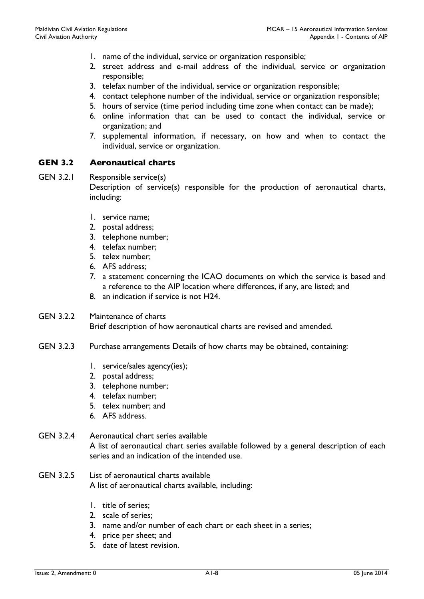- 1. name of the individual, service or organization responsible;
- 2. street address and e-mail address of the individual, service or organization responsible;
- 3. telefax number of the individual, service or organization responsible;
- 4. contact telephone number of the individual, service or organization responsible;
- 5. hours of service (time period including time zone when contact can be made);
- 6. online information that can be used to contact the individual, service or organization; and
- 7. supplemental information, if necessary, on how and when to contact the individual, service or organization.

### GEN 3.2 Aeronautical charts

- GEN 3.2.1 Responsible service(s) Description of service(s) responsible for the production of aeronautical charts, including:
	- 1. service name;
	- 2. postal address;
	- 3. telephone number;
	- 4. telefax number;
	- 5. telex number;
	- 6. AFS address;
	- 7. a statement concerning the ICAO documents on which the service is based and a reference to the AIP location where differences, if any, are listed; and
	- 8. an indication if service is not H24.

### GEN 3.2.2 Maintenance of charts Brief description of how aeronautical charts are revised and amended.

- GEN 3.2.3 Purchase arrangements Details of how charts may be obtained, containing:
	- 1. service/sales agency(ies);
	- 2. postal address;
	- 3. telephone number;
	- 4. telefax number;
	- 5. telex number; and
	- 6. AFS address.

## GEN 3.2.4 Aeronautical chart series available

A list of aeronautical chart series available followed by a general description of each series and an indication of the intended use.

### GEN 3.2.5 List of aeronautical charts available A list of aeronautical charts available, including:

- 1. title of series;
- 2. scale of series;
- 3. name and/or number of each chart or each sheet in a series;
- 4. price per sheet; and
- 5. date of latest revision.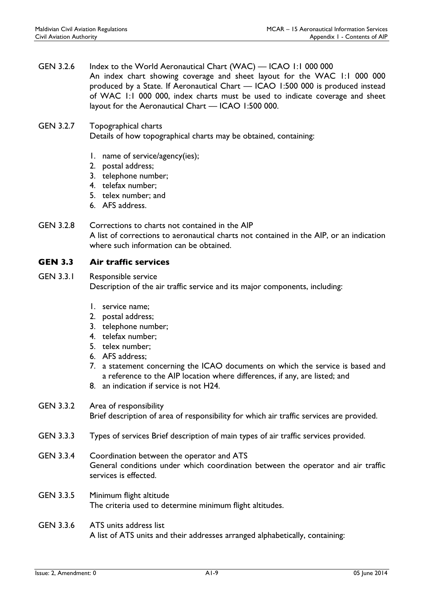GEN 3.2.6 Index to the World Aeronautical Chart (WAC) — ICAO 1:1 000 000 An index chart showing coverage and sheet layout for the WAC 1:1 000 000 produced by a State. If Aeronautical Chart — ICAO 1:500 000 is produced instead of WAC 1:1 000 000, index charts must be used to indicate coverage and sheet layout for the Aeronautical Chart — ICAO 1:500 000.

## GEN 3.2.7 Topographical charts Details of how topographical charts may be obtained, containing:

- 1. name of service/agency(ies);
- 2. postal address;
- 3. telephone number;
- 4. telefax number;
- 5. telex number; and
- 6. AFS address.
- GEN 3.2.8 Corrections to charts not contained in the AIP A list of corrections to aeronautical charts not contained in the AIP, or an indication where such information can be obtained.

# GEN 3.3 Air traffic services

- GEN 3.3.1 Responsible service Description of the air traffic service and its major components, including:
	- 1. service name;
	- 2. postal address;
	- 3. telephone number;
	- 4. telefax number;
	- 5. telex number;
	- 6. AFS address;
	- 7. a statement concerning the ICAO documents on which the service is based and a reference to the AIP location where differences, if any, are listed; and
	- 8. an indication if service is not H24.

# GEN 3.3.2 Area of responsibility

Brief description of area of responsibility for which air traffic services are provided.

- GEN 3.3.3 Types of services Brief description of main types of air traffic services provided.
- GEN 3.3.4 Coordination between the operator and ATS General conditions under which coordination between the operator and air traffic services is effected.
- GEN 3.3.5 Minimum flight altitude The criteria used to determine minimum flight altitudes.

## GEN 3.3.6 ATS units address list A list of ATS units and their addresses arranged alphabetically, containing: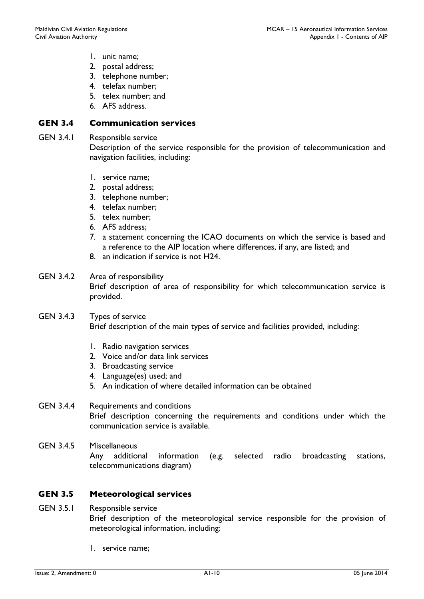- 1. unit name;
- 2. postal address;
- 3. telephone number;
- 4. telefax number;
- 5. telex number; and
- 6. AFS address.

## GEN 3.4 Communication services

GEN 3.4.1 Responsible service

Description of the service responsible for the provision of telecommunication and navigation facilities, including:

- 1. service name;
- 2. postal address;
- 3. telephone number;
- 4. telefax number;
- 5. telex number;
- 6. AFS address;
- 7. a statement concerning the ICAO documents on which the service is based and a reference to the AIP location where differences, if any, are listed; and
- 8. an indication if service is not H24.

### GEN 3.4.2 Area of responsibility Brief description of area of responsibility for which telecommunication service is provided.

- GEN 3.4.3 Types of service Brief description of the main types of service and facilities provided, including:
	- 1. Radio navigation services
	- 2. Voice and/or data link services
	- 3. Broadcasting service
	- 4. Language(es) used; and
	- 5. An indication of where detailed information can be obtained

# GEN 3.4.4 Requirements and conditions Brief description concerning the requirements and conditions under which the communication service is available.

GEN 3.4.5 Miscellaneous Any additional information (e.g. selected radio broadcasting stations, telecommunications diagram)

# GEN 3.5 Meteorological services

- GEN 3.5.1 Responsible service Brief description of the meteorological service responsible for the provision of meteorological information, including:
	- 1. service name;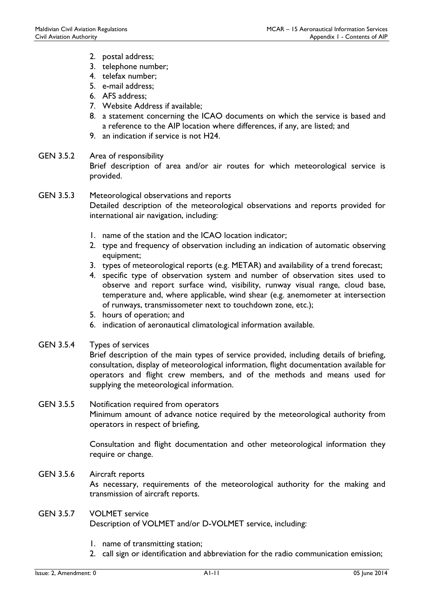- 2. postal address;
- 3. telephone number;
- 4. telefax number;
- 5. e-mail address;
- 6. AFS address;
- 7. Website Address if available;
- 8. a statement concerning the ICAO documents on which the service is based and a reference to the AIP location where differences, if any, are listed; and
- 9. an indication if service is not H24.
- GEN 3.5.2 Area of responsibility Brief description of area and/or air routes for which meteorological service is provided.
- GEN 3.5.3 Meteorological observations and reports Detailed description of the meteorological observations and reports provided for international air navigation, including:
	- 1. name of the station and the ICAO location indicator;
	- 2. type and frequency of observation including an indication of automatic observing equipment;
	- 3. types of meteorological reports (e.g. METAR) and availability of a trend forecast;
	- 4. specific type of observation system and number of observation sites used to observe and report surface wind, visibility, runway visual range, cloud base, temperature and, where applicable, wind shear (e.g. anemometer at intersection of runways, transmissometer next to touchdown zone, etc.);
	- 5. hours of operation; and
	- 6. indication of aeronautical climatological information available.
- GEN 3.5.4 Types of services

Brief description of the main types of service provided, including details of briefing, consultation, display of meteorological information, flight documentation available for operators and flight crew members, and of the methods and means used for supplying the meteorological information.

## GEN 3.5.5 Notification required from operators Minimum amount of advance notice required by the meteorological authority from operators in respect of briefing,

Consultation and flight documentation and other meteorological information they require or change.

# GEN 3.5.6 Aircraft reports As necessary, requirements of the meteorological authority for the making and transmission of aircraft reports.

## GEN 3.5.7 VOLMET service Description of VOLMET and/or D-VOLMET service, including:

- 1. name of transmitting station;
- 2. call sign or identification and abbreviation for the radio communication emission;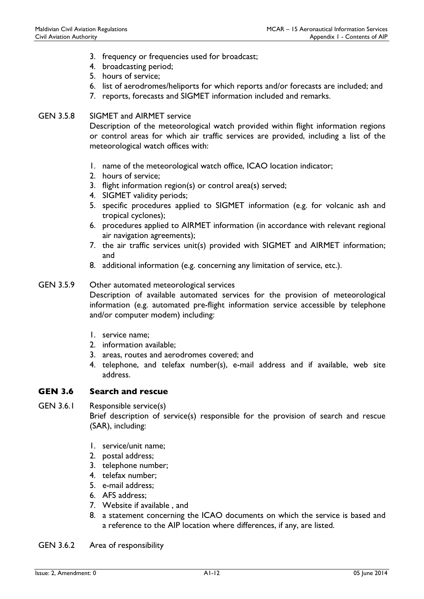- 3. frequency or frequencies used for broadcast;
- 4. broadcasting period;
- 5. hours of service;
- 6. list of aerodromes/heliports for which reports and/or forecasts are included; and
- 7. reports, forecasts and SIGMET information included and remarks.

## GEN 3.5.8 SIGMET and AIRMET service

Description of the meteorological watch provided within flight information regions or control areas for which air traffic services are provided, including a list of the meteorological watch offices with:

- 1. name of the meteorological watch office, ICAO location indicator;
- 2. hours of service;
- 3. flight information region(s) or control area(s) served;
- 4. SIGMET validity periods;
- 5. specific procedures applied to SIGMET information (e.g. for volcanic ash and tropical cyclones);
- 6. procedures applied to AIRMET information (in accordance with relevant regional air navigation agreements);
- 7. the air traffic services unit(s) provided with SIGMET and AIRMET information; and
- 8. additional information (e.g. concerning any limitation of service, etc.).

### GEN 3.5.9 Other automated meteorological services

Description of available automated services for the provision of meteorological information (e.g. automated pre-flight information service accessible by telephone and/or computer modem) including:

- 1. service name;
- 2. information available;
- 3. areas, routes and aerodromes covered; and
- 4. telephone, and telefax number(s), e-mail address and if available, web site address.

### GEN 3.6 Search and rescue

GEN 3.6.1 Responsible service(s)

Brief description of service(s) responsible for the provision of search and rescue (SAR), including:

- 1. service/unit name;
- 2. postal address;
- 3. telephone number;
- 4. telefax number;
- 5. e-mail address;
- 6. AFS address;
- 7. Website if available , and
- 8. a statement concerning the ICAO documents on which the service is based and a reference to the AIP location where differences, if any, are listed.
- GEN 3.6.2 Area of responsibility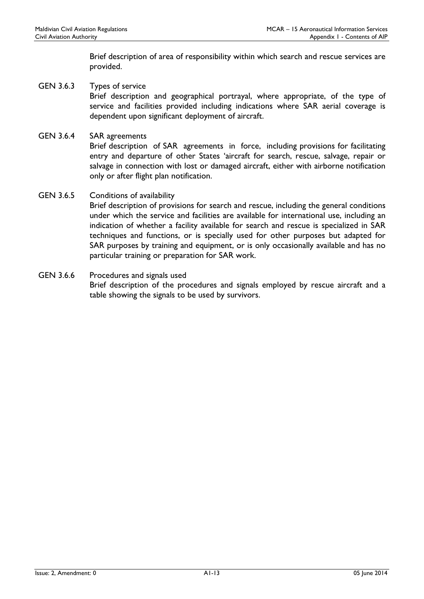Brief description of area of responsibility within which search and rescue services are provided.

- GEN 3.6.3 Types of service Brief description and geographical portrayal, where appropriate, of the type of service and facilities provided including indications where SAR aerial coverage is dependent upon significant deployment of aircraft.
- GEN 3.6.4 SAR agreements Brief description of SAR agreements in force, including provisions for facilitating entry and departure of other States 'aircraft for search, rescue, salvage, repair or salvage in connection with lost or damaged aircraft, either with airborne notification only or after flight plan notification.

### GEN 3.6.5 Conditions of availability

Brief description of provisions for search and rescue, including the general conditions under which the service and facilities are available for international use, including an indication of whether a facility available for search and rescue is specialized in SAR techniques and functions, or is specially used for other purposes but adapted for SAR purposes by training and equipment, or is only occasionally available and has no particular training or preparation for SAR work.

GEN 3.6.6 Procedures and signals used Brief description of the procedures and signals employed by rescue aircraft and a table showing the signals to be used by survivors.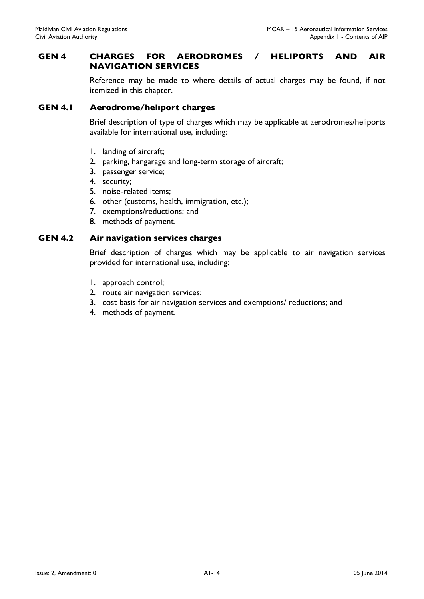## GEN 4 CHARGES FOR AERODROMES / HELIPORTS AND AIR NAVIGATION SERVICES

Reference may be made to where details of actual charges may be found, if not itemized in this chapter.

## GEN 4.1 Aerodrome/heliport charges

Brief description of type of charges which may be applicable at aerodromes/heliports available for international use, including:

- 1. landing of aircraft;
- 2. parking, hangarage and long-term storage of aircraft;
- 3. passenger service;
- 4. security;
- 5. noise-related items;
- 6. other (customs, health, immigration, etc.);
- 7. exemptions/reductions; and
- 8. methods of payment.

#### GEN 4.2 Air navigation services charges

Brief description of charges which may be applicable to air navigation services provided for international use, including:

- 1. approach control;
- 2. route air navigation services;
- 3. cost basis for air navigation services and exemptions/ reductions; and
- 4. methods of payment.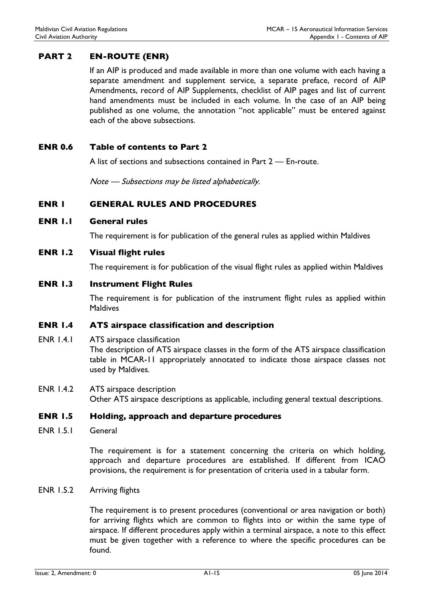# PART 2 EN-ROUTE (ENR)

If an AIP is produced and made available in more than one volume with each having a separate amendment and supplement service, a separate preface, record of AIP Amendments, record of AIP Supplements, checklist of AIP pages and list of current hand amendments must be included in each volume. In the case of an AIP being published as one volume, the annotation "not applicable" must be entered against each of the above subsections.

### ENR 0.6 Table of contents to Part 2

A list of sections and subsections contained in Part 2 — En-route.

Note — Subsections may be listed alphabetically.

## ENR 1 GENERAL RULES AND PROCEDURES

#### ENR 1.1 General rules

The requirement is for publication of the general rules as applied within Maldives

## ENR 1.2 Visual flight rules

The requirement is for publication of the visual flight rules as applied within Maldives

### ENR 1.3 Instrument Flight Rules

The requirement is for publication of the instrument flight rules as applied within Maldives

### ENR 1.4 ATS airspace classification and description

- ENR 1.4.1 ATS airspace classification The description of ATS airspace classes in the form of the ATS airspace classification table in MCAR-11 appropriately annotated to indicate those airspace classes not used by Maldives.
- ENR 1.4.2 ATS airspace description Other ATS airspace descriptions as applicable, including general textual descriptions.

### ENR 1.5 Holding, approach and departure procedures

ENR 1.5.1 General

The requirement is for a statement concerning the criteria on which holding, approach and departure procedures are established. If different from ICAO provisions, the requirement is for presentation of criteria used in a tabular form.

#### ENR 1.5.2 Arriving flights

The requirement is to present procedures (conventional or area navigation or both) for arriving flights which are common to flights into or within the same type of airspace. If different procedures apply within a terminal airspace, a note to this effect must be given together with a reference to where the specific procedures can be found.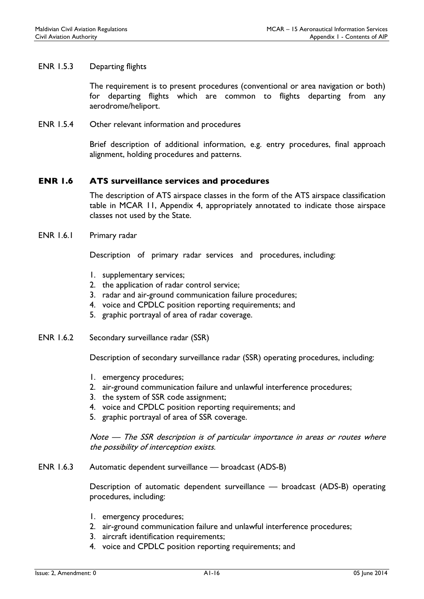### ENR 1.5.3 Departing flights

The requirement is to present procedures (conventional or area navigation or both) for departing flights which are common to flights departing from any aerodrome/heliport.

ENR 1.5.4 Other relevant information and procedures

Brief description of additional information, e.g. entry procedures, final approach alignment, holding procedures and patterns.

## ENR 1.6 ATS surveillance services and procedures

The description of ATS airspace classes in the form of the ATS airspace classification table in MCAR 11, Appendix 4, appropriately annotated to indicate those airspace classes not used by the State.

#### ENR 1.6.1 Primary radar

Description of primary radar services and procedures, including:

- 1. supplementary services;
- 2. the application of radar control service;
- 3. radar and air-ground communication failure procedures;
- 4. voice and CPDLC position reporting requirements; and
- 5. graphic portrayal of area of radar coverage.
- ENR 1.6.2 Secondary surveillance radar (SSR)

Description of secondary surveillance radar (SSR) operating procedures, including:

- 1. emergency procedures;
- 2. air-ground communication failure and unlawful interference procedures;
- 3. the system of SSR code assignment;
- 4. voice and CPDLC position reporting requirements; and
- 5. graphic portrayal of area of SSR coverage.

Note — The SSR description is of particular importance in areas or routes where the possibility of interception exists.

ENR 1.6.3 Automatic dependent surveillance — broadcast (ADS-B)

Description of automatic dependent surveillance — broadcast (ADS-B) operating procedures, including:

- 1. emergency procedures;
- 2. air-ground communication failure and unlawful interference procedures;
- 3. aircraft identification requirements;
- 4. voice and CPDLC position reporting requirements; and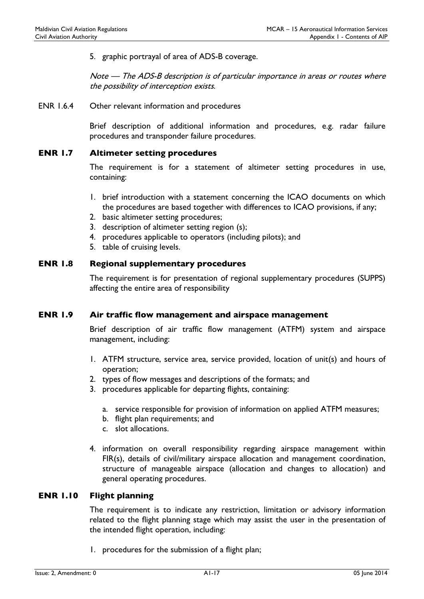5. graphic portrayal of area of ADS-B coverage.

Note — The ADS-B description is of particular importance in areas or routes where the possibility of interception exists.

ENR 1.6.4 Other relevant information and procedures

Brief description of additional information and procedures, e.g. radar failure procedures and transponder failure procedures.

### ENR 1.7 Altimeter setting procedures

The requirement is for a statement of altimeter setting procedures in use, containing:

- 1. brief introduction with a statement concerning the ICAO documents on which the procedures are based together with differences to ICAO provisions, if any;
- 2. basic altimeter setting procedures;
- 3. description of altimeter setting region (s);
- 4. procedures applicable to operators (including pilots); and
- 5. table of cruising levels.

#### ENR 1.8 Regional supplementary procedures

The requirement is for presentation of regional supplementary procedures (SUPPS) affecting the entire area of responsibility

## ENR 1.9 Air traffic flow management and airspace management

Brief description of air traffic flow management (ATFM) system and airspace management, including:

- 1. ATFM structure, service area, service provided, location of unit(s) and hours of operation;
- 2. types of flow messages and descriptions of the formats; and
- 3. procedures applicable for departing flights, containing:
	- a. service responsible for provision of information on applied ATFM measures;
	- b. flight plan requirements; and
	- c. slot allocations.
- 4. information on overall responsibility regarding airspace management within FIR(s), details of civil/military airspace allocation and management coordination, structure of manageable airspace (allocation and changes to allocation) and general operating procedures.

#### ENR 1.10 Flight planning

The requirement is to indicate any restriction, limitation or advisory information related to the flight planning stage which may assist the user in the presentation of the intended flight operation, including:

1. procedures for the submission of a flight plan;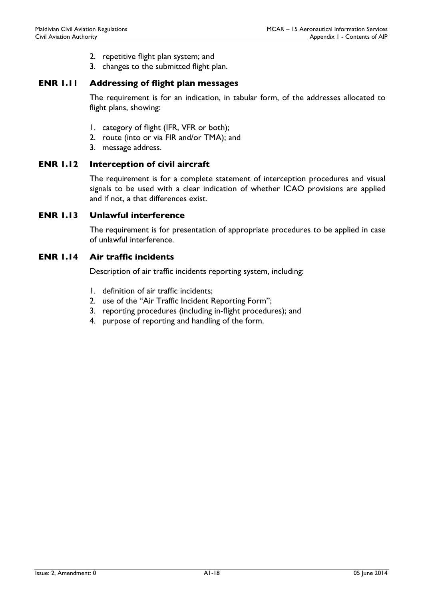- 2. repetitive flight plan system; and
- 3. changes to the submitted flight plan.

### ENR 1.11 Addressing of flight plan messages

The requirement is for an indication, in tabular form, of the addresses allocated to flight plans, showing:

- 1. category of flight (IFR, VFR or both);
- 2. route (into or via FIR and/or TMA); and
- 3. message address.

### ENR 1.12 Interception of civil aircraft

The requirement is for a complete statement of interception procedures and visual signals to be used with a clear indication of whether ICAO provisions are applied and if not, a that differences exist.

### ENR 1.13 Unlawful interference

The requirement is for presentation of appropriate procedures to be applied in case of unlawful interference.

## ENR 1.14 Air traffic incidents

Description of air traffic incidents reporting system, including:

- 1. definition of air traffic incidents;
- 2. use of the "Air Traffic Incident Reporting Form";
- 3. reporting procedures (including in-flight procedures); and
- 4. purpose of reporting and handling of the form.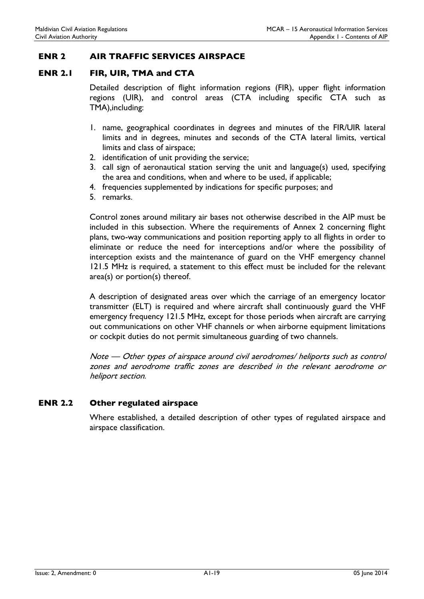## ENR 2 AIR TRAFFIC SERVICES AIRSPACE

## ENR 2.1 FIR, UIR, TMA and CTA

Detailed description of flight information regions (FIR), upper flight information regions (UIR), and control areas (CTA including specific CTA such as TMA),including:

- 1. name, geographical coordinates in degrees and minutes of the FIR/UIR lateral limits and in degrees, minutes and seconds of the CTA lateral limits, vertical limits and class of airspace;
- 2. identification of unit providing the service;
- 3. call sign of aeronautical station serving the unit and language(s) used, specifying the area and conditions, when and where to be used, if applicable;
- 4. frequencies supplemented by indications for specific purposes; and
- 5. remarks.

Control zones around military air bases not otherwise described in the AIP must be included in this subsection. Where the requirements of Annex 2 concerning flight plans, two-way communications and position reporting apply to all flights in order to eliminate or reduce the need for interceptions and/or where the possibility of interception exists and the maintenance of guard on the VHF emergency channel 121.5 MHz is required, a statement to this effect must be included for the relevant area(s) or portion(s) thereof.

A description of designated areas over which the carriage of an emergency locator transmitter (ELT) is required and where aircraft shall continuously guard the VHF emergency frequency 121.5 MHz, except for those periods when aircraft are carrying out communications on other VHF channels or when airborne equipment limitations or cockpit duties do not permit simultaneous guarding of two channels.

Note — Other types of airspace around civil aerodromes/ heliports such as control zones and aerodrome traffic zones are described in the relevant aerodrome or heliport section.

## ENR 2.2 Other regulated airspace

Where established, a detailed description of other types of regulated airspace and airspace classification.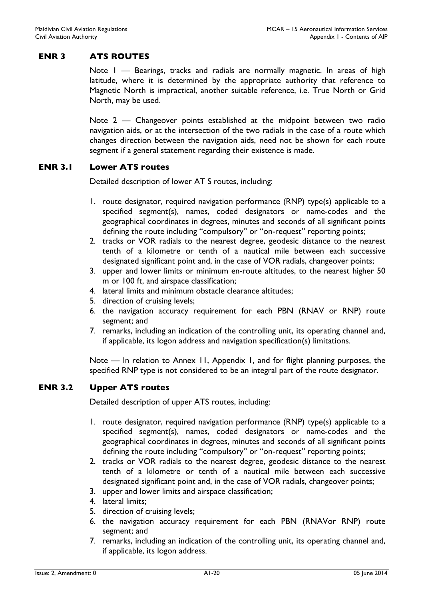# ENR 3 ATS ROUTES

Note I — Bearings, tracks and radials are normally magnetic. In areas of high latitude, where it is determined by the appropriate authority that reference to Magnetic North is impractical, another suitable reference, i.e. True North or Grid North, may be used.

Note 2 — Changeover points established at the midpoint between two radio navigation aids, or at the intersection of the two radials in the case of a route which changes direction between the navigation aids, need not be shown for each route segment if a general statement regarding their existence is made.

### ENR 3.1 Lower ATS routes

Detailed description of lower AT S routes, including:

- 1. route designator, required navigation performance (RNP) type(s) applicable to a specified segment(s), names, coded designators or name-codes and the geographical coordinates in degrees, minutes and seconds of all significant points defining the route including "compulsory" or "on-request" reporting points;
- 2. tracks or VOR radials to the nearest degree, geodesic distance to the nearest tenth of a kilometre or tenth of a nautical mile between each successive designated significant point and, in the case of VOR radials, changeover points;
- 3. upper and lower limits or minimum en-route altitudes, to the nearest higher 50 m or 100 ft, and airspace classification;
- 4. lateral limits and minimum obstacle clearance altitudes;
- 5. direction of cruising levels;
- 6. the navigation accuracy requirement for each PBN (RNAV or RNP) route segment; and
- 7. remarks, including an indication of the controlling unit, its operating channel and, if applicable, its logon address and navigation specification(s) limitations.

Note — In relation to Annex 11, Appendix 1, and for flight planning purposes, the specified RNP type is not considered to be an integral part of the route designator.

## ENR 3.2 Upper ATS routes

Detailed description of upper ATS routes, including:

- 1. route designator, required navigation performance (RNP) type(s) applicable to a specified segment(s), names, coded designators or name-codes and the geographical coordinates in degrees, minutes and seconds of all significant points defining the route including "compulsory" or "on-request" reporting points;
- 2. tracks or VOR radials to the nearest degree, geodesic distance to the nearest tenth of a kilometre or tenth of a nautical mile between each successive designated significant point and, in the case of VOR radials, changeover points;
- 3. upper and lower limits and airspace classification;
- 4. lateral limits;
- 5. direction of cruising levels;
- 6. the navigation accuracy requirement for each PBN (RNAVor RNP) route segment; and
- 7. remarks, including an indication of the controlling unit, its operating channel and, if applicable, its logon address.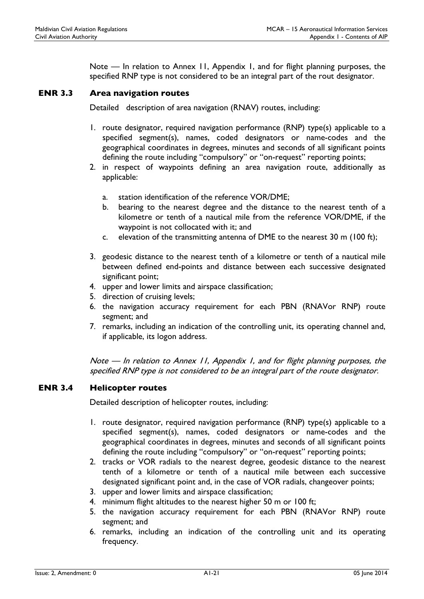Note — In relation to Annex 11, Appendix 1, and for flight planning purposes, the specified RNP type is not considered to be an integral part of the rout designator.

## ENR 3.3 Area navigation routes

Detailed description of area navigation (RNAV) routes, including:

- 1. route designator, required navigation performance (RNP) type(s) applicable to a specified segment(s), names, coded designators or name-codes and the geographical coordinates in degrees, minutes and seconds of all significant points defining the route including "compulsory" or "on-request" reporting points;
- 2. in respect of waypoints defining an area navigation route, additionally as applicable:
	- a. station identification of the reference VOR/DME;
	- b. bearing to the nearest degree and the distance to the nearest tenth of a kilometre or tenth of a nautical mile from the reference VOR/DME, if the waypoint is not collocated with it; and
	- c. elevation of the transmitting antenna of DME to the nearest 30 m (100 ft);
- 3. geodesic distance to the nearest tenth of a kilometre or tenth of a nautical mile between defined end-points and distance between each successive designated significant point;
- 4. upper and lower limits and airspace classification;
- 5. direction of cruising levels;
- 6. the navigation accuracy requirement for each PBN (RNAVor RNP) route segment; and
- 7. remarks, including an indication of the controlling unit, its operating channel and, if applicable, its logon address.

Note — In relation to Annex 11, Appendix 1, and for flight planning purposes, the specified RNP type is not considered to be an integral part of the route designator.

## ENR 3.4 Helicopter routes

Detailed description of helicopter routes, including:

- 1. route designator, required navigation performance (RNP) type(s) applicable to a specified segment(s), names, coded designators or name-codes and the geographical coordinates in degrees, minutes and seconds of all significant points defining the route including "compulsory" or "on-request" reporting points;
- 2. tracks or VOR radials to the nearest degree, geodesic distance to the nearest tenth of a kilometre or tenth of a nautical mile between each successive designated significant point and, in the case of VOR radials, changeover points;
- 3. upper and lower limits and airspace classification;
- 4. minimum flight altitudes to the nearest higher 50 m or 100 ft;
- 5. the navigation accuracy requirement for each PBN (RNAVor RNP) route segment; and
- 6. remarks, including an indication of the controlling unit and its operating frequency.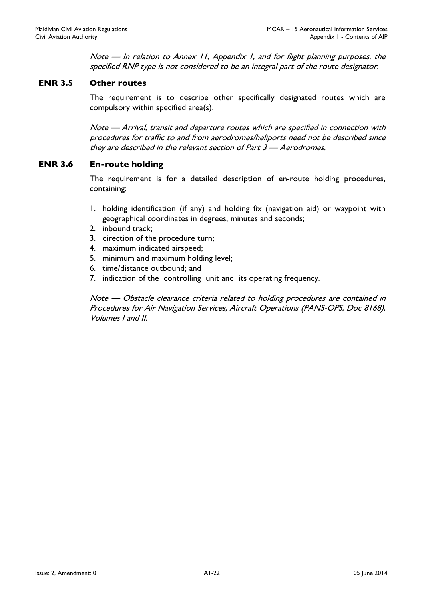Note — In relation to Annex 11, Appendix 1, and for flight planning purposes, the specified RNP type is not considered to be an integral part of the route designator.

## ENR 3.5 Other routes

The requirement is to describe other specifically designated routes which are compulsory within specified area(s).

Note — Arrival, transit and departure routes which are specified in connection with procedures for traffic to and from aerodromes/heliports need not be described since they are described in the relevant section of Part 3 - Aerodromes.

## ENR 3.6 En-route holding

The requirement is for a detailed description of en-route holding procedures, containing:

- 1. holding identification (if any) and holding fix (navigation aid) or waypoint with geographical coordinates in degrees, minutes and seconds;
- 2. inbound track;
- 3. direction of the procedure turn;
- 4. maximum indicated airspeed;
- 5. minimum and maximum holding level;
- 6. time/distance outbound; and
- 7. indication of the controlling unit and its operating frequency.

Note — Obstacle clearance criteria related to holding procedures are contained in Procedures for Air Navigation Services, Aircraft Operations (PANS-OPS, Doc 8168), Volumes I and II.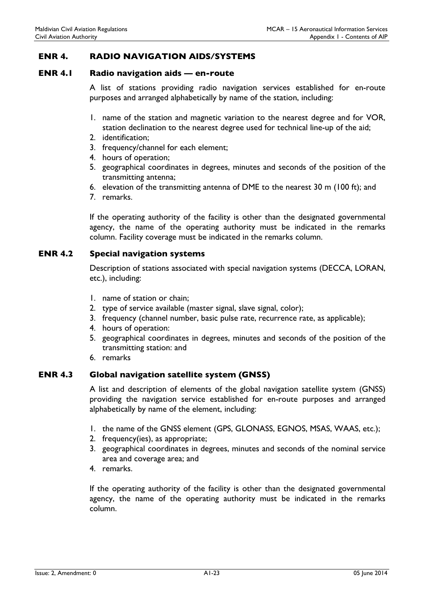## ENR 4. RADIO NAVIGATION AIDS/SYSTEMS

#### ENR 4.1 Radio navigation aids — en-route

A list of stations providing radio navigation services established for en-route purposes and arranged alphabetically by name of the station, including:

- 1. name of the station and magnetic variation to the nearest degree and for VOR, station declination to the nearest degree used for technical line-up of the aid;
- 2. identification;
- 3. frequency/channel for each element;
- 4. hours of operation;
- 5. geographical coordinates in degrees, minutes and seconds of the position of the transmitting antenna;
- 6. elevation of the transmitting antenna of DME to the nearest 30 m (100 ft); and
- 7. remarks.

If the operating authority of the facility is other than the designated governmental agency, the name of the operating authority must be indicated in the remarks column. Facility coverage must be indicated in the remarks column.

### ENR 4.2 Special navigation systems

Description of stations associated with special navigation systems (DECCA, LORAN, etc.), including:

- 1. name of station or chain;
- 2. type of service available (master signal, slave signal, color);
- 3. frequency (channel number, basic pulse rate, recurrence rate, as applicable);
- 4. hours of operation:
- 5. geographical coordinates in degrees, minutes and seconds of the position of the transmitting station: and
- 6. remarks

### ENR 4.3 Global navigation satellite system (GNSS)

A list and description of elements of the global navigation satellite system (GNSS) providing the navigation service established for en-route purposes and arranged alphabetically by name of the element, including:

- 1. the name of the GNSS element (GPS, GLONASS, EGNOS, MSAS, WAAS, etc.);
- 2. frequency(ies), as appropriate;
- 3. geographical coordinates in degrees, minutes and seconds of the nominal service area and coverage area; and
- 4. remarks.

If the operating authority of the facility is other than the designated governmental agency, the name of the operating authority must be indicated in the remarks column.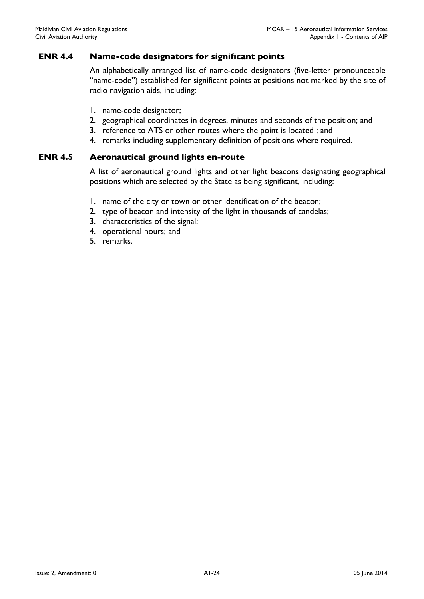## ENR 4.4 Name-code designators for significant points

An alphabetically arranged list of name-code designators (five-letter pronounceable "name-code") established for significant points at positions not marked by the site of radio navigation aids, including:

- 1. name-code designator;
- 2. geographical coordinates in degrees, minutes and seconds of the position; and
- 3. reference to ATS or other routes where the point is located ; and
- 4. remarks including supplementary definition of positions where required.

#### ENR 4.5 Aeronautical ground lights en-route

A list of aeronautical ground lights and other light beacons designating geographical positions which are selected by the State as being significant, including:

- 1. name of the city or town or other identification of the beacon;
- 2. type of beacon and intensity of the light in thousands of candelas;
- 3. characteristics of the signal;
- 4. operational hours; and
- 5. remarks.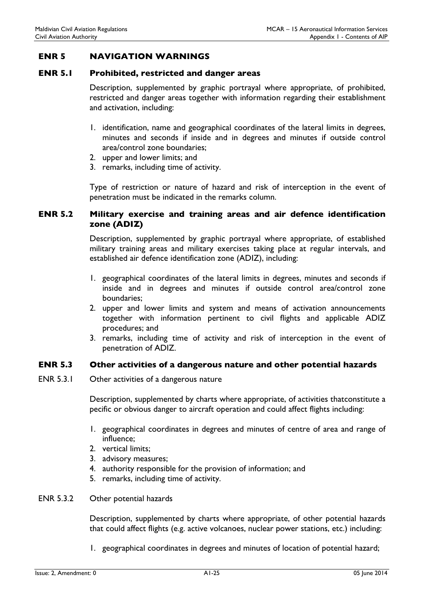## ENR 5 NAVIGATION WARNINGS

#### ENR 5.1 Prohibited, restricted and danger areas

Description, supplemented by graphic portrayal where appropriate, of prohibited, restricted and danger areas together with information regarding their establishment and activation, including:

- 1. identification, name and geographical coordinates of the lateral limits in degrees, minutes and seconds if inside and in degrees and minutes if outside control area/control zone boundaries;
- 2. upper and lower limits; and
- 3. remarks, including time of activity.

Type of restriction or nature of hazard and risk of interception in the event of penetration must be indicated in the remarks column.

## ENR 5.2 Military exercise and training areas and air defence identification zone (ADIZ)

Description, supplemented by graphic portrayal where appropriate, of established military training areas and military exercises taking place at regular intervals, and established air defence identification zone (ADIZ), including:

- 1. geographical coordinates of the lateral limits in degrees, minutes and seconds if inside and in degrees and minutes if outside control area/control zone boundaries;
- 2. upper and lower limits and system and means of activation announcements together with information pertinent to civil flights and applicable ADIZ procedures; and
- 3. remarks, including time of activity and risk of interception in the event of penetration of ADIZ.

## ENR 5.3 Other activities of a dangerous nature and other potential hazards

ENR 5.3.1 Other activities of a dangerous nature

Description, supplemented by charts where appropriate, of activities thatconstitute a pecific or obvious danger to aircraft operation and could affect flights including:

- 1. geographical coordinates in degrees and minutes of centre of area and range of influence;
- 2. vertical limits;
- 3. advisory measures;
- 4. authority responsible for the provision of information; and
- 5. remarks, including time of activity.
- ENR 5.3.2 Other potential hazards

Description, supplemented by charts where appropriate, of other potential hazards that could affect flights (e.g. active volcanoes, nuclear power stations, etc.) including:

1. geographical coordinates in degrees and minutes of location of potential hazard;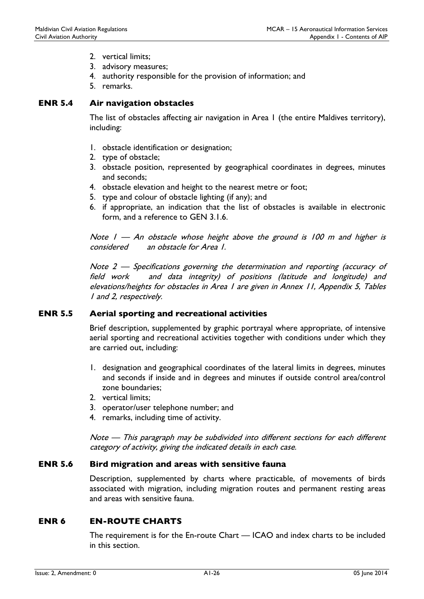- 2. vertical limits;
- 3. advisory measures;
- 4. authority responsible for the provision of information; and
- 5. remarks.

## ENR 5.4 Air navigation obstacles

The list of obstacles affecting air navigation in Area 1 (the entire Maldives territory), including:

- 1. obstacle identification or designation;
- 2. type of obstacle;
- 3. obstacle position, represented by geographical coordinates in degrees, minutes and seconds;
- 4. obstacle elevation and height to the nearest metre or foot;
- 5. type and colour of obstacle lighting (if any); and
- 6. if appropriate, an indication that the list of obstacles is available in electronic form, and a reference to GEN 3.1.6.

Note  $I - An$  obstacle whose height above the ground is 100 m and higher is considered an obstacle for Area 1.

Note 2 — Specifications governing the determination and reporting (accuracy of field work and data integrity) of positions (latitude and longitude) and elevations/heights for obstacles in Area 1 are given in Annex 11, Appendix 5, Tables 1 and 2, respectively.

## ENR 5.5 Aerial sporting and recreational activities

Brief description, supplemented by graphic portrayal where appropriate, of intensive aerial sporting and recreational activities together with conditions under which they are carried out, including:

- 1. designation and geographical coordinates of the lateral limits in degrees, minutes and seconds if inside and in degrees and minutes if outside control area/control zone boundaries;
- 2. vertical limits;
- 3. operator/user telephone number; and
- 4. remarks, including time of activity.

Note — This paragraph may be subdivided into different sections for each different category of activity, giving the indicated details in each case.

## ENR 5.6 Bird migration and areas with sensitive fauna

Description, supplemented by charts where practicable, of movements of birds associated with migration, including migration routes and permanent resting areas and areas with sensitive fauna.

## ENR 6 EN-ROUTE CHARTS

The requirement is for the En-route Chart — ICAO and index charts to be included in this section.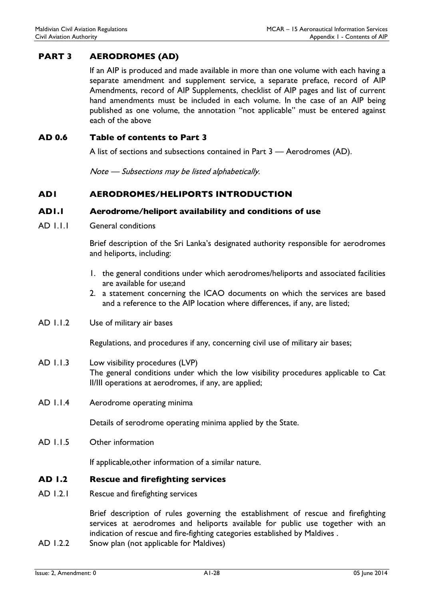# PART 3 AERODROMES (AD)

If an AIP is produced and made available in more than one volume with each having a separate amendment and supplement service, a separate preface, record of AIP Amendments, record of AIP Supplements, checklist of AIP pages and list of current hand amendments must be included in each volume. In the case of an AIP being published as one volume, the annotation "not applicable" must be entered against each of the above

## AD 0.6 Table of contents to Part 3

A list of sections and subsections contained in Part 3 — Aerodromes (AD).

Note — Subsections may be listed alphabetically.

## AD1 AERODROMES/HELIPORTS INTRODUCTION

### AD1.1 Aerodrome/heliport availability and conditions of use

AD 1.1.1 General conditions

Brief description of the Sri Lanka's designated authority responsible for aerodromes and heliports, including:

- 1. the general conditions under which aerodromes/heliports and associated facilities are available for use;and
- 2. a statement concerning the ICAO documents on which the services are based and a reference to the AIP location where differences, if any, are listed;
- AD 1.1.2 Use of military air bases

Regulations, and procedures if any, concerning civil use of military air bases;

- AD 1.1.3 Low visibility procedures (LVP) The general conditions under which the low visibility procedures applicable to Cat II/III operations at aerodromes, if any, are applied;
- AD 1.1.4 Aerodrome operating minima

Details of serodrome operating minima applied by the State.

AD 1.1.5 Other information

If applicable,other information of a similar nature.

#### AD 1.2 Rescue and firefighting services

AD 1.2.1 Rescue and firefighting services

Brief description of rules governing the establishment of rescue and firefighting services at aerodromes and heliports available for public use together with an indication of rescue and fire-fighting categories established by Maldives .

AD 1.2.2 Snow plan (not applicable for Maldives)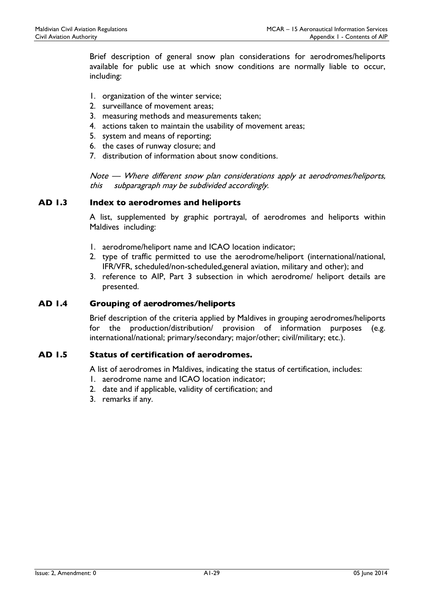Brief description of general snow plan considerations for aerodromes/heliports available for public use at which snow conditions are normally liable to occur, including:

- 1. organization of the winter service;
- 2. surveillance of movement areas;
- 3. measuring methods and measurements taken;
- 4. actions taken to maintain the usability of movement areas;
- 5. system and means of reporting;
- 6. the cases of runway closure; and
- 7. distribution of information about snow conditions.

Note — Where different snow plan considerations apply at aerodromes/heliports, this subparagraph may be subdivided accordingly.

## AD 1.3 Index to aerodromes and heliports

A list, supplemented by graphic portrayal, of aerodromes and heliports within Maldives including:

- 1. aerodrome/heliport name and ICAO location indicator;
- 2. type of traffic permitted to use the aerodrome/heliport (international/national, IFR/VFR, scheduled/non-scheduled,general aviation, military and other); and
- 3. reference to AIP, Part 3 subsection in which aerodrome/ heliport details are presented.

## AD 1.4 Grouping of aerodromes/heliports

Brief description of the criteria applied by Maldives in grouping aerodromes/heliports for the production/distribution/ provision of information purposes (e.g. international/national; primary/secondary; major/other; civil/military; etc.).

### AD 1.5 Status of certification of aerodromes.

A list of aerodromes in Maldives, indicating the status of certification, includes:

- 1. aerodrome name and ICAO location indicator;
- 2. date and if applicable, validity of certification; and
- 3. remarks if any.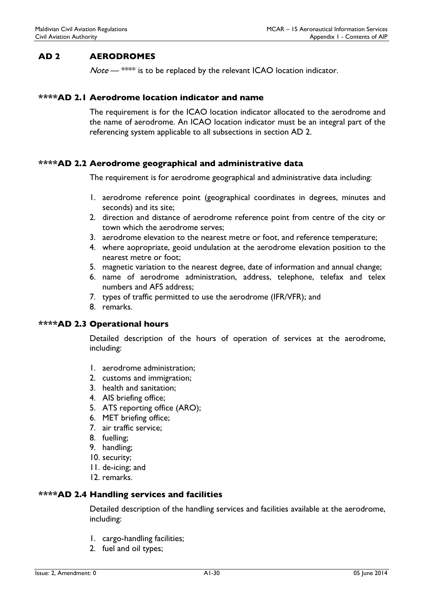# AD 2 AERODROMES

 $Note -$ \*\*\*\* is to be replaced by the relevant ICAO location indicator.

### \*\*\*\*AD 2.1 Aerodrome location indicator and name

The requirement is for the ICAO location indicator allocated to the aerodrome and the name of aerodrome. An ICAO location indicator must be an integral part of the referencing system applicable to all subsections in section AD 2.

### \*\*\*\*AD 2.2 Aerodrome geographical and administrative data

The requirement is for aerodrome geographical and administrative data including:

- 1. aerodrome reference point (geographical coordinates in degrees, minutes and seconds) and its site;
- 2. direction and distance of aerodrome reference point from centre of the city or town which the aerodrome serves;
- 3. aerodrome elevation to the nearest metre or foot, and reference temperature;
- 4. where aopropriate, geoid undulation at the aerodrome elevation position to the nearest metre or foot;
- 5. magnetic variation to the nearest degree, date of information and annual change;
- 6. name of aerodrome administration, address, telephone, telefax and telex numbers and AFS address;
- 7. types of traffic permitted to use the aerodrome (IFR/VFR); and
- 8. remarks.

#### \*\*\*\*AD 2.3 Operational hours

Detailed description of the hours of operation of services at the aerodrome, including:

- 1. aerodrome administration;
- 2. customs and immigration;
- 3. health and sanitation;
- 4. AIS briefing office;
- 5. ATS reporting office (ARO);
- 6. MET briefing office;
- 7. air traffic service;
- 8. fuelling;
- 9. handling;
- 10. security;
- 11. de-icing; and
- 12. remarks.

#### \*\*\*\*AD 2.4 Handling services and facilities

Detailed description of the handling services and facilities available at the aerodrome, including:

- 1. cargo-handling facilities;
- 2. fuel and oil types;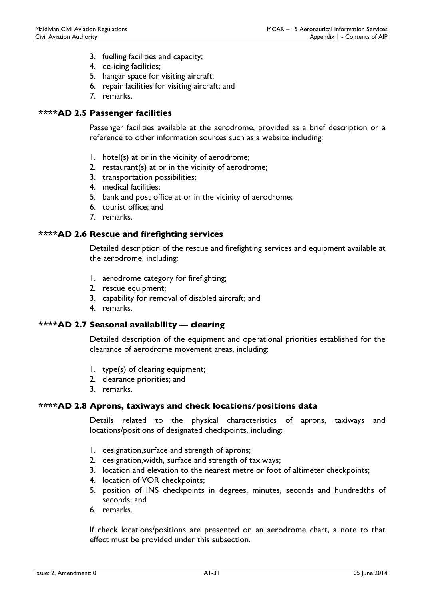- 3. fuelling facilities and capacity;
- 4. de-icing facilities;
- 5. hangar space for visiting aircraft;
- 6. repair facilities for visiting aircraft; and
- 7. remarks.

#### \*\*\*\*AD 2.5 Passenger facilities

Passenger facilities available at the aerodrome, provided as a brief description or a reference to other information sources such as a website including:

- 1. hotel(s) at or in the vicinity of aerodrome;
- 2. restaurant(s) at or in the vicinity of aerodrome;
- 3. transportation possibilities;
- 4. medical facilities;
- 5. bank and post office at or in the vicinity of aerodrome;
- 6. tourist office; and
- 7. remarks.

### \*\*\*\*AD 2.6 Rescue and firefighting services

Detailed description of the rescue and firefighting services and equipment available at the aerodrome, including:

- 1. aerodrome category for firefighting;
- 2. rescue equipment;
- 3. capability for removal of disabled aircraft; and
- 4. remarks.

#### \*\*\*\*AD 2.7 Seasonal availability — clearing

Detailed description of the equipment and operational priorities established for the clearance of aerodrome movement areas, including:

- 1. type(s) of clearing equipment;
- 2. clearance priorities; and
- 3. remarks.

#### \*\*\*\*AD 2.8 Aprons, taxiways and check locations/positions data

Details related to the physical characteristics of aprons, taxiways and locations/positions of designated checkpoints, including:

- 1. designation,surface and strength of aprons;
- 2. designation,width, surface and strength of taxiways;
- 3. location and elevation to the nearest metre or foot of altimeter checkpoints;
- 4. location of VOR checkpoints;
- 5. position of INS checkpoints in degrees, minutes, seconds and hundredths of seconds; and
- 6. remarks.

If check locations/positions are presented on an aerodrome chart, a note to that effect must be provided under this subsection.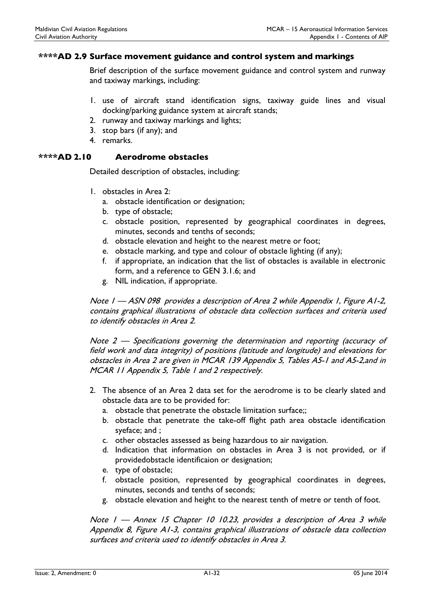## \*\*\*\*AD 2.9 Surface movement guidance and control system and markings

Brief description of the surface movement guidance and control system and runway and taxiway markings, including:

- 1. use of aircraft stand identification signs, taxiway guide lines and visual docking/parking guidance system at aircraft stands;
- 2. runway and taxiway markings and lights;
- 3. stop bars (if any); and
- 4. remarks.

### \*\*\*\*AD 2.10 Aerodrome obstacles

Detailed description of obstacles, including:

- 1. obstacles in Area 2:
	- a. obstacle identification or designation;
	- b. type of obstacle;
	- c. obstacle position, represented by geographical coordinates in degrees, minutes, seconds and tenths of seconds;
	- d. obstacle elevation and height to the nearest metre or foot;
	- e. obstacle marking, and type and colour of obstacle lighting (if any);
	- f. if appropriate, an indication that the list of obstacles is available in electronic form, and a reference to GEN 3.1.6; and
	- g. NIL indication, if appropriate.

Note 1 — ASN 098 provides a description of Area 2 while Appendix 1, Figure A1-2, contains graphical illustrations of obstacle data collection surfaces and criteria used to identify obstacles in Area 2.

Note 2 — Specifications governing the determination and reporting (accuracy of field work and data integrity) of positions (latitude and longitude) and elevations for obstacles in Area 2 are given in MCAR 139 Appendix 5, Tables A5-1 and A5-2,and in MCAR 11 Appendix 5, Table 1 and 2 respectively.

- 2. The absence of an Area 2 data set for the aerodrome is to be clearly slated and obstacle data are to be provided for:
	- a. obstacle that penetrate the obstacle limitation surface;;
	- b. obstacle that penetrate the take-off flight path area obstacle identification syeface; and ;
	- c. other obstacles assessed as being hazardous to air navigation.
	- d. Indication that information on obstacles in Area 3 is not provided, or if providedobstacle identificaion or designation;
	- e. type of obstacle;
	- f. obstacle position, represented by geographical coordinates in degrees, minutes, seconds and tenths of seconds;
	- g. obstacle elevation and height to the nearest tenth of metre or tenth of foot.

Note I - Annex 15 Chapter 10 10.23, provides a description of Area 3 while Appendix 8, Figure A1-3, contains graphical illustrations of obstacle data collection surfaces and criteria used to identify obstacles in Area 3.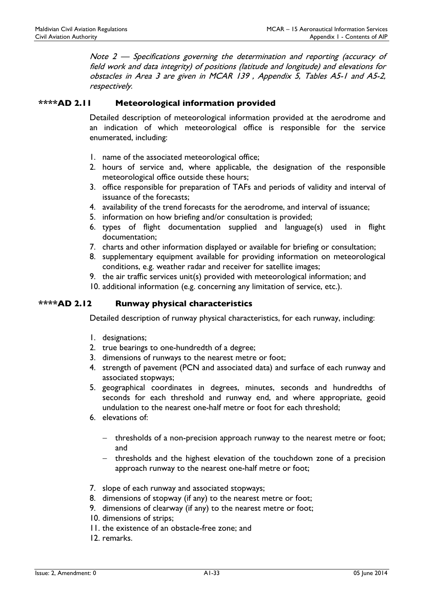Note 2 — Specifications governing the determination and reporting (accuracy of field work and data integrity) of positions (latitude and longitude) and elevations for obstacles in Area 3 are given in MCAR 139 , Appendix 5, Tables A5-1 and A5-2, respectively.

## \*\*\*\*AD 2.11 Meteorological information provided

Detailed description of meteorological information provided at the aerodrome and an indication of which meteorological office is responsible for the service enumerated, including:

- 1. name of the associated meteorological office;
- 2. hours of service and, where applicable, the designation of the responsible meteorological office outside these hours;
- 3. office responsible for preparation of TAFs and periods of validity and interval of issuance of the forecasts;
- 4. availability of the trend forecasts for the aerodrome, and interval of issuance;
- 5. information on how briefing and/or consultation is provided;
- 6. types of flight documentation supplied and language(s) used in flight documentation;
- 7. charts and other information displayed or available for briefing or consultation;
- 8. supplementary equipment available for providing information on meteorological conditions, e.g. weather radar and receiver for satellite images;
- 9. the air traffic services unit(s) provided with meteorological information; and
- 10. additional information (e.g. concerning any limitation of service, etc.).

### \*\*\*\*AD 2.12 Runway physical characteristics

Detailed description of runway physical characteristics, for each runway, including:

- 1. designations;
- 2. true bearings to one-hundredth of a degree;
- 3. dimensions of runways to the nearest metre or foot;
- 4. strength of pavement (PCN and associated data) and surface of each runway and associated stopways;
- 5. geographical coordinates in degrees, minutes, seconds and hundredths of seconds for each threshold and runway end, and where appropriate, geoid undulation to the nearest one-half metre or foot for each threshold;
- 6. elevations of:
	- thresholds of a non-precision approach runway to the nearest metre or foot; and
	- $-$  thresholds and the highest elevation of the touchdown zone of a precision approach runway to the nearest one-half metre or foot;
- 7. slope of each runway and associated stopways;
- 8. dimensions of stopway (if any) to the nearest metre or foot;
- 9. dimensions of clearway (if any) to the nearest metre or foot;
- 10. dimensions of strips;
- 11. the existence of an obstacle-free zone; and
- 12. remarks.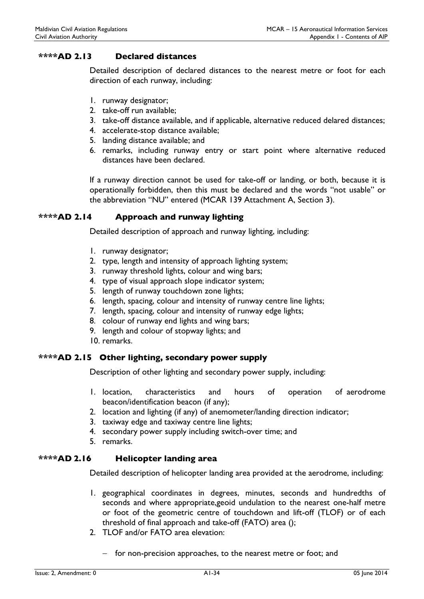## \*\*\*\*AD 2.13 Declared distances

Detailed description of declared distances to the nearest metre or foot for each direction of each runway, including:

- 1. runway designator;
- 2. take-off run available;
- 3. take-off distance available, and if applicable, alternative reduced delared distances;
- 4. accelerate-stop distance available;
- 5. landing distance available; and
- 6. remarks, including runway entry or start point where alternative reduced distances have been declared.

If a runway direction cannot be used for take-off or landing, or both, because it is operationally forbidden, then this must be declared and the words "not usable" or the abbreviation "NU" entered (MCAR 139 Attachment A, Section 3).

## \*\*\*\*AD 2.14 Approach and runway lighting

Detailed description of approach and runway lighting, including:

- 1. runway designator;
- 2. type, length and intensity of approach lighting system;
- 3. runway threshold lights, colour and wing bars;
- 4. type of visual approach slope indicator system;
- 5. length of runway touchdown zone lights;
- 6. length, spacing, colour and intensity of runway centre line lights;
- 7. length, spacing, colour and intensity of runway edge lights;
- 8. colour of runway end lights and wing bars;
- 9. length and colour of stopway lights; and
- 10. remarks.

## \*\*\*\*AD 2.15 Other lighting, secondary power supply

Description of other lighting and secondary power supply, including:

- 1. location, characteristics and hours of operation of aerodrome beacon/identification beacon (if any);
- 2. location and lighting (if any) of anemometer/landing direction indicator;
- 3. taxiway edge and taxiway centre line lights;
- 4. secondary power supply including switch-over time; and
- 5. remarks.

# \*\*\*\*AD 2.16 Helicopter landing area

Detailed description of helicopter landing area provided at the aerodrome, including:

- 1. geographical coordinates in degrees, minutes, seconds and hundredths of seconds and where appropriate,geoid undulation to the nearest one-half metre or foot of the geometric centre of touchdown and lift-off (TLOF) or of each threshold of final approach and take-off (FATO) area ();
- 2. TLOF and/or FATO area elevation:
	- for non-precision approaches, to the nearest metre or foot; and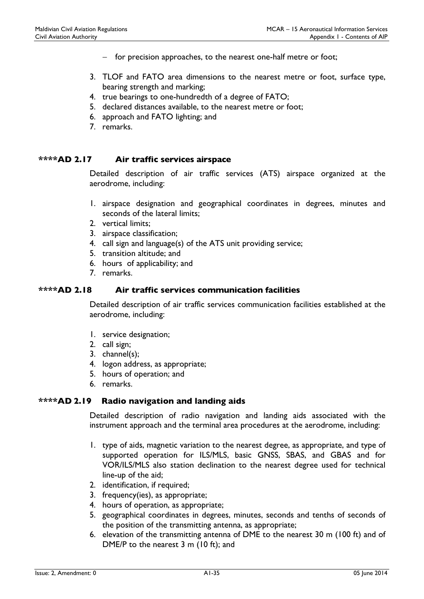- $-$  for precision approaches, to the nearest one-half metre or foot;
- 3. TLOF and FATO area dimensions to the nearest metre or foot, surface type, bearing strength and marking;
- 4. true bearings to one-hundredth of a degree of FATO;
- 5. declared distances available, to the nearest metre or foot;
- 6. approach and FATO lighting; and
- 7. remarks.

## \*\*\*\*AD 2.17 Air traffic services airspace

Detailed description of air traffic services (ATS) airspace organized at the aerodrome, including:

- 1. airspace designation and geographical coordinates in degrees, minutes and seconds of the lateral limits;
- 2. vertical limits;
- 3. airspace classification;
- 4. call sign and language(s) of the ATS unit providing service;
- 5. transition altitude; and
- 6. hours of applicability; and
- 7. remarks.

#### \*\*\*\*AD 2.18 Air traffic services communication facilities

Detailed description of air traffic services communication facilities established at the aerodrome, including:

- 1. service designation;
- 2. call sign;
- 3. channel(s);
- 4. logon address, as appropriate;
- 5. hours of operation; and
- 6. remarks.

#### \*\*\*\*AD 2.19 Radio navigation and landing aids

Detailed description of radio navigation and landing aids associated with the instrument approach and the terminal area procedures at the aerodrome, including:

- 1. type of aids, magnetic variation to the nearest degree, as appropriate, and type of supported operation for ILS/MLS, basic GNSS, SBAS, and GBAS and for VOR/ILS/MLS also station declination to the nearest degree used for technical line-up of the aid;
- 2. identification, if required;
- 3. frequency(ies), as appropriate;
- 4. hours of operation, as appropriate;
- 5. geographical coordinates in degrees, minutes, seconds and tenths of seconds of the position of the transmitting antenna, as appropriate;
- 6. elevation of the transmitting antenna of DME to the nearest 30 m (100 ft) and of DME/P to the nearest 3 m (10 ft); and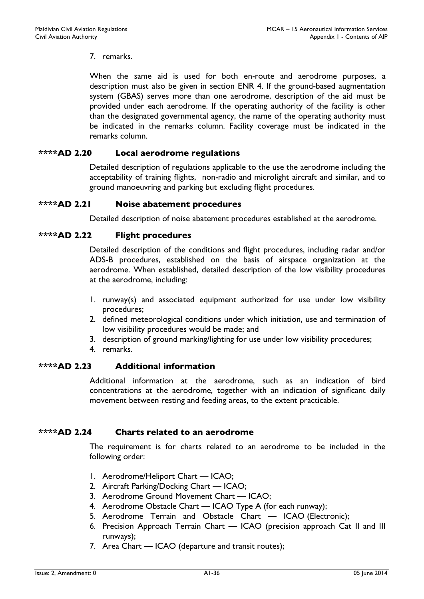## 7. remarks.

When the same aid is used for both en-route and aerodrome purposes, a description must also be given in section ENR 4. If the ground-based augmentation system (GBAS) serves more than one aerodrome, description of the aid must be provided under each aerodrome. If the operating authority of the facility is other than the designated governmental agency, the name of the operating authority must be indicated in the remarks column. Facility coverage must be indicated in the remarks column.

## \*\*\*\*AD 2.20 Local aerodrome regulations

Detailed description of regulations applicable to the use the aerodrome including the acceptability of training flights, non-radio and microlight aircraft and similar, and to ground manoeuvring and parking but excluding flight procedures.

## \*\*\*\*AD 2.21 Noise abatement procedures

Detailed description of noise abatement procedures established at the aerodrome.

## \*\*\*\*AD 2.22 Flight procedures

Detailed description of the conditions and flight procedures, including radar and/or ADS-B procedures, established on the basis of airspace organization at the aerodrome. When established, detailed description of the low visibility procedures at the aerodrome, including:

- 1. runway(s) and associated equipment authorized for use under low visibility procedures;
- 2. defined meteorological conditions under which initiation, use and termination of low visibility procedures would be made; and
- 3. description of ground marking/lighting for use under low visibility procedures;
- 4. remarks.

## \*\*\*\*AD 2.23 Additional information

Additional information at the aerodrome, such as an indication of bird concentrations at the aerodrome, together with an indication of significant daily movement between resting and feeding areas, to the extent practicable.

## \*\*\*\*AD 2.24 Charts related to an aerodrome

The requirement is for charts related to an aerodrome to be included in the following order:

- 1. Aerodrome/Heliport Chart ICAO;
- 2. Aircraft Parking/Docking Chart ICAO;
- 3. Aerodrome Ground Movement Chart ICAO;
- 4. Aerodrome Obstacle Chart ICAO Type A (for each runway);
- 5. Aerodrome Terrain and Obstacle Chart ICAO (Electronic);
- 6. Precision Approach Terrain Chart ICAO (precision approach Cat II and III runways);
- 7. Area Chart ICAO (departure and transit routes);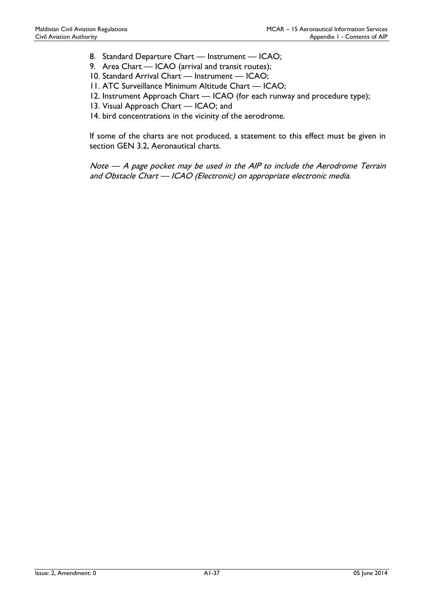- 8. Standard Departure Chart Instrument ICAO;
- 9. Area Chart ICAO (arrival and transit routes);
- 10. Standard Arrival Chart Instrument ICAO;
- 11. ATC Surveillance Minimum Altitude Chart ICAO;
- 12. Instrument Approach Chart ICAO (for each runway and procedure type);
- 13. Visual Approach Chart ICAO; and
- 14. bird concentrations in the vicinity of the aerodrome.

If some of the charts are not produced, a statement to this effect must be given in section GEN 3.2, Aeronautical charts.

Note — A page pocket may be used in the AIP to include the Aerodrome Terrain and Obstacle Chart — ICAO (Electronic) on appropriate electronic media.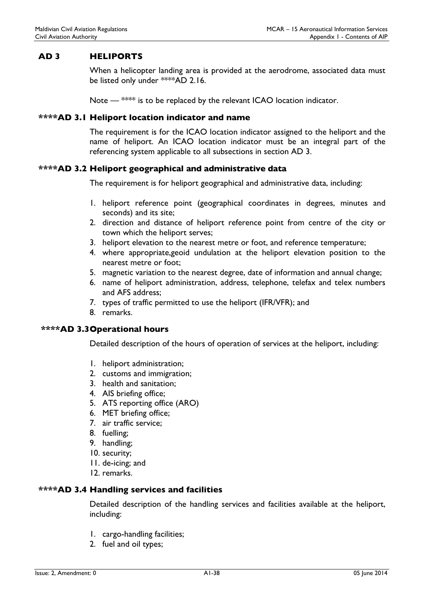## AD 3 HELIPORTS

When a helicopter landing area is provided at the aerodrome, associated data must be listed only under \*\*\*\*AD 2.16.

Note — \*\*\*\* is to be replaced by the relevant ICAO location indicator.

#### \*\*\*\*AD 3.1 Heliport location indicator and name

The requirement is for the ICAO location indicator assigned to the heliport and the name of heliport. An ICAO location indicator must be an integral part of the referencing system applicable to all subsections in section AD 3.

#### \*\*\*\*AD 3.2 Heliport geographical and administrative data

The requirement is for heliport geographical and administrative data, including:

- 1. heliport reference point (geographical coordinates in degrees, minutes and seconds) and its site;
- 2. direction and distance of heliport reference point from centre of the city or town which the heliport serves;
- 3. heliport elevation to the nearest metre or foot, and reference temperature;
- 4. where appropriate,geoid undulation at the heliport elevation position to the nearest metre or foot;
- 5. magnetic variation to the nearest degree, date of information and annual change;
- 6. name of heliport administration, address, telephone, telefax and telex numbers and AFS address;
- 7. types of traffic permitted to use the heliport (IFR/VFR); and
- 8. remarks.

#### \*\*\*\*AD 3.3 Operational hours

Detailed description of the hours of operation of services at the heliport, including:

- 1. heliport administration;
- 2. customs and immigration;
- 3. health and sanitation;
- 4. AIS briefing office;
- 5. ATS reporting office (ARO)
- 6. MET briefing office;
- 7. air traffic service;
- 8. fuelling;
- 9. handling;
- 10. security;
- 11. de-icing; and
- 12. remarks.

## \*\*\*\*AD 3.4 Handling services and facilities

Detailed description of the handling services and facilities available at the heliport, including:

- 1. cargo-handling facilities;
- 2. fuel and oil types;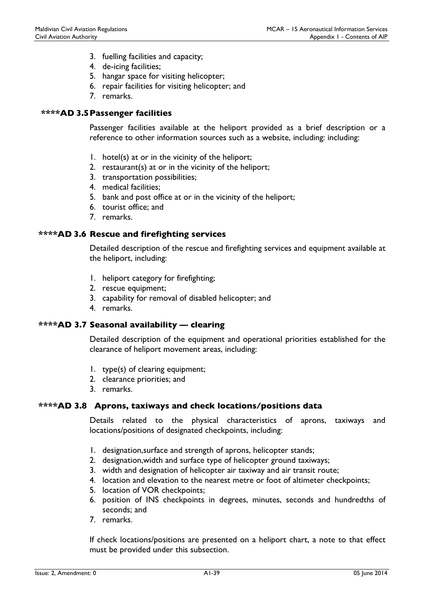- 3. fuelling facilities and capacity;
- 4. de-icing facilities;
- 5. hangar space for visiting helicopter;
- 6. repair facilities for visiting helicopter; and
- 7. remarks.

## \*\*\*\*AD 3.5 Passenger facilities

Passenger facilities available at the heliport provided as a brief description or a reference to other information sources such as a website, including: including:

- 1. hotel(s) at or in the vicinity of the heliport;
- 2. restaurant(s) at or in the vicinity of the heliport;
- 3. transportation possibilities;
- 4. medical facilities;
- 5. bank and post office at or in the vicinity of the heliport;
- 6. tourist office; and
- 7. remarks.

## \*\*\*\*AD 3.6 Rescue and firefighting services

Detailed description of the rescue and firefighting services and equipment available at the heliport, including:

- 1. heliport category for firefighting;
- 2. rescue equipment;
- 3. capability for removal of disabled helicopter; and
- 4. remarks.

## \*\*\*\*AD 3.7 Seasonal availability — clearing

Detailed description of the equipment and operational priorities established for the clearance of heliport movement areas, including:

- 1. type(s) of clearing equipment;
- 2. clearance priorities; and
- 3. remarks.

## \*\*\*\*AD 3.8 Aprons, taxiways and check locations/positions data

Details related to the physical characteristics of aprons, taxiways and locations/positions of designated checkpoints, including:

- 1. designation,surface and strength of aprons, helicopter stands;
- 2. designation,width and surface type of helicopter ground taxiways;
- 3. width and designation of helicopter air taxiway and air transit route;
- 4. location and elevation to the nearest metre or foot of altimeter checkpoints;
- 5. location of VOR checkpoints;
- 6. position of INS checkpoints in degrees, minutes, seconds and hundredths of seconds; and
- 7. remarks.

If check locations/positions are presented on a heliport chart, a note to that effect must be provided under this subsection.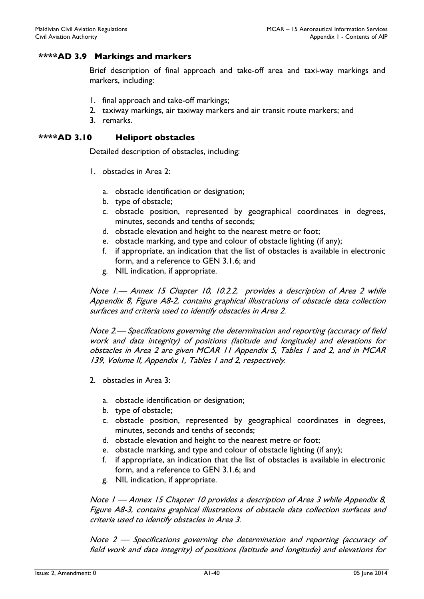## \*\*\*\*AD 3.9 Markings and markers

Brief description of final approach and take-off area and taxi-way markings and markers, including:

- 1. final approach and take-off markings;
- 2. taxiway markings, air taxiway markers and air transit route markers; and
- 3. remarks.

### \*\*\*\*AD 3.10 Heliport obstacles

Detailed description of obstacles, including:

- 1. obstacles in Area 2:
	- a. obstacle identification or designation;
	- b. type of obstacle;
	- c. obstacle position, represented by geographical coordinates in degrees, minutes, seconds and tenths of seconds;
	- d. obstacle elevation and height to the nearest metre or foot;
	- e. obstacle marking, and type and colour of obstacle lighting (if any);
	- f. if appropriate, an indication that the list of obstacles is available in electronic form, and a reference to GEN 3.1.6; and
	- g. NIL indication, if appropriate.

Note 1.— Annex 15 Chapter 10, 10.2.2, provides a description of Area 2 while Appendix 8, Figure A8-2, contains graphical illustrations of obstacle data collection surfaces and criteria used to identify obstacles in Area 2.

Note 2.— Specifications governing the determination and reporting (accuracy of field work and data integrity) of positions (latitude and longitude) and elevations for obstacles in Area 2 are given MCAR 11 Appendix 5, Tables 1 and 2, and in MCAR 139, Volume II, Appendix 1, Tables 1 and 2, respectively.

- 2. obstacles in Area 3:
	- a. obstacle identification or designation;
	- b. type of obstacle;
	- c. obstacle position, represented by geographical coordinates in degrees, minutes, seconds and tenths of seconds;
	- d. obstacle elevation and height to the nearest metre or foot;
	- e. obstacle marking, and type and colour of obstacle lighting (if any);
	- f. if appropriate, an indication that the list of obstacles is available in electronic form, and a reference to GEN 3.1.6; and
	- g. NIL indication, if appropriate.

Note 1 — Annex 15 Chapter 10 provides a description of Area 3 while Appendix 8, Figure A8-3, contains graphical illustrations of obstacle data collection surfaces and criteria used to identify obstacles in Area 3.

Note 2 — Specifications governing the determination and reporting (accuracy of field work and data integrity) of positions (latitude and longitude) and elevations for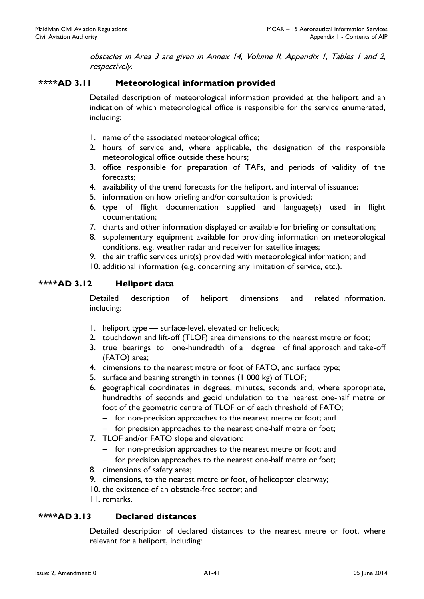obstacles in Area 3 are given in Annex 14, Volume II, Appendix 1, Tables 1 and 2, respectively.

## \*\*\*\*AD 3.11 Meteorological information provided

Detailed description of meteorological information provided at the heliport and an indication of which meteorological office is responsible for the service enumerated, including:

- 1. name of the associated meteorological office;
- 2. hours of service and, where applicable, the designation of the responsible meteorological office outside these hours;
- 3. office responsible for preparation of TAFs, and periods of validity of the forecasts;
- 4. availability of the trend forecasts for the heliport, and interval of issuance;
- 5. information on how briefing and/or consultation is provided;
- 6. type of flight documentation supplied and language(s) used in flight documentation;
- 7. charts and other information displayed or available for briefing or consultation;
- 8. supplementary equipment available for providing information on meteorological conditions, e.g. weather radar and receiver for satellite images;
- 9. the air traffic services unit(s) provided with meteorological information; and
- 10. additional information (e.g. concerning any limitation of service, etc.).

#### \*\*\*\*AD 3.12 Heliport data

Detailed description of heliport dimensions and related information, including:

- 1. heliport type surface-level, elevated or helideck;
- 2. touchdown and lift-off (TLOF) area dimensions to the nearest metre or foot;
- 3. true bearings to one-hundredth of a degree of final approach and take-off (FATO) area;
- 4. dimensions to the nearest metre or foot of FATO, and surface type;
- 5. surface and bearing strength in tonnes (1 000 kg) of TLOF;
- 6. geographical coordinates in degrees, minutes, seconds and, where appropriate, hundredths of seconds and geoid undulation to the nearest one-half metre or foot of the geometric centre of TLOF or of each threshold of FATO;
	- $-$  for non-precision approaches to the nearest metre or foot; and
	- for precision approaches to the nearest one-half metre or foot;
- 7. TLOF and/or FATO slope and elevation:
	- for non-precision approaches to the nearest metre or foot; and
	- $-$  for precision approaches to the nearest one-half metre or foot;
- 8. dimensions of safety area;
- 9. dimensions, to the nearest metre or foot, of helicopter clearway;
- 10. the existence of an obstacle-free sector; and
- 11. remarks.

## \*\*\*\*AD 3.13 Declared distances

Detailed description of declared distances to the nearest metre or foot, where relevant for a heliport, including: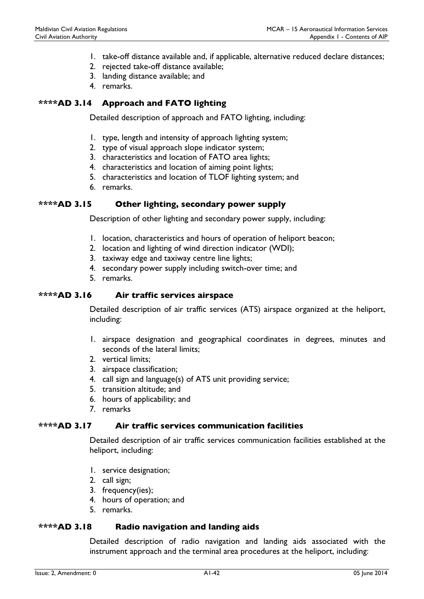- 1. take-off distance available and, if applicable, alternative reduced declare distances;
- 2. rejected take-off distance available;
- 3. landing distance available; and
- 4. remarks.

## \*\*\*\*AD 3.14 Approach and FATO lighting

Detailed description of approach and FATO lighting, including:

- 1. type, length and intensity of approach lighting system;
- 2. type of visual approach slope indicator system;
- 3. characteristics and location of FATO area lights;
- 4. characteristics and location of aiming point lights;
- 5. characteristics and location of TLOF lighting system; and
- 6. remarks.

#### \*\*\*\*AD 3.15 Other lighting, secondary power supply

Description of other lighting and secondary power supply, including:

- 1. location, characteristics and hours of operation of heliport beacon;
- 2. location and lighting of wind direction indicator (WDI);
- 3. taxiway edge and taxiway centre line lights;
- 4. secondary power supply including switch-over time; and
- 5. remarks.

#### \*\*\*\*AD 3.16 Air traffic services airspace

Detailed description of air traffic services (ATS) airspace organized at the heliport, including:

- 1. airspace designation and geographical coordinates in degrees, minutes and seconds of the lateral limits;
- 2. vertical limits;
- 3. airspace classification;
- 4. call sign and language(s) of ATS unit providing service;
- 5. transition altitude; and
- 6. hours of applicability; and
- 7. remarks

## \*\*\*\*AD 3.17 Air traffic services communication facilities

Detailed description of air traffic services communication facilities established at the heliport, including:

- 1. service designation;
- 2. call sign;
- 3. frequency(ies);
- 4. hours of operation; and
- 5. remarks.

#### \*\*\*\*AD 3.18 Radio navigation and landing aids

Detailed description of radio navigation and landing aids associated with the instrument approach and the terminal area procedures at the heliport, including: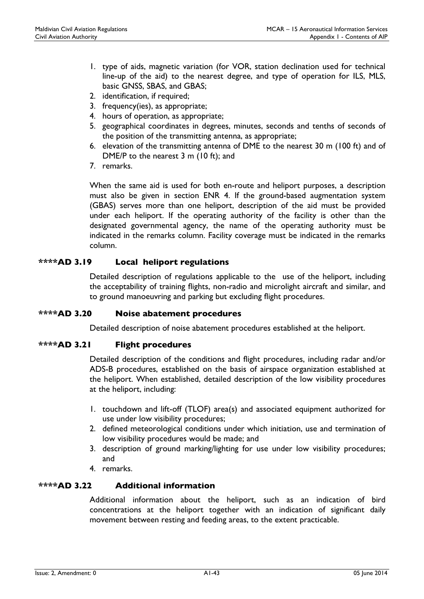- 1. type of aids, magnetic variation (for VOR, station declination used for technical line-up of the aid) to the nearest degree, and type of operation for ILS, MLS, basic GNSS, SBAS, and GBAS;
- 2. identification, if required;
- 3. frequency(ies), as appropriate;
- 4. hours of operation, as appropriate;
- 5. geographical coordinates in degrees, minutes, seconds and tenths of seconds of the position of the transmitting antenna, as appropriate;
- 6. elevation of the transmitting antenna of DME to the nearest 30 m (100 ft) and of DME/P to the nearest 3 m (10 ft); and
- 7. remarks.

When the same aid is used for both en-route and heliport purposes, a description must also be given in section ENR 4. If the ground-based augmentation system (GBAS) serves more than one heliport, description of the aid must be provided under each heliport. If the operating authority of the facility is other than the designated governmental agency, the name of the operating authority must be indicated in the remarks column. Facility coverage must be indicated in the remarks column.

## \*\*\*\*AD 3.19 Local heliport regulations

Detailed description of regulations applicable to the use of the heliport, including the acceptability of training flights, non-radio and microlight aircraft and similar, and to ground manoeuvring and parking but excluding flight procedures.

## \*\*\*\*AD 3.20 Noise abatement procedures

Detailed description of noise abatement procedures established at the heliport.

## \*\*\*\*AD 3.21 Flight procedures

Detailed description of the conditions and flight procedures, including radar and/or ADS-B procedures, established on the basis of airspace organization established at the heliport. When established, detailed description of the low visibility procedures at the heliport, including:

- 1. touchdown and lift-off (TLOF) area(s) and associated equipment authorized for use under low visibility procedures;
- 2. defined meteorological conditions under which initiation, use and termination of low visibility procedures would be made; and
- 3. description of ground marking/lighting for use under low visibility procedures; and
- 4. remarks.

## \*\*\*\*AD 3.22 Additional information

Additional information about the heliport, such as an indication of bird concentrations at the heliport together with an indication of significant daily movement between resting and feeding areas, to the extent practicable.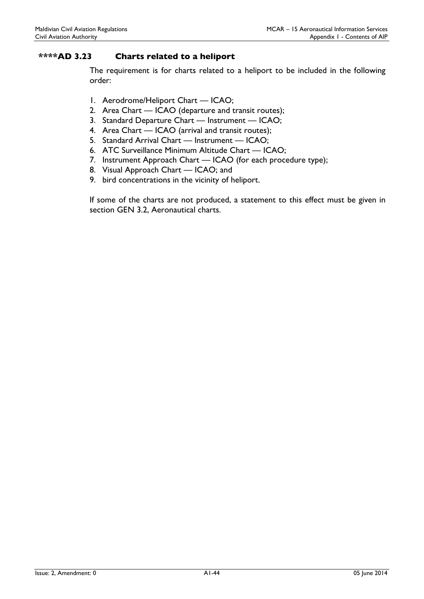## \*\*\*\*AD 3.23 Charts related to a heliport

The requirement is for charts related to a heliport to be included in the following order:

- 1. Aerodrome/Heliport Chart ICAO;
- 2. Area Chart ICAO (departure and transit routes);
- 3. Standard Departure Chart Instrument ICAO;
- 4. Area Chart ICAO (arrival and transit routes);
- 5. Standard Arrival Chart Instrument ICAO;
- 6. ATC Surveillance Minimum Altitude Chart ICAO;
- 7. Instrument Approach Chart ICAO (for each procedure type);
- 8. Visual Approach Chart ICAO; and
- 9. bird concentrations in the vicinity of heliport.

If some of the charts are not produced, a statement to this effect must be given in section GEN 3.2, Aeronautical charts.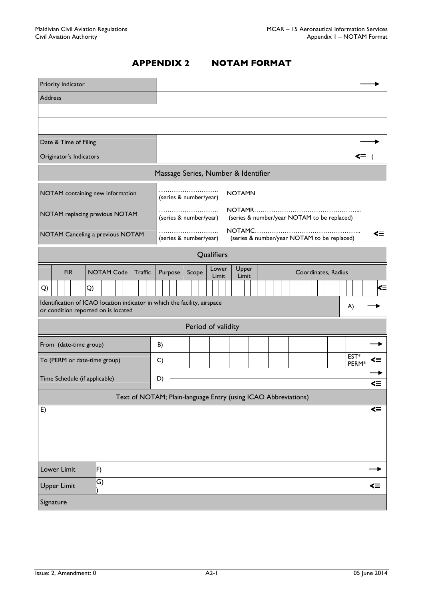# APPENDIX 2 NOTAM FORMAT

| Priority Indicator                                                                                               |                                                                             |    |
|------------------------------------------------------------------------------------------------------------------|-----------------------------------------------------------------------------|----|
| Address                                                                                                          |                                                                             |    |
|                                                                                                                  |                                                                             |    |
|                                                                                                                  |                                                                             |    |
| Date & Time of Filing                                                                                            |                                                                             |    |
| Originator's Indicators                                                                                          | <≡ (                                                                        |    |
|                                                                                                                  | Massage Series, Number & Identifier                                         |    |
| NOTAM containing new information                                                                                 | <b>NOTAMN</b><br>(series & number/year)                                     |    |
| NOTAM replacing previous NOTAM                                                                                   | (series & number/year NOTAM to be replaced)<br>(series & number/year)       |    |
| NOTAM Canceling a previous NOTAM                                                                                 | ⋖≡<br>(series & number/year NOTAM to be replaced)<br>(series & number/year) |    |
|                                                                                                                  | Qualifiers                                                                  |    |
| <b>FIR</b><br><b>NOTAM Code</b><br><b>Traffic</b>                                                                | Upper<br>Lower<br>Coordinates, Radius<br>Purpose<br>Scope<br>Limit<br>Limit |    |
| Q)<br>Q)                                                                                                         |                                                                             | <≡ |
| Identification of ICAO location indicator in which the facility, airspace<br>or condition reported on is located | A)                                                                          |    |
|                                                                                                                  | Period of validity                                                          |    |
| From (date-time group)                                                                                           | B)                                                                          |    |
| To (PERM or date-time group)                                                                                     | EST*<br>⋖≡<br>$\mathsf{C}$<br>PERM <sup>*</sup>                             |    |
| Time Schedule (if applicable)                                                                                    | D)                                                                          |    |
|                                                                                                                  | ⋖≡<br>Text of NOTAM; Plain-language Entry (using ICAO Abbreviations)        |    |
| E)                                                                                                               | $\leq$                                                                      |    |
|                                                                                                                  |                                                                             |    |
|                                                                                                                  |                                                                             |    |
|                                                                                                                  |                                                                             |    |
| Lower Limit<br>F)                                                                                                |                                                                             |    |
| G)<br><b>Upper Limit</b>                                                                                         | ≤≡                                                                          |    |
| Signature                                                                                                        |                                                                             |    |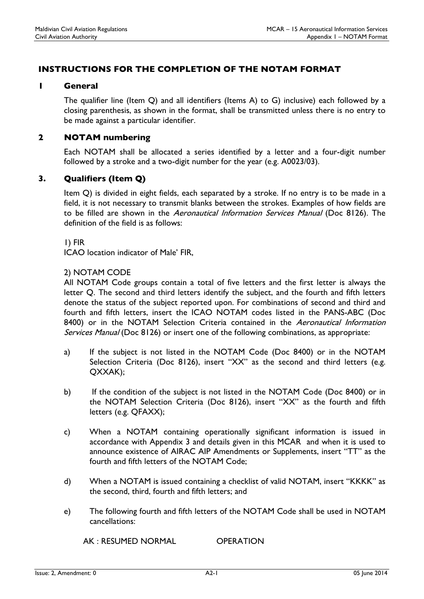# INSTRUCTIONS FOR THE COMPLETION OF THE NOTAM FORMAT

### 1 General

The qualifier line (Item Q) and all identifiers (Items A) to G) inclusive) each followed by a closing parenthesis, as shown in the format, shall be transmitted unless there is no entry to be made against a particular identifier.

## 2 NOTAM numbering

Each NOTAM shall be allocated a series identified by a letter and a four-digit number followed by a stroke and a two-digit number for the year (e.g. A0023/03).

## 3. Qualifiers (Item Q)

Item Q) is divided in eight fields, each separated by a stroke. If no entry is to be made in a field, it is not necessary to transmit blanks between the strokes. Examples of how fields are to be filled are shown in the Aeronautical Information Services Manual (Doc 8126). The definition of the field is as follows:

1) FIR

ICAO location indicator of Male' FIR,

#### 2) NOTAM CODE

All NOTAM Code groups contain a total of five letters and the first letter is always the letter Q. The second and third letters identify the subject, and the fourth and fifth letters denote the status of the subject reported upon. For combinations of second and third and fourth and fifth letters, insert the ICAO NOTAM codes listed in the PANS-ABC (Doc 8400) or in the NOTAM Selection Criteria contained in the Aeronautical Information Services Manual (Doc 8126) or insert one of the following combinations, as appropriate:

- a) If the subject is not listed in the NOTAM Code (Doc 8400) or in the NOTAM Selection Criteria (Doc 8126), insert "XX" as the second and third letters (e.g. QXXAK);
- b) If the condition of the subject is not listed in the NOTAM Code (Doc 8400) or in the NOTAM Selection Criteria (Doc 8126), insert "XX" as the fourth and fifth letters (e.g. QFAXX);
- c) When a NOTAM containing operationally significant information is issued in accordance with Appendix 3 and details given in this MCAR and when it is used to announce existence of AIRAC AIP Amendments or Supplements, insert "TT" as the fourth and fifth letters of the NOTAM Code;
- d) When a NOTAM is issued containing a checklist of valid NOTAM, insert "KKKK" as the second, third, fourth and fifth letters; and
- e) The following fourth and fifth letters of the NOTAM Code shall be used in NOTAM cancellations:

AK : RESUMED NORMAL OPERATION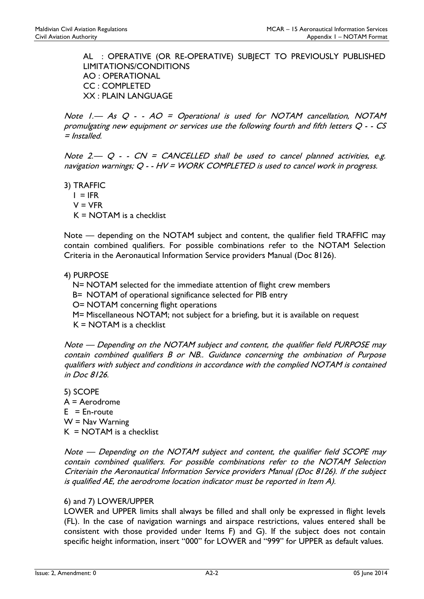AL : OPERATIVE (OR RE-OPERATIVE) SUBJECT TO PREVIOUSLY PUBLISHED LIMITATIONS/CONDITIONS AO : OPERATIONAL CC : COMPLETED XX : PLAIN LANGUAGE

Note 1.— As Q - - AO = Operational is used for NOTAM cancellation, NOTAM promulgating new equipment or services use the following fourth and fifth letters Q - - CS = Installed.

Note 2.—  $Q - C$  -  $CN = CANCELED$  shall be used to cancel planned activities, e.g. navigation warnings; Q - - HV = WORK COMPLETED is used to cancel work in progress.

3) TRAFFIC  $I = IFR$  $V = VFR$ K = NOTAM is a checklist

Note — depending on the NOTAM subject and content, the qualifier field TRAFFIC may contain combined qualifiers. For possible combinations refer to the NOTAM Selection Criteria in the Aeronautical Information Service providers Manual (Doc 8126).

## 4) PURPOSE

N= NOTAM selected for the immediate attention of flight crew members

B= NOTAM of operational significance selected for PIB entry

O= NOTAM concerning flight operations

M= Miscellaneous NOTAM; not subject for a briefing, but it is available on request

 $K = NOTAM$  is a checklist

Note — Depending on the NOTAM subject and content, the qualifier field PURPOSE may contain combined qualifiers B or NB.. Guidance concerning the ombination of Purpose qualifiers with subject and conditions in accordance with the complied NOTAM is contained in Doc 8126.

5) SCOPE A = Aerodrome  $E = En$ -route  $W =$  Nav Warning  $K = NOTAM$  is a checklist

Note — Depending on the NOTAM subject and content, the qualifier field SCOPE may contain combined qualifiers. For possible combinations refer to the NOTAM Selection Criteriain the Aeronautical Information Service providers Manual (Doc 8126). If the subject is qualified AE, the aerodrome location indicator must be reported in Item A).

## 6) and 7) LOWER/UPPER

LOWER and UPPER limits shall always be filled and shall only be expressed in flight levels (FL). In the case of navigation warnings and airspace restrictions, values entered shall be consistent with those provided under Items F) and G). If the subject does not contain specific height information, insert "000" for LOWER and "999" for UPPER as default values.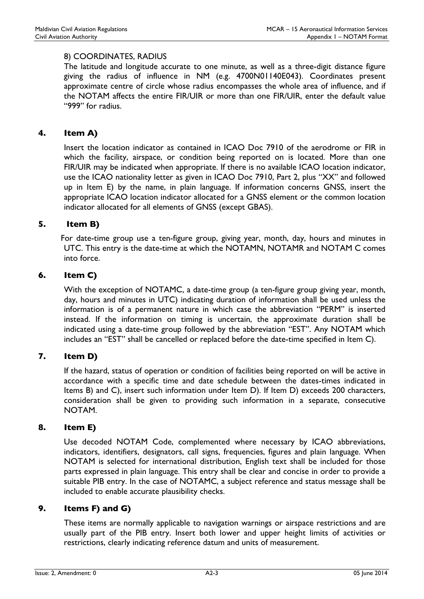## 8) COORDINATES, RADIUS

The latitude and longitude accurate to one minute, as well as a three-digit distance figure giving the radius of influence in NM (e.g. 4700N01140E043). Coordinates present approximate centre of circle whose radius encompasses the whole area of influence, and if the NOTAM affects the entire FIR/UIR or more than one FIR/UIR, enter the default value "999" for radius.

## 4. Item A)

Insert the location indicator as contained in ICAO Doc 7910 of the aerodrome or FIR in which the facility, airspace, or condition being reported on is located. More than one FIR/UIR may be indicated when appropriate. If there is no available ICAO location indicator, use the ICAO nationality letter as given in ICAO Doc 7910, Part 2, plus "XX" and followed up in Item E) by the name, in plain language. If information concerns GNSS, insert the appropriate ICAO location indicator allocated for a GNSS element or the common location indicator allocated for all elements of GNSS (except GBAS).

## 5. Item B)

 For date-time group use a ten-figure group, giving year, month, day, hours and minutes in UTC. This entry is the date-time at which the NOTAMN, NOTAMR and NOTAM C comes into force.

## 6. Item C)

With the exception of NOTAMC, a date-time group (a ten-figure group giving year, month, day, hours and minutes in UTC) indicating duration of information shall be used unless the information is of a permanent nature in which case the abbreviation "PERM" is inserted instead. If the information on timing is uncertain, the approximate duration shall be indicated using a date-time group followed by the abbreviation "EST". Any NOTAM which includes an "EST" shall be cancelled or replaced before the date-time specified in Item C).

## 7. Item D)

If the hazard, status of operation or condition of facilities being reported on will be active in accordance with a specific time and date schedule between the dates-times indicated in Items B) and C), insert such information under Item D). If Item D) exceeds 200 characters, consideration shall be given to providing such information in a separate, consecutive NOTAM.

## 8. Item E)

Use decoded NOTAM Code, complemented where necessary by ICAO abbreviations, indicators, identifiers, designators, call signs, frequencies, figures and plain language. When NOTAM is selected for international distribution, English text shall be included for those parts expressed in plain language. This entry shall be clear and concise in order to provide a suitable PIB entry. In the case of NOTAMC, a subject reference and status message shall be included to enable accurate plausibility checks.

## 9. Items F) and G)

These items are normally applicable to navigation warnings or airspace restrictions and are usually part of the PIB entry. Insert both lower and upper height limits of activities or restrictions, clearly indicating reference datum and units of measurement.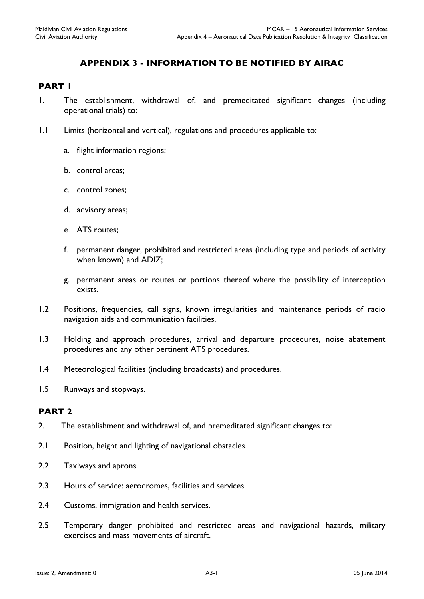# APPENDIX 3 - INFORMATION TO BE NOTIFIED BY AIRAC

## PART 1

- 1. The establishment, withdrawal of, and premeditated significant changes (including operational trials) to:
- 1.1 Limits (horizontal and vertical), regulations and procedures applicable to:
	- a. flight information regions;
	- b. control areas;
	- c. control zones;
	- d. advisory areas;
	- e. ATS routes;
	- f. permanent danger, prohibited and restricted areas (including type and periods of activity when known) and ADIZ;
	- g. permanent areas or routes or portions thereof where the possibility of interception exists.
- 1.2 Positions, frequencies, call signs, known irregularities and maintenance periods of radio navigation aids and communication facilities.
- 1.3 Holding and approach procedures, arrival and departure procedures, noise abatement procedures and any other pertinent ATS procedures.
- 1.4 Meteorological facilities (including broadcasts) and procedures.
- 1.5 Runways and stopways.

### PART 2

- 2. The establishment and withdrawal of, and premeditated significant changes to:
- 2.1 Position, height and lighting of navigational obstacles.
- 2.2 Taxiways and aprons.
- 2.3 Hours of service: aerodromes, facilities and services.
- 2.4 Customs, immigration and health services.
- 2.5 Temporary danger prohibited and restricted areas and navigational hazards, military exercises and mass movements of aircraft.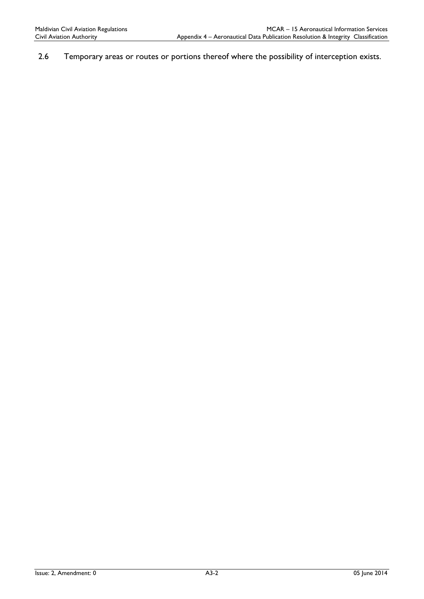2.6 Temporary areas or routes or portions thereof where the possibility of interception exists.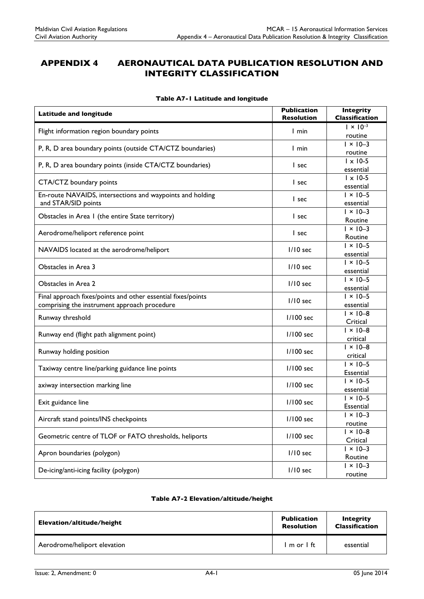# APPENDIX 4 AERONAUTICAL DATA PUBLICATION RESOLUTION AND INTEGRITY CLASSIFICATION

| <b>Latitude and longitude</b>                                                                                | <b>Publication</b><br><b>Resolution</b> | <b>Integrity</b><br><b>Classification</b> |
|--------------------------------------------------------------------------------------------------------------|-----------------------------------------|-------------------------------------------|
| Flight information region boundary points                                                                    | I min                                   | $1 \times 10^{-3}$                        |
|                                                                                                              |                                         | routine<br>$1 \times 10 - 3$              |
| P, R, D area boundary points (outside CTA/CTZ boundaries)                                                    | I min                                   | routine                                   |
| P, R, D area boundary points (inside CTA/CTZ boundaries)                                                     | I sec                                   | $1 \times 10-5$<br>essential              |
| CTA/CTZ boundary points                                                                                      | l sec                                   | $1 \times 10-5$<br>essential              |
| En-route NAVAIDS, intersections and waypoints and holding<br>and STAR/SID points                             | I sec                                   | $1 \times 10 - 5$<br>essential            |
| Obstacles in Area I (the entire State territory)                                                             | l sec                                   | $1 \times 10 - 3$<br>Routine              |
| Aerodrome/heliport reference point                                                                           | I sec                                   | $1 \times 10 - 3$<br>Routine              |
| NAVAIDS located at the aerodrome/heliport                                                                    | I/I0 sec                                | $1 \times 10 - 5$<br>essential            |
| Obstacles in Area 3                                                                                          | I/I0 sec                                | $1 \times 10 - 5$<br>essential            |
| Obstacles in Area 2                                                                                          | $1/10$ sec                              | $1 \times 10 - 5$<br>essential            |
| Final approach fixes/points and other essential fixes/points<br>comprising the instrument approach procedure | I/I0 sec                                | $1 \times 10 - 5$<br>essential            |
| Runway threshold                                                                                             | 1/100 sec                               | $1 \times 10 - 8$<br>Critical             |
| Runway end (flight path alignment point)                                                                     | $1/100$ sec                             | $1 \times 10 - 8$<br>critical             |
| Runway holding position                                                                                      | $1/100$ sec                             | $\vert \times \vert 0 - 8$<br>critical    |
| Taxiway centre line/parking guidance line points                                                             | 1/100 sec                               | $1 \times 10 - 5$<br>Essential            |
| axiway intersection marking line                                                                             | 1/100 sec                               | $1 \times 10 - 5$<br>essential            |
| Exit guidance line                                                                                           | 1/100 sec                               | $1 \times 10 - 5$<br>Essential            |
| Aircraft stand points/INS checkpoints                                                                        | 1/100 sec                               | $1 \times 10 - 3$<br>routine              |
| Geometric centre of TLOF or FATO thresholds, heliports                                                       | 1/100 sec                               | $1 \times 10 - 8$<br>Critical             |
| Apron boundaries (polygon)                                                                                   | $1/10$ sec                              | $1 \times 10 - 3$<br>Routine              |
| De-icing/anti-icing facility (polygon)                                                                       | I/I0 sec                                | $1 \times 10 - 3$<br>routine              |

#### Table A7-1 Latitude and longitude

#### Table A7-2 Elevation/altitude/height

| Elevation/altitude/height    | <b>Publication</b><br><b>Resolution</b> | <b>Integrity</b><br><b>Classification</b> |
|------------------------------|-----------------------------------------|-------------------------------------------|
| Aerodrome/heliport elevation | lmor Ift                                | essential                                 |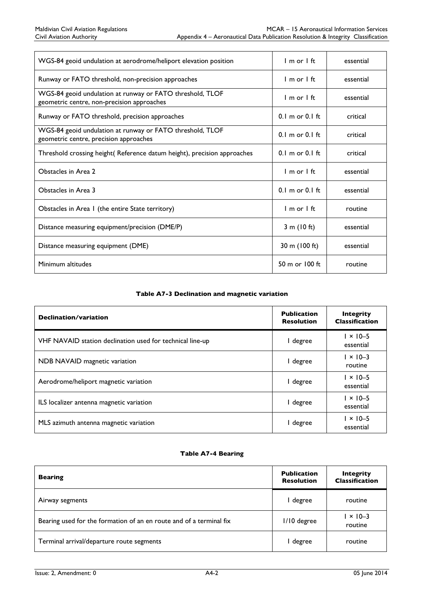| WGS-84 geoid undulation at aerodrome/heliport elevation position                                        | $Im$ or $1$ ft                      | essential |
|---------------------------------------------------------------------------------------------------------|-------------------------------------|-----------|
| Runway or FATO threshold, non-precision approaches                                                      | $1$ m or $1$ ft.                    | essential |
| WGS-84 geoid undulation at runway or FATO threshold, TLOF<br>geometric centre, non-precision approaches | $1 m$ or $1 ft$                     | essential |
| Runway or FATO threshold, precision approaches                                                          | $0.1 \text{ m or } 0.1 \text{ ft}$  | critical  |
| WGS-84 geoid undulation at runway or FATO threshold, TLOF<br>geometric centre, precision approaches     | $0.1$ m or $0.1$ ft.                | critical  |
| Threshold crossing height (Reference datum height), precision approaches                                | $0.1$ m or $0.1$ ft.                | critical  |
| Obstacles in Area 2                                                                                     | $1$ m or $1$ ft.                    | essential |
| Obstacles in Area 3                                                                                     | $0.1 \text{ m}$ or $0.1 \text{ ft}$ | essential |
| Obstacles in Area I (the entire State territory)                                                        | $Im$ or $1$ ft                      | routine   |
| Distance measuring equipment/precision (DME/P)                                                          | 3 m $(10 ft)$                       | essential |
| Distance measuring equipment (DME)                                                                      | 30 m (100 ft)                       | essential |
| Minimum altitudes                                                                                       | 50 m or $100$ ft.                   | routine   |

#### Table A7-3 Declination and magnetic variation

| Declination/variation                                     | <b>Publication</b><br><b>Resolution</b> | <b>Integrity</b><br><b>Classification</b> |
|-----------------------------------------------------------|-----------------------------------------|-------------------------------------------|
| VHF NAVAID station declination used for technical line-up | degree                                  | $1 \times 10 - 5$<br>essential            |
| NDB NAVAID magnetic variation                             | degree                                  | $1 \times 10 - 3$<br>routine              |
| Aerodrome/heliport magnetic variation                     | degree                                  | $1 \times 10 - 5$<br>essential            |
| ILS localizer antenna magnetic variation                  | degree                                  | $1 \times 10 - 5$<br>essential            |
| MLS azimuth antenna magnetic variation                    | degree                                  | $1 \times 10 - 5$<br>essential            |

#### Table A7-4 Bearing

| <b>Bearing</b>                                                      | <b>Publication</b><br><b>Resolution</b> | <b>Integrity</b><br><b>Classification</b> |
|---------------------------------------------------------------------|-----------------------------------------|-------------------------------------------|
| Airway segments                                                     | I degree                                | routine                                   |
| Bearing used for the formation of an en route and of a terminal fix | $1/10$ degree                           | $1 \times 10 - 3$<br>routine              |
| Terminal arrival/departure route segments                           | l degree                                | routine                                   |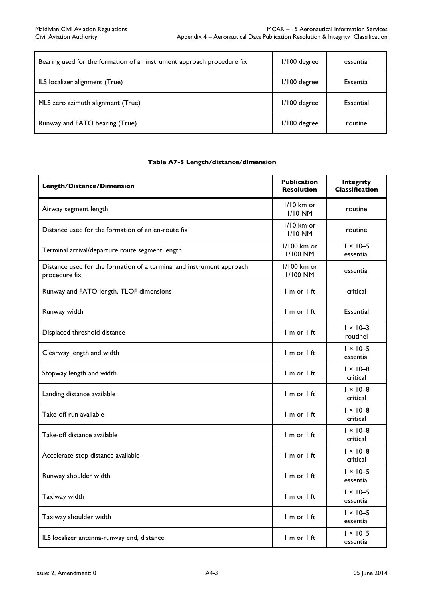| Bearing used for the formation of an instrument approach procedure fix | I/100 degree | essential |
|------------------------------------------------------------------------|--------------|-----------|
| ILS localizer alignment (True)                                         | I/100 degree | Essential |
| MLS zero azimuth alignment (True)                                      | I/100 degree | Essential |
| Runway and FATO bearing (True)                                         | I/100 degree | routine   |

#### Table A7-5 Length/distance/dimension

| Length/Distance/Dimension                                                              | <b>Publication</b><br><b>Resolution</b> | <b>Integrity</b><br><b>Classification</b> |
|----------------------------------------------------------------------------------------|-----------------------------------------|-------------------------------------------|
| Airway segment length                                                                  | $1/10$ km or<br><b>I/I0 NM</b>          | routine                                   |
| Distance used for the formation of an en-route fix                                     | I/I0 km or<br><b>I/I0 NM</b>            | routine                                   |
| Terminal arrival/departure route segment length                                        | 1/100 km or<br><b>I/I00 NM</b>          | $1 \times 10 - 5$<br>essential            |
| Distance used for the formation of a terminal and instrument approach<br>procedure fix | 1/100 km or<br><b>I/I00 NM</b>          | essential                                 |
| Runway and FATO length, TLOF dimensions                                                | I m or I ft                             | critical                                  |
| Runway width                                                                           | I m or I ft                             | Essential                                 |
| Displaced threshold distance                                                           | I m or I ft                             | $1 \times 10 - 3$<br>routinel             |
| Clearway length and width                                                              | I m or I ft                             | $1 \times 10 - 5$<br>essential            |
| Stopway length and width                                                               | I m or I ft                             | $1 \times 10 - 8$<br>critical             |
| Landing distance available                                                             | $l$ m or $l$ ft                         | $1 \times 10 - 8$<br>critical             |
| Take-off run available                                                                 | I m or I ft                             | $1 \times 10 - 8$<br>critical             |
| Take-off distance available                                                            | I m or I ft                             | $1 \times 10 - 8$<br>critical             |
| Accelerate-stop distance available                                                     | I m or I ft                             | $1 \times 10 - 8$<br>critical             |
| Runway shoulder width                                                                  | $Im$ or $It$                            | $1 \times 10 - 5$<br>essential            |
| Taxiway width                                                                          | I m or I ft                             | $1 \times 10 - 5$<br>essential            |
| Taxiway shoulder width                                                                 | I m or I ft                             | $1 \times 10 - 5$<br>essential            |
| ILS localizer antenna-runway end, distance                                             | I m or I ft                             | $1 \times 10 - 5$<br>essential            |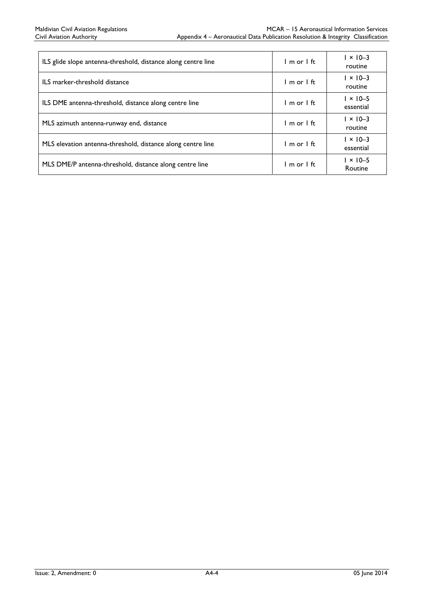| ILS glide slope antenna-threshold, distance along centre line | 1 m or 1 ft     | $1 \times 10 - 3$<br>routine   |
|---------------------------------------------------------------|-----------------|--------------------------------|
| ILS marker-threshold distance                                 | $1m$ or $1f$ t  | $1 \times 10 - 3$<br>routine   |
| ILS DME antenna-threshold, distance along centre line         | $1 m$ or $1 ft$ | $1 \times 10 - 5$<br>essential |
| MLS azimuth antenna-runway end, distance                      | $1 m$ or $1 ft$ | $1 \times 10 - 3$<br>routine   |
| MLS elevation antenna-threshold, distance along centre line   | $1m$ or $1f$ t  | $1 \times 10 - 3$<br>essential |
| MLS DME/P antenna-threshold, distance along centre line       | lmor Ift        | $1 \times 10 - 5$<br>Routine   |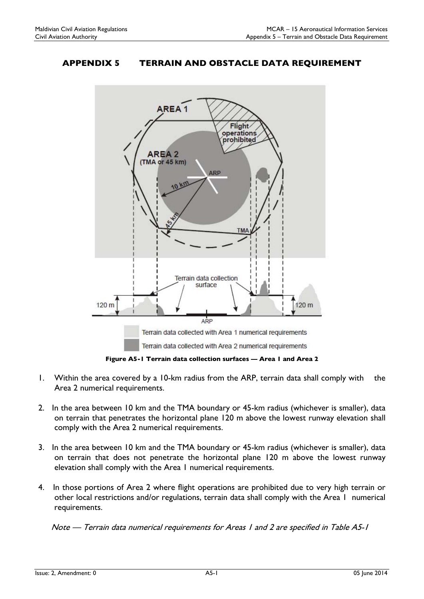# APPENDIX 5 TERRAIN AND OBSTACLE DATA REQUIREMENT



Figure A5-1 Terrain data collection surfaces — Area 1 and Area 2

- 1. Within the area covered by a 10-km radius from the ARP, terrain data shall comply with the Area 2 numerical requirements.
- 2. In the area between 10 km and the TMA boundary or 45-km radius (whichever is smaller), data on terrain that penetrates the horizontal plane 120 m above the lowest runway elevation shall comply with the Area 2 numerical requirements.
- 3. In the area between 10 km and the TMA boundary or 45-km radius (whichever is smaller), data on terrain that does not penetrate the horizontal plane 120 m above the lowest runway elevation shall comply with the Area 1 numerical requirements.
- 4. In those portions of Area 2 where flight operations are prohibited due to very high terrain or other local restrictions and/or regulations, terrain data shall comply with the Area 1 numerical requirements.

Note — Terrain data numerical requirements for Areas 1 and 2 are specified in Table A5-1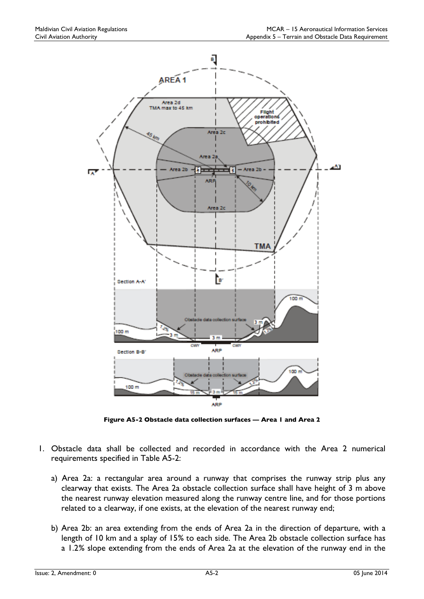

Figure A5-2 Obstacle data collection surfaces — Area 1 and Area 2

- 1. Obstacle data shall be collected and recorded in accordance with the Area 2 numerical requirements specified in Table A5-2:
	- a) Area 2a: a rectangular area around a runway that comprises the runway strip plus any clearway that exists. The Area 2a obstacle collection surface shall have height of 3 m above the nearest runway elevation measured along the runway centre line, and for those portions related to a clearway, if one exists, at the elevation of the nearest runway end;
	- b) Area 2b: an area extending from the ends of Area 2a in the direction of departure, with a length of 10 km and a splay of 15% to each side. The Area 2b obstacle collection surface has a 1.2% slope extending from the ends of Area 2a at the elevation of the runway end in the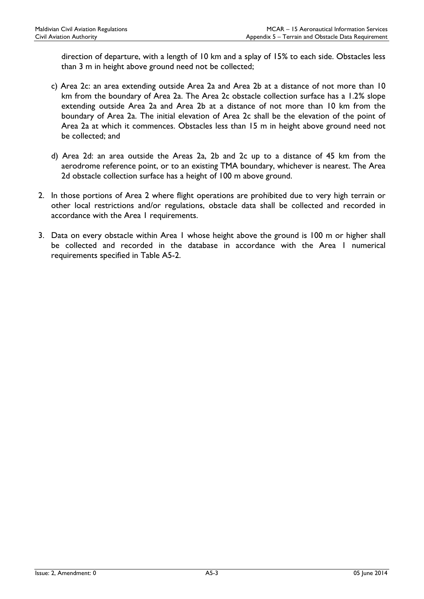direction of departure, with a length of 10 km and a splay of 15% to each side. Obstacles less than 3 m in height above ground need not be collected;

- c) Area 2c: an area extending outside Area 2a and Area 2b at a distance of not more than 10 km from the boundary of Area 2a. The Area 2c obstacle collection surface has a 1.2% slope extending outside Area 2a and Area 2b at a distance of not more than 10 km from the boundary of Area 2a. The initial elevation of Area 2c shall be the elevation of the point of Area 2a at which it commences. Obstacles less than 15 m in height above ground need not be collected; and
- d) Area 2d: an area outside the Areas 2a, 2b and 2c up to a distance of 45 km from the aerodrome reference point, or to an existing TMA boundary, whichever is nearest. The Area 2d obstacle collection surface has a height of 100 m above ground.
- 2. In those portions of Area 2 where flight operations are prohibited due to very high terrain or other local restrictions and/or regulations, obstacle data shall be collected and recorded in accordance with the Area 1 requirements.
- 3. Data on every obstacle within Area 1 whose height above the ground is 100 m or higher shall be collected and recorded in the database in accordance with the Area I numerical requirements specified in Table A5-2.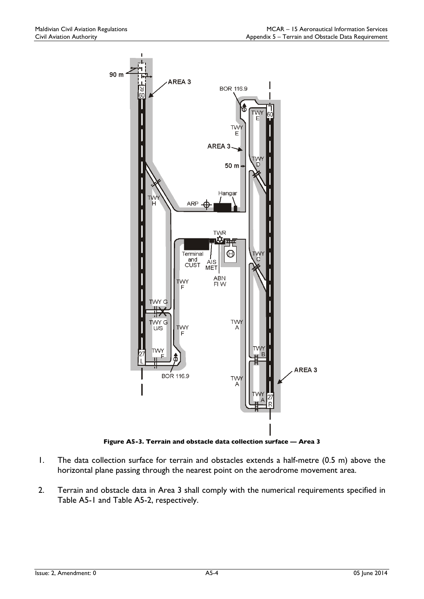

Figure A5-3. Terrain and obstacle data collection surface — Area 3

- 1. The data collection surface for terrain and obstacles extends a half-metre (0.5 m) above the horizontal plane passing through the nearest point on the aerodrome movement area.
- 2. Terrain and obstacle data in Area 3 shall comply with the numerical requirements specified in Table A5-1 and Table A5-2, respectively.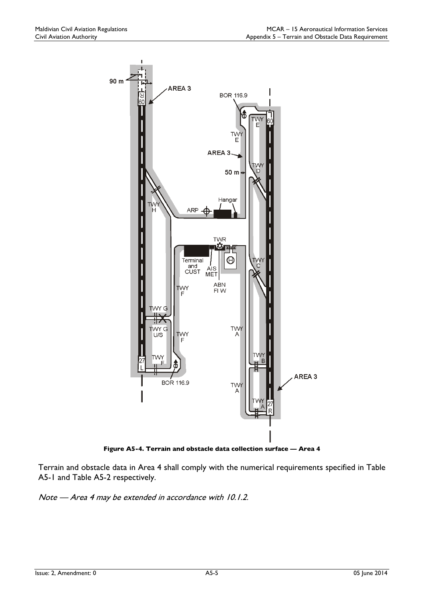

Figure A5-4. Terrain and obstacle data collection surface — Area 4

Terrain and obstacle data in Area 4 shall comply with the numerical requirements specified in Table A5-1 and Table A5-2 respectively.

Note — Area 4 may be extended in accordance with 10.1.2.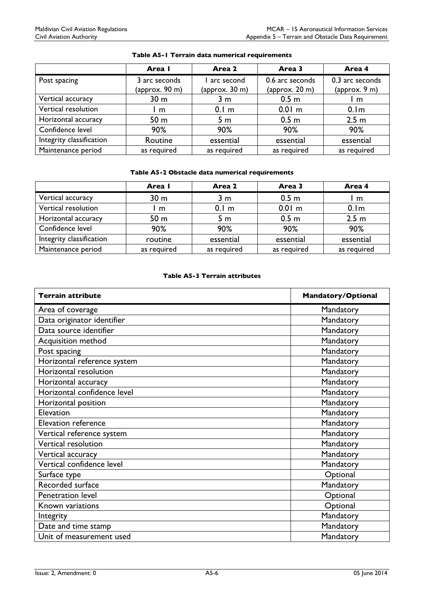|                          | Area I                                  | Area 2                               | Area 3                                    | Area 4                           |
|--------------------------|-----------------------------------------|--------------------------------------|-------------------------------------------|----------------------------------|
| Post spacing             | 3 arc seconds<br>${\rm (approx. 90~m)}$ | arc second<br>${\rm (approx. 30~m)}$ | 0.6 arc seconds<br>${\rm (approx. 20~m)}$ | 0.3 arc seconds<br>(approx. 9 m) |
| Vertical accuracy        | 30 <sub>m</sub>                         | 3 m                                  | 0.5 <sub>m</sub>                          | m                                |
| Vertical resolution      | l m                                     | 0.1 <sub>m</sub>                     | $0.01$ m                                  | 0.1 <sub>m</sub>                 |
| Horizontal accuracy      | 50 <sub>m</sub>                         | 5 m                                  | 0.5 <sub>m</sub>                          | 2.5 <sub>m</sub>                 |
| Confidence level         | 90%                                     | 90%                                  | 90%                                       | 90%                              |
| Integrity classification | Routine                                 | essential                            | essential                                 | essential                        |
| Maintenance period       | as required                             | as required                          | as required                               | as required                      |

#### Table A5-1 Terrain data numerical requirements

#### Table A5-2 Obstacle data numerical requirements

|                          | Area I          | Area 2           | Area 3           | Area 4           |
|--------------------------|-----------------|------------------|------------------|------------------|
| Vertical accuracy        | 30 <sub>m</sub> | 3 <sub>m</sub>   | 0.5 <sub>m</sub> | m                |
| Vertical resolution      | m               | 0.1 <sub>m</sub> | $0.01$ m         | 0.1 <sub>m</sub> |
| Horizontal accuracy      | 50 <sub>m</sub> | 5 m              | 0.5 <sub>m</sub> | 2.5 <sub>m</sub> |
| Confidence level         | 90%             | 90%              | 90%              | 90%              |
| Integrity classification | routine         | essential        | essential        | essential        |
| Maintenance period       | as required     | as required      | as required      | as required      |

#### Table A5-3 Terrain attributes

| <b>Terrain attribute</b>    | <b>Mandatory/Optional</b> |
|-----------------------------|---------------------------|
| Area of coverage            | Mandatory                 |
| Data originator identifier  | Mandatory                 |
| Data source identifier      | Mandatory                 |
| Acquisition method          | Mandatory                 |
| Post spacing                | Mandatory                 |
| Horizontal reference system | Mandatory                 |
| Horizontal resolution       | Mandatory                 |
| Horizontal accuracy         | Mandatory                 |
| Horizontal confidence level | Mandatory                 |
| Horizontal position         | Mandatory                 |
| Elevation                   | Mandatory                 |
| <b>Elevation reference</b>  | Mandatory                 |
| Vertical reference system   | Mandatory                 |
| Vertical resolution         | Mandatory                 |
| Vertical accuracy           | Mandatory                 |
| Vertical confidence level   | Mandatory                 |
| Surface type                | Optional                  |
| Recorded surface            | Mandatory                 |
| <b>Penetration level</b>    | Optional                  |
| Known variations            | Optional                  |
| Integrity                   | Mandatory                 |
| Date and time stamp         | Mandatory                 |
| Unit of measurement used    | Mandatory                 |